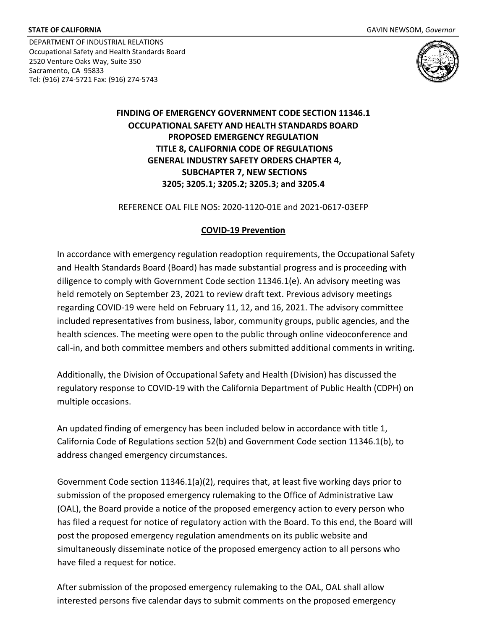DEPARTMENT OF INDUSTRIAL RELATIONS Occupational Safety and Health Standards Board 2520 Venture Oaks Way, Suite 350 Sacramento, CA 95833 STATE OF CALIFORNIA<br>
DEPARTMENT OF INDUSTRIAL RELATIONS<br>
Occupational Safety and Health Standards Board<br>
2520 Venture Oaks Way, Suite 350<br>
Sacramento, CA 95833<br>
Tol: (916) 274 5721 5721 5721 6222 (916) 274 5742 Tel: (916) 274-5721 Fax: (916) 274-5743



# **FINDING OF EMERGENCY GOVERNMENT CODE SECTION 11346.1 OCCUPATIONAL SAFETY AND HEALTH STANDARDS BOARD PROPOSED EMERGENCY REGULATION GENERAL INDUSTRY SAFETY ORDERS CHAPTER 4, SUBCHAPTER 7, NEW SECTIONS 3205; 3205.1; 3205.2; 3205.3; and 3205.4 TITLE 8, CALIFORNIA CODE OF REGULATIONS**

REFERENCE OAL FILE NOS: 2020-1120-01E and 2021-0617-03EFP

#### **COVID-19 Prevention**

 and Health Standards Board (Board) has made substantial progress and is proceeding with held remotely on September 23, 2021 to review draft text. Previous advisory meetings included representatives from business, labor, community groups, public agencies, and the call-in, and both committee members and others submitted additional comments in writing. In accordance with emergency regulation readoption requirements, the Occupational Safety diligence to comply with Government Code section 11346.1(e). An advisory meeting was regarding COVID-19 were held on February 11, 12, and 16, 2021. The advisory committee health sciences. The meeting were open to the public through online videoconference and

 Additionally, the Division of Occupational Safety and Health (Division) has discussed the regulatory response to COVID-19 with the California Department of Public Health (CDPH) on multiple occasions.

 address changed emergency circumstances. An updated finding of emergency has been included below in accordance with title 1, California Code of Regulations section 52(b) and Government Code section 11346.1(b), to

 Government Code section 11346.1(a)(2), requires that, at least five working days prior to (OAL), the Board provide a notice of the proposed emergency action to every person who has filed a request for notice of regulatory action with the Board. To this end, the Board will post the proposed emergency regulation amendments on its public website and simultaneously disseminate notice of the proposed emergency action to all persons who have filed a request for notice. submission of the proposed emergency rulemaking to the Office of Administrative Law

 After submission of the proposed emergency rulemaking to the OAL, OAL shall allow interested persons five calendar days to submit comments on the proposed emergency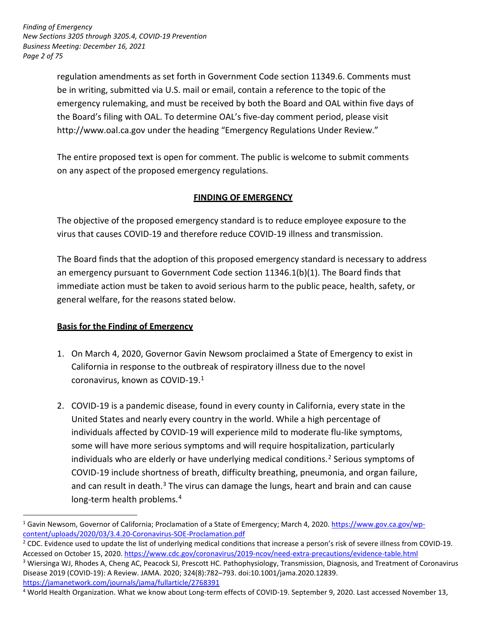*Page 2 of 75 Finding of Emergency New Sections 3205 through 3205.4, COVID-19 Prevention Business Meeting: December 16, 2021* 

> be in writing, submitted via U.S. mail or email, contain a reference to the topic of the emergency rulemaking, and must be received by both the Board and OAL within five days of the Board's filing with OAL. To determine OAL's five-day comment period, please visit regulation amendments as set forth in Government Code section 11349.6. Comments must <http://www.oal.ca.gov>under the heading "Emergency Regulations Under Review."

 The entire proposed text is open for comment. The public is welcome to submit comments on any aspect of the proposed emergency regulations.

# **FINDING OF EMERGENCY**

 The objective of the proposed emergency standard is to reduce employee exposure to the virus that causes COVID-19 and therefore reduce COVID-19 illness and transmission.

 The Board finds that the adoption of this proposed emergency standard is necessary to address an emergency pursuant to Government Code section 11346.1(b)(1). The Board finds that immediate action must be taken to avoid serious harm to the public peace, health, safety, or general welfare, for the reasons stated below.

# **Basis for the Finding of Emergency**

<u>.</u>

- California in response to the outbreak of respiratory illness due to the novel coronavirus, known as COVID-19. 1 1. On March 4, 2020, Governor Gavin Newsom proclaimed a State of Emergency to exist in
- 2. COVID-19 is a pandemic disease, found in every county in California, every state in the United States and nearly every country in the world. While a high percentage of individuals affected by COVID-19 will experience mild to moderate flu-like symptoms, some will have more serious symptoms and will require hospitalization, particularly individuals who are elderly or have underlying medical conditions.<sup>2</sup> Serious symptoms of COVID-19 include shortness of breath, difficulty breathing, pneumonia, and organ failure, and can result in death.<sup>3</sup> The virus can damage the lungs, heart and brain and can cause long-term health problems.<sup>4</sup>

<sup>&</sup>lt;sup>1</sup> Gavin Newsom, Governor of California; Proclamation of a State of Emergency; March 4, 2020. [https://www.gov.ca.gov/wp](https://www.gov.ca.gov/wp-content/uploads/2020/03/3.4.20-Coronavirus-SOE-Proclamation.pdf)[content/uploads/2020/03/3.4.20-Coronavirus-SOE-Proclamation.pdf](https://www.gov.ca.gov/wp-content/uploads/2020/03/3.4.20-Coronavirus-SOE-Proclamation.pdf)

<sup>&</sup>lt;sup>2</sup> CDC. Evidence used to update the list of underlying medical conditions that increase a person's risk of severe illness from COVID-19. Accessed on October 15, 2020. https://www.cdc.gov/coronavirus/2019-ncov/need-extra-precautions/evidence-table.html<br><sup>3</sup> Wiersinga WJ, Rhodes A, Cheng AC, Peacock SJ, Prescott HC. Pathophysiology, Transmission, Diagnosis, an Disease 2019 (COVID-19): A Review. JAMA. 2020; 324(8):782–793. doi:10.1001/jama.2020.12839. <https://jamanetwork.com/journals/jama/fullarticle/2768391>

<sup>&</sup>lt;sup>4</sup> World Health Organization. What we know about Long-term effects of COVID-19. September 9, 2020. Last accessed November 13,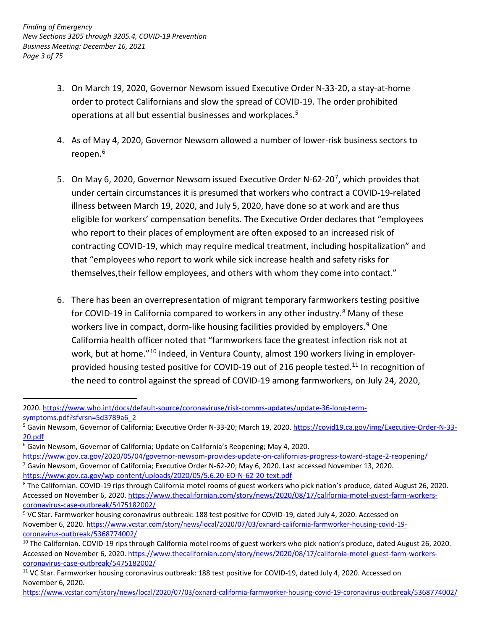- 3. On March 19, 2020, Governor Newsom issued Executive Order N-33-20, a stay-at-home order to protect Californians and slow the spread of COVID-19. The order prohibited operations at all but essential businesses and workplaces.<sup>5</sup>
- 4. As of May 4, 2020, Governor Newsom allowed a number of lower-risk business sectors to reopen.<sup>6</sup>
- illness between March 19, 2020, and July 5, 2020, have done so at work and are thus eligible for workers' compensation benefits. The Executive Order declares that "employees who report to their places of employment are often exposed to an increased risk of contracting COVID-19, which may require medical treatment, including hospitalization" and that "employees who report to work while sick increase health and safety risks for themselves,their fellow employees, and others with whom they come into contact." 5. On May 6, 2020, Governor Newsom issued Executive Order N-62-20<sup>7</sup>, which provides that under certain circumstances it is presumed that workers who contract a COVID-19-related
- 6. There has been an overrepresentation of migrant temporary farmworkers testing positive California health officer noted that "farmworkers face the greatest infection risk not at work, but at home."<sup>10</sup> Indeed, in Ventura County, almost 190 workers living in employer- the need to control against the spread of COVID-19 among farmworkers, on July 24, 2020, for COVID-19 in California compared to workers in any other industry.<sup>8</sup> Many of these workers live in compact, dorm-like housing facilities provided by employers.<sup>9</sup> One provided housing tested positive for COVID-19 out of 216 people tested.<sup>11</sup> In recognition of

<u>.</u>

<sup>2020.</sup> [https://www.who.int/docs/default-source/coronaviruse/risk-comms-updates/update-36-long-term](https://www.who.int/docs/default-source/coronaviruse/risk-comms-updates/update-36-long-term-symptoms.pdf?sfvrsn=5d3789a6_2)[symptoms.pdf?sfvrsn=5d3789a6\\_2](https://www.who.int/docs/default-source/coronaviruse/risk-comms-updates/update-36-long-term-symptoms.pdf?sfvrsn=5d3789a6_2)

<sup>&</sup>lt;sup>5</sup> Gavin Newsom, Governor of California; Executive Order N-33-20; March 19, 2020. [https://covid19.ca.gov/img/Executive-Order-N-33-](https://covid19.ca.gov/img/Executive-Order-N-33-20.pdf) [20.pdf](https://covid19.ca.gov/img/Executive-Order-N-33-20.pdf)

<sup>&</sup>lt;sup>6</sup> Gavin Newsom, Governor of California; Update on California's Reopening; May 4, 2020.

<sup>&</sup>lt;sup>7</sup> Gavin Newsom, Governor of California; Executive Order N-62-20; May 6, 2020. Last accessed November 13, 2020. https://www.gov.ca.gov/2020/05/04/governor-newsom-provides-update-on-californias-progress-toward-stage-2-reopening/<br><sup>7</sup> Gavin Newsom, Governor of California; Executive Order N-62-20; May 6, 2020. Last accessed November 13,

Accessed on November 6, 2020. [https://www.thecalifornian.com/story/news/2020/08/17/california-motel-guest-farm-workers](https://www.thecalifornian.com/story/news/2020/08/17/california-motel-guest-farm-workers-coronavirus-case-%20outbreak/5475182002/)[coronavirus-case-outbreak/5475182002/](https://www.thecalifornian.com/story/news/2020/08/17/california-motel-guest-farm-workers-coronavirus-case-%20outbreak/5475182002/)

<sup>&</sup>lt;sup>9</sup> VC Star. Farmworker housing coronavirus outbreak: 188 test positive for COVID-19, dated July 4, 2020. Accessed on November 6, 2020. [https://www.vcstar.com/story/news/local/2020/07/03/oxnard-california-farmworker-housing-covid-19](https://www.thecalifornian.com/story/news/2020/08/17/california-motel-guest-farm-workers-coronavirus-case-%20outbreak/5475182002/) [coronavirus-outbreak/5368774002/](https://www.thecalifornian.com/story/news/2020/08/17/california-motel-guest-farm-workers-coronavirus-case-%20outbreak/5475182002/)

 $^{10}$  The Californian. COVID-19 rips through California motel rooms of guest workers who pick nation's produce, dated August 26, 2020. Accessed on November 6, 2020. [https://www.thecalifornian.com/story/news/2020/08/17/california-motel-guest-farm-workers](https://www.thecalifornian.com/story/news/2020/08/17/california-motel-guest-farm-workers-coronavirus-case-%20outbreak/5475182002/)[coronavirus-case-outbreak/5475182002/](https://www.thecalifornian.com/story/news/2020/08/17/california-motel-guest-farm-workers-coronavirus-case-%20outbreak/5475182002/)

<sup>&</sup>lt;sup>11</sup> VC Star. Farmworker housing coronavirus outbreak: 188 test positive for COVID-19, dated July 4, 2020. Accessed on November 6, 2020.

[https://www.vcstar.com/story/news/local/2020/07/03/oxnard-california-farmworker-housing-covid-19-coronavirus-outbreak/5368774002/](https://www.thecalifornian.com/story/news/2020/08/17/california-motel-guest-farm-workers-coronavirus-case-%20outbreak/5475182002/)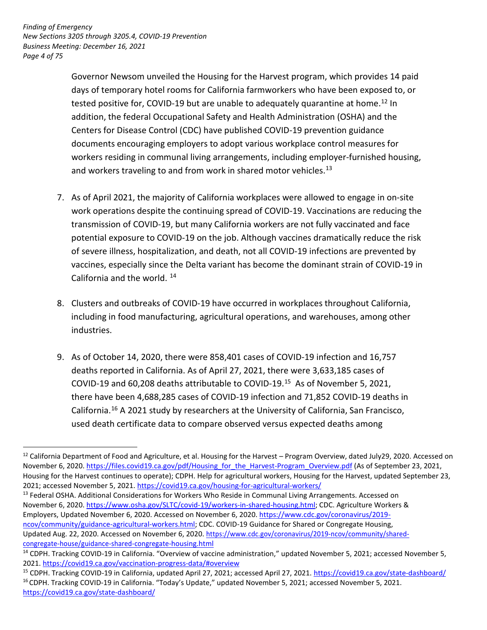*Page 4 of 75 Finding of Emergency New Sections 3205 through 3205.4, COVID-19 Prevention Business Meeting: December 16, 2021* 

<u>.</u>

 Governor Newsom unveiled the Housing for the Harvest program, which provides 14 paid Centers for Disease Control (CDC) have published COVID-19 prevention guidance documents encouraging employers to adopt various workplace control measures for days of temporary hotel rooms for California farmworkers who have been exposed to, or tested positive for, COVID-19 but are unable to adequately quarantine at home.<sup>12</sup> In addition, the federal Occupational Safety and Health Administration (OSHA) and the workers residing in communal living arrangements, including employer-furnished housing, and workers traveling to and from work in shared motor vehicles.<sup>13</sup>

- work operations despite the continuing spread of COVID-19. Vaccinations are reducing the transmission of COVID-19, but many California workers are not fully vaccinated and face vaccines, especially since the Delta variant has become the dominant strain of COVID-19 in California and the world. <sup>14</sup> 7. As of April 2021, the majority of California workplaces were allowed to engage in on-site potential exposure to COVID-19 on the job. Although vaccines dramatically reduce the risk of severe illness, hospitalization, and death, not all COVID-19 infections are prevented by
- 8. Clusters and outbreaks of COVID-19 have occurred in workplaces throughout California, including in food manufacturing, agricultural operations, and warehouses, among other industries.
- deaths reported in California. As of April 27, 2021, there were 3,633,185 cases of COVID-19 and 60,208 deaths attributable to COVID-19. 15 As of November 5, 2021, California.<sup>16</sup> A 2021 study by researchers at the University of California, San Francisco, used death certificate data to compare observed versus expected deaths among 9. As of October 14, 2020, there were 858,401 cases of COVID-19 infection and 16,757 there have been 4,688,285 cases of COVID-19 infection and 71,852 COVID-19 deaths in

 $^{12}$  California Department of Food and Agriculture, et al. Housing for the Harvest – Program Overview, dated July29, 2020. Accessed on Housing for the Harvest continues to operate); CDPH. Help for agricultural workers, Housing for the Harvest, updated September 23, 2021; accessed November 5, 2021. https://covid19.ca.gov/housing-for-agricultural-workers/ November 6, 2020. [https://files.covid19.ca.gov/pdf/Housing\\_for\\_the\\_Harvest-Program\\_Overview.pdf](https://files.covid19.ca.gov/pdf/Housing_for_the_Harvest-Program_Overview.pdf) (As of September 23, 2021,

November 6, 2020.<https://www.osha.gov/SLTC/covid-19/workers-in-shared-housing.html>; CDC. Agriculture Workers & <sup>13</sup> Federal OSHA. Additional Considerations for Workers Who Reside in Communal Living Arrangements. Accessed on Employers, Updated November 6, 2020. Accessed on November 6, 2020. [https://www.cdc.gov/coronavirus/2019](https://www.osha.gov/SLTC/covid-19/workers-in-shared-housing.html) [ncov/community/guidance-agricultural-workers.html;](https://www.osha.gov/SLTC/covid-19/workers-in-shared-housing.html) CDC. COVID-19 Guidance for Shared or Congregate Housing, Updated Aug. 22, 2020. Accessed on November 6, 2020. [https://www.cdc.gov/coronavirus/2019-ncov/community/shared-](https://www.cdc.gov/coronavirus/2019-ncov/community/shared-congregate-house/guidance-shared-congregate-housing.html)

[congregate-house/guidance-shared-congregate-housing.html](https://www.cdc.gov/coronavirus/2019-ncov/community/shared-congregate-house/guidance-shared-congregate-housing.html) <sup>14</sup> CDPH. Tracking COVID-19 in California. "Overview of vaccine administration," updated November 5, 2021; accessed November 5,

<sup>2021.</sup> https://covid19.ca.gov/vaccination-progress-data/#overview<br><sup>15</sup> CDPH. Tracking COVID-19 in California, updated April 27, 2021; accessed April 27, 2021. https://covid19.ca.gov/state-dashboard/<br><sup>16</sup> CDPH. Tracking COVI <https://covid19.ca.gov/state-dashboard/>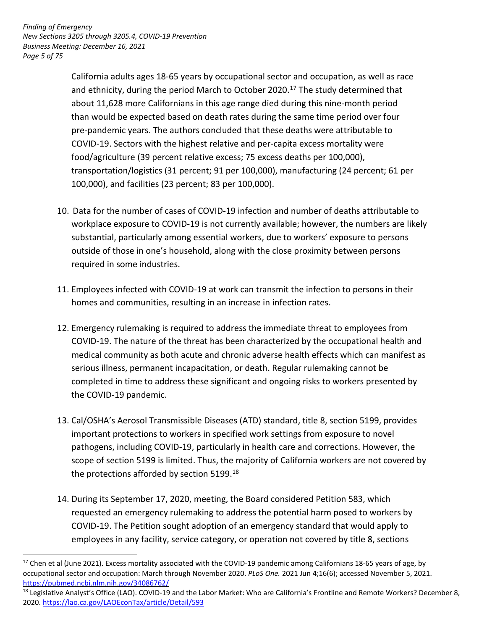*Page 5 of 75 Finding of Emergency New Sections 3205 through 3205.4, COVID-19 Prevention Business Meeting: December 16, 2021* 

<u>.</u>

 California adults ages 18-65 years by occupational sector and occupation, as well as race and ethnicity, during the period March to October 2020. 17 The study determined that than would be expected based on death rates during the same time period over four pre-pandemic years. The authors concluded that these deaths were attributable to COVID-19. Sectors with the highest relative and per-capita excess mortality were food/agriculture (39 percent relative excess; 75 excess deaths per 100,000), transportation/logistics (31 percent; 91 per 100,000), manufacturing (24 percent; 61 per 100,000), and facilities (23 percent; 83 per 100,000). about 11,628 more Californians in this age range died during this nine-month period

- 10. Data for the number of cases of COVID-19 infection and number of deaths attributable to workplace exposure to COVID-19 is not currently available; however, the numbers are likely outside of those in one's household, along with the close proximity between persons substantial, particularly among essential workers, due to workers' exposure to persons required in some industries.
- 11. Employees infected with COVID-19 at work can transmit the infection to persons in their homes and communities, resulting in an increase in infection rates.
- COVID-19. The nature of the threat has been characterized by the occupational health and serious illness, permanent incapacitation, or death. Regular rulemaking cannot be completed in time to address these significant and ongoing risks to workers presented by the COVID-19 pandemic. 12. Emergency rulemaking is required to address the immediate threat to employees from medical community as both acute and chronic adverse health effects which can manifest as
- 13. Cal/OSHA's Aerosol Transmissible Diseases (ATD) standard, title 8, section 5199, provides scope of section 5199 is limited. Thus, the majority of California workers are not covered by important protections to workers in specified work settings from exposure to novel pathogens, including COVID-19, particularly in health care and corrections. However, the the protections afforded by section  $5199.^{18}$
- requested an emergency rulemaking to address the potential harm posed to workers by employees in any facility, service category, or operation not covered by title 8, sections 14. During its September 17, 2020, meeting, the Board considered Petition 583, which COVID-19. The Petition sought adoption of an emergency standard that would apply to

<sup>&</sup>lt;sup>17</sup> Chen et al (June 2021). Excess mortality associated with the COVID-19 pandemic among Californians 18-65 years of age, by occupational sector and occupation: March through November 2020. *PLoS One.* 2021 Jun 4;16(6); accessed November 5, 2021. <https://pubmed.ncbi.nlm.nih.gov/34086762/>

<sup>&</sup>lt;sup>18</sup> Legislative Analyst's Office (LAO). COVID-19 and the Labor Market: Who are California's Frontline and Remote Workers? December 8, 2020.<https://lao.ca.gov/LAOEconTax/article/Detail/593>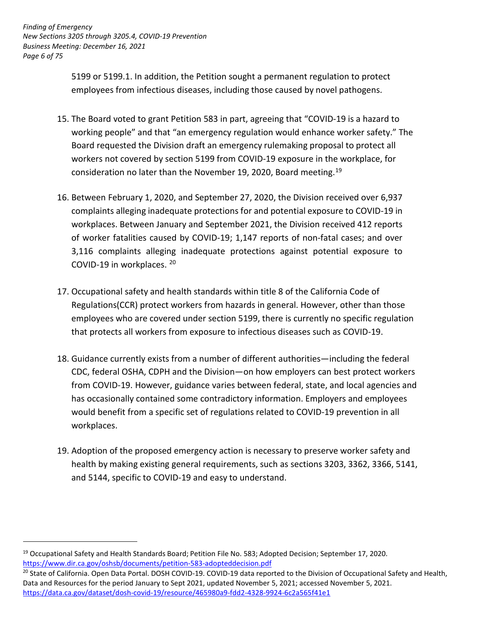*Page 6 of 75 Finding of Emergency New Sections 3205 through 3205.4, COVID-19 Prevention Business Meeting: December 16, 2021* 

> 5199 or 5199.1. In addition, the Petition sought a permanent regulation to protect employees from infectious diseases, including those caused by novel pathogens.

- Board requested the Division draft an emergency rulemaking proposal to protect all consideration no later than the November 19, 2020, Board meeting.<sup>19</sup> 15. The Board voted to grant Petition 583 in part, agreeing that "COVID-19 is a hazard to working people" and that "an emergency regulation would enhance worker safety." The workers not covered by section 5199 from COVID-19 exposure in the workplace, for
- 16. Between February 1, 2020, and September 27, 2020, the Division received over 6,937 complaints alleging inadequate protections for and potential exposure to COVID-19 in workplaces. Between January and September 2021, the Division received 412 reports of worker fatalities caused by COVID-19; 1,147 reports of non-fatal cases; and over 3,116 complaints alleging inadequate protections against potential exposure to COVID-19 in workplaces. 20
- 17. Occupational safety and health standards within title 8 of the California Code of employees who are covered under section 5199, there is currently no specific regulation that protects all workers from exposure to infectious diseases such as COVID-19. Regulations(CCR) protect workers from hazards in general. However, other than those
- 18. Guidance currently exists from a number of different authorities—including the federal CDC, federal OSHA, CDPH and the Division—on how employers can best protect workers from COVID-19. However, guidance varies between federal, state, and local agencies and would benefit from a specific set of regulations related to COVID-19 prevention in all has occasionally contained some contradictory information. Employers and employees workplaces.
- health by making existing general requirements, such as sections 3203, 3362, 3366, 5141, and 5144, specific to COVID-19 and easy to understand. 19. Adoption of the proposed emergency action is necessary to preserve worker safety and

<u>.</u>

<sup>&</sup>lt;sup>19</sup> Occupational Safety and Health Standards Board; Petition File No. 583; Adopted Decision; September 17, 2020. https://www.dir.ca.gov/oshsb/documents/petition-583-adopteddecision.pdf<br><sup>20</sup> State of California. Open Data Portal. DOSH COVID-19. COVID-19 data reported to the Division of Occupational Safety and Health,

 Data and Resources for the period January to Sept 2021, updated November 5, 2021; accessed November 5, 2021. <https://data.ca.gov/dataset/dosh-covid-19/resource/465980a9-fdd2-4328-9924-6c2a565f41e1>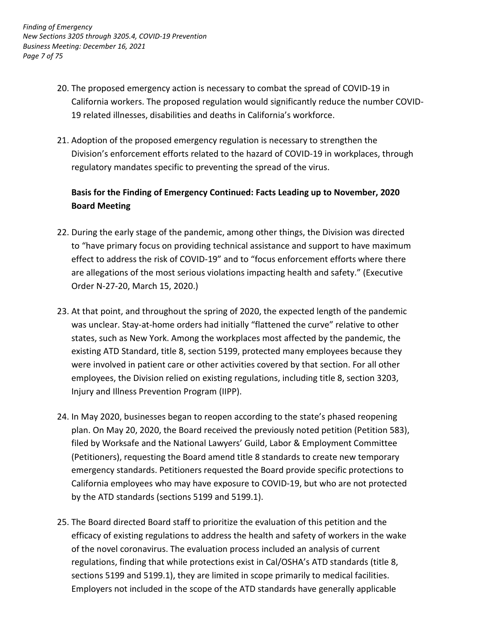- 20. The proposed emergency action is necessary to combat the spread of COVID-19 in California workers. The proposed regulation would significantly reduce the number COVID-19 related illnesses, disabilities and deaths in California's workforce.
- 21. Adoption of the proposed emergency regulation is necessary to strengthen the regulatory mandates specific to preventing the spread of the virus. Division's enforcement efforts related to the hazard of COVID-19 in workplaces, through

# **Basis for the Finding of Emergency Continued: Facts Leading up to November, 2020 Board Meeting**

- 22. During the early stage of the pandemic, among other things, the Division was directed to "have primary focus on providing technical assistance and support to have maximum effect to address the risk of COVID-19" and to "focus enforcement efforts where there Order N-27-20, March 15, 2020.) are allegations of the most serious violations impacting health and safety." (Executive
- 23. At that point, and throughout the spring of 2020, the expected length of the pandemic was unclear. Stay-at-home orders had initially "flattened the curve" relative to other states, such as New York. Among the workplaces most affected by the pandemic, the existing ATD Standard, title 8, section 5199, protected many employees because they were involved in patient care or other activities covered by that section. For all other employees, the Division relied on existing regulations, including title 8, section 3203, Injury and Illness Prevention Program (IIPP).
- 24. In May 2020, businesses began to reopen according to the state's phased reopening plan. On May 20, 2020, the Board received the previously noted petition (Petition 583), (Petitioners), requesting the Board amend title 8 standards to create new temporary emergency standards. Petitioners requested the Board provide specific protections to by the ATD standards (sections 5199 and 5199.1). filed by Worksafe and the National Lawyers' Guild, Labor & Employment Committee California employees who may have exposure to COVID-19, but who are not protected
- 25. The Board directed Board staff to prioritize the evaluation of this petition and the efficacy of existing regulations to address the health and safety of workers in the wake of the novel coronavirus. The evaluation process included an analysis of current regulations, finding that while protections exist in Cal/OSHA's ATD standards (title 8, sections 5199 and 5199.1), they are limited in scope primarily to medical facilities. Employers not included in the scope of the ATD standards have generally applicable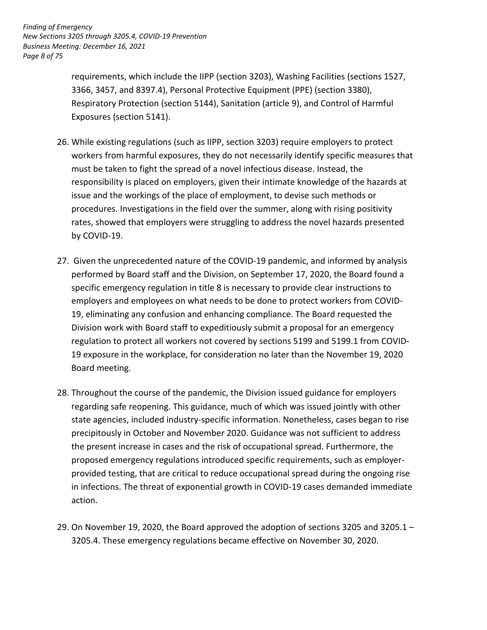*Page 8 of 75 Finding of Emergency New Sections 3205 through 3205.4, COVID-19 Prevention Business Meeting: December 16, 2021* 

> requirements, which include the IIPP (section 3203), Washing Facilities (sections 1527, 3366, 3457, and 8397.4), Personal Protective Equipment (PPE) (section 3380), Respiratory Protection (section 5144), Sanitation (article 9), and Control of Harmful Exposures (section 5141).

- workers from harmful exposures, they do not necessarily identify specific measures that must be taken to fight the spread of a novel infectious disease. Instead, the responsibility is placed on employers, given their intimate knowledge of the hazards at issue and the workings of the place of employment, to devise such methods or rates, showed that employers were struggling to address the novel hazards presented 26. While existing regulations (such as IIPP, section 3203) require employers to protect procedures. Investigations in the field over the summer, along with rising positivity by COVID-19.
- 27. Given the unprecedented nature of the COVID-19 pandemic, and informed by analysis performed by Board staff and the Division, on September 17, 2020, the Board found a specific emergency regulation in title 8 is necessary to provide clear instructions to employers and employees on what needs to be done to protect workers from COVID-19, eliminating any confusion and enhancing compliance. The Board requested the Division work with Board staff to expeditiously submit a proposal for an emergency regulation to protect all workers not covered by sections 5199 and 5199.1 from COVID-19 exposure in the workplace, for consideration no later than the November 19, 2020 Board meeting.
- 28. Throughout the course of the pandemic, the Division issued guidance for employers regarding safe reopening. This guidance, much of which was issued jointly with other state agencies, included industry-specific information. Nonetheless, cases began to rise precipitously in October and November 2020. Guidance was not sufficient to address the present increase in cases and the risk of occupational spread. Furthermore, the provided testing, that are critical to reduce occupational spread during the ongoing rise in infections. The threat of exponential growth in COVID-19 cases demanded immediate proposed emergency regulations introduced specific requirements, such as employeraction.
- 29. On November 19, 2020, the Board approved the adoption of sections 3205 and 3205.1 3205.4. These emergency regulations became effective on November 30, 2020.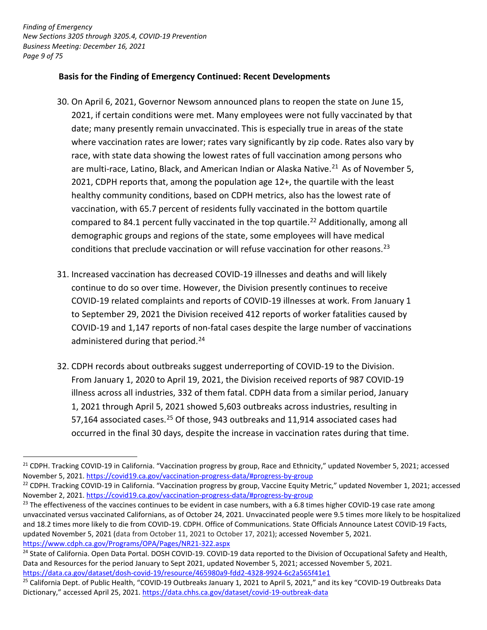*Page 9 of 75 Finding of Emergency New Sections 3205 through 3205.4, COVID-19 Prevention Business Meeting: December 16, 2021* 

-

#### **Basis for the Finding of Emergency Continued: Recent Developments**

- 30. On April 6, 2021, Governor Newsom announced plans to reopen the state on June 15, 2021, if certain conditions were met. Many employees were not fully vaccinated by that date; many presently remain unvaccinated. This is especially true in areas of the state where vaccination rates are lower; rates vary significantly by zip code. Rates also vary by race, with state data showing the lowest rates of full vaccination among persons who are multi-race, Latino, Black, and American Indian or Alaska Native.<sup>21</sup> As of November 5, 2021, CDPH reports that, among the population age 12+, the quartile with the least healthy community conditions, based on CDPH metrics, also has the lowest rate of vaccination, with 65.7 percent of residents fully vaccinated in the bottom quartile compared to 84.1 percent fully vaccinated in the top quartile.<sup>22</sup> Additionally, among all conditions that preclude vaccination or will refuse vaccination for other reasons.<sup>23</sup> demographic groups and regions of the state, some employees will have medical
- 31. Increased vaccination has decreased COVID-19 illnesses and deaths and will likely continue to do so over time. However, the Division presently continues to receive to September 29, 2021 the Division received 412 reports of worker fatalities caused by COVID-19 and 1,147 reports of non-fatal cases despite the large number of vaccinations administered during that period.<sup>24</sup> COVID-19 related complaints and reports of COVID-19 illnesses at work. From January 1
- 32. CDPH records about outbreaks suggest underreporting of COVID-19 to the Division. From January 1, 2020 to April 19, 2021, the Division received reports of 987 COVID-19 illness across all industries, 332 of them fatal. CDPH data from a similar period, January 1, 2021 through April 5, 2021 showed 5,603 outbreaks across industries, resulting in 57,164 associated cases.<sup>25</sup> Of those, 943 outbreaks and 11,914 associated cases had occurred in the final 30 days, despite the increase in vaccination rates during that time.

 $21$  CDPH. Tracking COVID-19 in California. "Vaccination progress by group, Race and Ethnicity," updated November 5, 2021; accessed November 5, 2021. https://covid19.ca.gov/vaccination-progress-data/#progress-by-group<br><sup>22</sup> CDPH. Tracking COVID-19 in California. "Vaccination progress by group, Vaccine Equity Metric," updated November 1, 2021; accessed

November 2, 2021. https://covid19.ca.gov/vaccination-progress-data/#progress-by-group

<sup>&</sup>lt;sup>23</sup> The effectiveness of the vaccines continues to be evident in case numbers, with a 6.8 times higher COVID-19 case rate among unvaccinated versus vaccinated Californians, as of October 24, 2021. Unvaccinated people were 9.5 times more likely to be hospitalized and 18.2 times more likely to die from COVID-19. CDPH. Office of Communications. State Officials Announce Latest COVID-19 Facts, updated November 5, 2021 (data from October 11, 2021 to October 17, 2021); accessed November 5, 2021. https://www.cdph.ca.gov/Programs/OPA/Pages/NR21-322.aspx<br><sup>24</sup> State of California. Open Data Portal. DOSH COVID-19. COVID-19 data reported to the Division of Occupational Safety and Health,

 Data and Resources for the period January to Sept 2021, updated November 5, 2021; accessed November 5, 2021.

https://data.ca.gov/dataset/dosh-covid-19/resource/465980a9-fdd2-4328-9924-6c2a565f41e1<br><sup>25</sup> California Dept. of Public Health, "COVID-19 Outbreaks January 1, 2021 to April 5, 2021," and its key "COVID-19 Outbreaks Data Dictionary," accessed April 25, 2021.<https://data.chhs.ca.gov/dataset/covid-19-outbreak-data>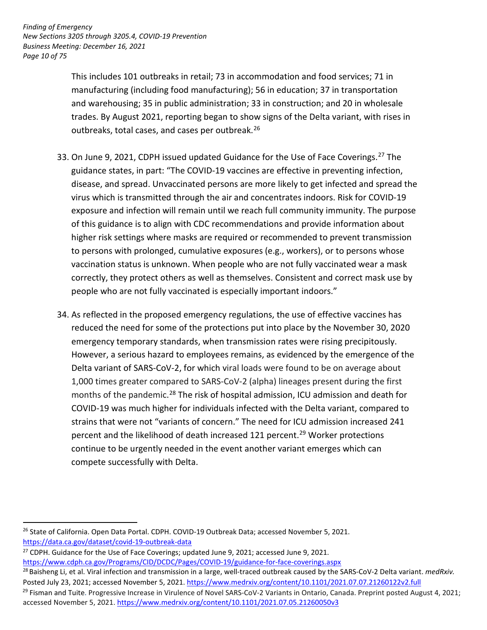*Page 10 of 75 Finding of Emergency New Sections 3205 through 3205.4, COVID-19 Prevention Business Meeting: December 16, 2021* 

> trades. By August 2021, reporting began to show signs of the Delta variant, with rises in This includes 101 outbreaks in retail; 73 in accommodation and food services; 71 in manufacturing (including food manufacturing); 56 in education; 37 in transportation and warehousing; 35 in public administration; 33 in construction; and 20 in wholesale outbreaks, total cases, and cases per outbreak.<sup>26</sup>

- 33. On June 9, 2021, CDPH issued updated Guidance for the Use of Face Coverings.<sup>27</sup> The disease, and spread. Unvaccinated persons are more likely to get infected and spread the virus which is transmitted through the air and concentrates indoors. Risk for COVID-19 exposure and infection will remain until we reach full community immunity. The purpose of this guidance is to align with CDC recommendations and provide information about higher risk settings where masks are required or recommended to prevent transmission to persons with prolonged, cumulative exposures (e.g., workers), or to persons whose vaccination status is unknown. When people who are not fully vaccinated wear a mask correctly, they protect others as well as themselves. Consistent and correct mask use by people who are not fully vaccinated is especially important indoors." guidance states, in part: "The COVID-19 vaccines are effective in preventing infection,
- 34. As reflected in the proposed emergency regulations, the use of effective vaccines has reduced the need for some of the protections put into place by the November 30, 2020 However, a serious hazard to employees remains, as evidenced by the emergence of the 1,000 times greater compared to SARS-CoV-2 (alpha) lineages present during the first months of the pandemic.<sup>28</sup> The risk of hospital admission, ICU admission and death for percent and the likelihood of death increased 121 percent. 29 Worker protections emergency temporary standards, when transmission rates were rising precipitously. Delta variant of SARS-CoV-2, for which viral loads were found to be on average about COVID-19 was much higher for individuals infected with the Delta variant, compared to strains that were not "variants of concern." The need for ICU admission increased 241 continue to be urgently needed in the event another variant emerges which can compete successfully with Delta.

<u>https://data.ca.gov/dataset/covid-19-outbreak-data</u><br><sup>27</sup> CDPH. Guidance for the Use of Face Coverings; updated June 9, 2021; accessed June 9, 2021.

-

<sup>&</sup>lt;sup>26</sup> State of California. Open Data Portal. CDPH. COVID-19 Outbreak Data; accessed November 5, 2021.

<sup>&</sup>lt;u>https://www.cdph.ca.gov/Programs/CID/DCDC/Pages/COVID-19/guidance-for-face-coverings.aspx</u><br><sup>28</sup> Baisheng Li, et al. Viral infection and transmission in a large, well-traced outbreak caused by the SARS-CoV-2 Delta variant. Posted July 23, 2021; accessed November 5, 2021. https://www.medrxiv.org/content/10.1101/2021.07.07.21260122v2.full<br><sup>29</sup> Fisman and Tuite. Progressive Increase in Virulence of Novel SARS-CoV-2 Variants in Ontario. Canada.

accessed November 5, 2021. https://www.medrxiv.org/content/10.1101/2021.07.05.21260050v3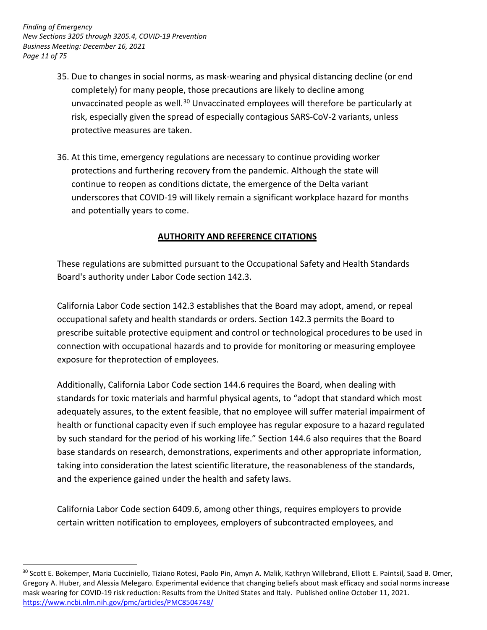*Page 11 of 75 Finding of Emergency New Sections 3205 through 3205.4, COVID-19 Prevention Business Meeting: December 16, 2021* 

<u>.</u>

- completely) for many people, those precautions are likely to decline among unvaccinated people as well.<sup>30</sup> Unvaccinated employees will therefore be particularly at risk, especially given the spread of especially contagious SARS-CoV-2 variants, unless 35. Due to changes in social norms, as mask-wearing and physical distancing decline (or end protective measures are taken.
- 36. At this time, emergency regulations are necessary to continue providing worker protections and furthering recovery from the pandemic. Although the state will continue to reopen as conditions dictate, the emergence of the Delta variant underscores that COVID-19 will likely remain a significant workplace hazard for months and potentially years to come.

# **AUTHORITY AND REFERENCE CITATIONS**

 These regulations are submitted pursuant to the Occupational Safety and Health Standards Board's authority under Labor Code section 142.3.

 California Labor Code section 142.3 establishes that the Board may adopt, amend, or repeal occupational safety and health standards or orders. Section 142.3 permits the Board to prescribe suitable protective equipment and control or technological procedures to be used in connection with occupational hazards and to provide for monitoring or measuring employee exposure for theprotection of employees.

 health or functional capacity even if such employee has regular exposure to a hazard regulated by such standard for the period of his working life." Section 144.6 also requires that the Board base standards on research, demonstrations, experiments and other appropriate information, taking into consideration the latest scientific literature, the reasonableness of the standards, and the experience gained under the health and safety laws. Additionally, California Labor Code section 144.6 requires the Board, when dealing with standards for toxic materials and harmful physical agents, to "adopt that standard which most adequately assures, to the extent feasible, that no employee will suffer material impairment of

 California Labor Code section 6409.6, among other things, requires employers to provide certain written notification to employees, employers of subcontracted employees, and

<sup>&</sup>lt;sup>30</sup> Scott E. Bokemper, Maria Cucciniello, Tiziano Rotesi, Paolo Pin, Amyn A. Malik, Kathryn Willebrand, Elliott E. Paintsil, Saad B. Omer, Gregory A. Huber, and Alessia Melegaro. Experimental evidence that changing beliefs about mask efficacy and social norms increase mask wearing for COVID-19 risk reduction: Results from the United States and Italy. Published online October 11, 2021. <https://www.ncbi.nlm.nih.gov/pmc/articles/PMC8504748/>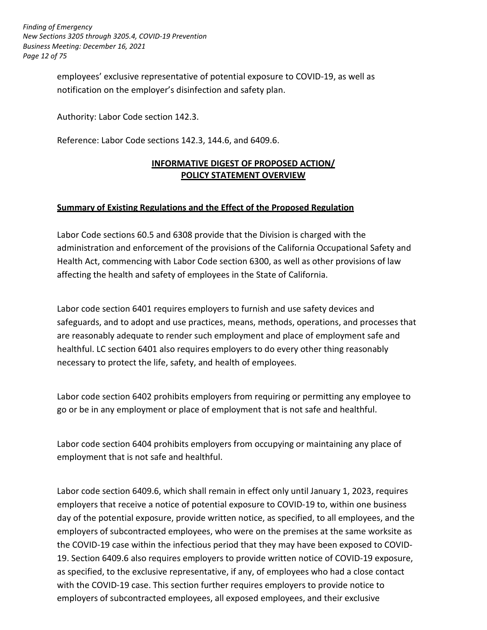*Page 12 of 75 Finding of Emergency New Sections 3205 through 3205.4, COVID-19 Prevention Business Meeting: December 16, 2021* 

> employees' exclusive representative of potential exposure to COVID-19, as well as notification on the employer's disinfection and safety plan.

Authority: Labor Code section 142.3.

Reference: Labor Code sections 142.3, 144.6, and 6409.6.

# **POLICY STATEMENT OVERVIEW INFORMATIVE DIGEST OF PROPOSED ACTION/**

### **Summary of Existing Regulations and the Effect of the Proposed Regulation**

 Labor Code sections 60.5 and 6308 provide that the Division is charged with the Health Act, commencing with Labor Code section 6300, as well as other provisions of law affecting the health and safety of employees in the State of California. administration and enforcement of the provisions of the California Occupational Safety and

 Labor code section 6401 requires employers to furnish and use safety devices and safeguards, and to adopt and use practices, means, methods, operations, and processes that healthful. LC section 6401 also requires employers to do every other thing reasonably necessary to protect the life, safety, and health of employees. are reasonably adequate to render such employment and place of employment safe and

 Labor code section 6402 prohibits employers from requiring or permitting any employee to go or be in any employment or place of employment that is not safe and healthful.

 Labor code section 6404 prohibits employers from occupying or maintaining any place of employment that is not safe and healthful.

Labor code section 6409.6, which shall remain in effect only until January 1, 2023, requires employers that receive a notice of potential exposure to COVID-19 to, within one business day of the potential exposure, provide written notice, as specified, to all employees, and the employers of subcontracted employees, who were on the premises at the same worksite as the COVID-19 case within the infectious period that they may have been exposed to COVID-19. Section 6409.6 also requires employers to provide written notice of COVID-19 exposure, as specified, to the exclusive representative, if any, of employees who had a close contact with the COVID-19 case. This section further requires employers to provide notice to employers of subcontracted employees, all exposed employees, and their exclusive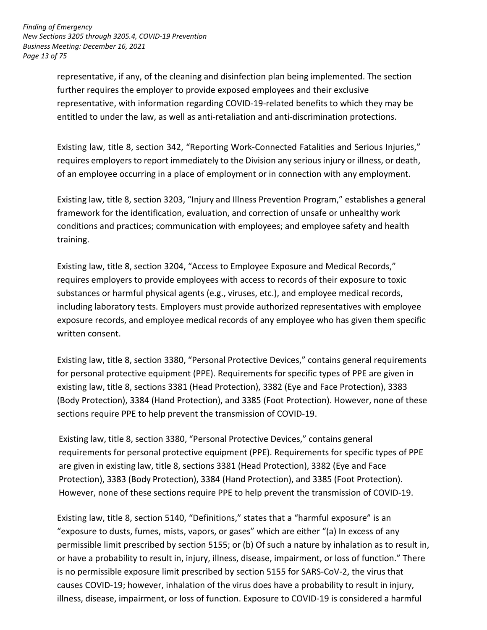*Page 13 of 75 Finding of Emergency New Sections 3205 through 3205.4, COVID-19 Prevention Business Meeting: December 16, 2021* 

> further requires the employer to provide exposed employees and their exclusive representative, with information regarding COVID-19-related benefits to which they may be representative, if any, of the cleaning and disinfection plan being implemented. The section entitled to under the law, as well as anti-retaliation and anti-discrimination protections.

 requires employers to report immediately to the Division any serious injury or illness, or death, of an employee occurring in a place of employment or in connection with any employment. Existing law, title 8, section 342, "Reporting Work-Connected Fatalities and Serious Injuries,"

 Existing law, title 8, section 3203, "Injury and Illness Prevention Program," establishes a general framework for the identification, evaluation, and correction of unsafe or unhealthy work conditions and practices; communication with employees; and employee safety and health training.

 requires employers to provide employees with access to records of their exposure to toxic substances or harmful physical agents (e.g., viruses, etc.), and employee medical records, including laboratory tests. Employers must provide authorized representatives with employee exposure records, and employee medical records of any employee who has given them specific Existing law, title 8, section 3204, "Access to Employee Exposure and Medical Records," written consent.

 Existing law, title 8, section 3380, "Personal Protective Devices," contains general requirements for personal protective equipment (PPE). Requirements for specific types of PPE are given in existing law, title 8, sections 3381 (Head Protection), 3382 (Eye and Face Protection), 3383 sections require PPE to help prevent the transmission of COVID-19. (Body Protection), 3384 (Hand Protection), and 3385 (Foot Protection). However, none of these

Existing law, title 8, section 3380, "Personal Protective Devices," contains general requirements for personal protective equipment (PPE). Requirements for specific types of PPE are given in existing law, title 8, sections 3381 (Head Protection), 3382 (Eye and Face Protection), 3383 (Body Protection), 3384 (Hand Protection), and 3385 (Foot Protection). However, none of these sections require PPE to help prevent the transmission of COVID-19.

 Existing law, title 8, section 5140, "Definitions," states that a "harmful exposure" is an permissible limit prescribed by section 5155; or (b) Of such a nature by inhalation as to result in, or have a probability to result in, injury, illness, disease, impairment, or loss of function." There is no permissible exposure limit prescribed by section 5155 for SARS-CoV-2, the virus that illness, disease, impairment, or loss of function. Exposure to COVID-19 is considered a harmful "exposure to dusts, fumes, mists, vapors, or gases" which are either "(a) In excess of any causes COVID-19; however, inhalation of the virus does have a probability to result in injury,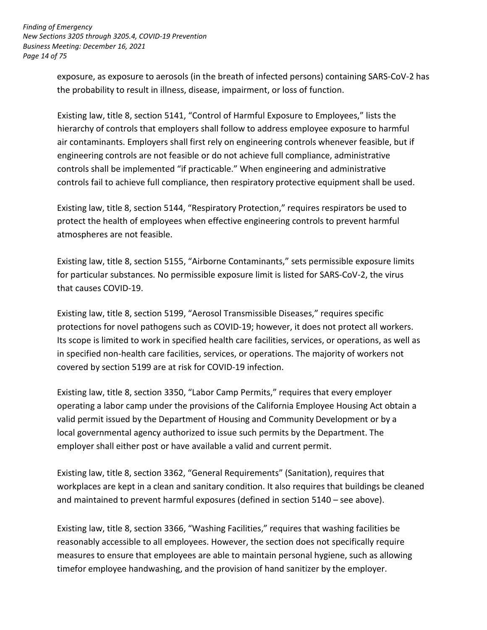*Page 14 of 75 Finding of Emergency New Sections 3205 through 3205.4, COVID-19 Prevention Business Meeting: December 16, 2021* 

> exposure, as exposure to aerosols (in the breath of infected persons) containing SARS-CoV-2 has the probability to result in illness, disease, impairment, or loss of function.

 Existing law, title 8, section 5141, "Control of Harmful Exposure to Employees," lists the hierarchy of controls that employers shall follow to address employee exposure to harmful air contaminants. Employers shall first rely on engineering controls whenever feasible, but if engineering controls are not feasible or do not achieve full compliance, administrative controls fail to achieve full compliance, then respiratory protective equipment shall be used. controls shall be implemented "if practicable." When engineering and administrative

 Existing law, title 8, section 5144, "Respiratory Protection," requires respirators be used to protect the health of employees when effective engineering controls to prevent harmful atmospheres are not feasible.

 Existing law, title 8, section 5155, "Airborne Contaminants," sets permissible exposure limits for particular substances. No permissible exposure limit is listed for SARS-CoV-2, the virus that causes COVID-19.

 Existing law, title 8, section 5199, "Aerosol Transmissible Diseases," requires specific protections for novel pathogens such as COVID-19; however, it does not protect all workers. in specified non-health care facilities, services, or operations. The majority of workers not covered by section 5199 are at risk for COVID-19 infection. Its scope is limited to work in specified health care facilities, services, or operations, as well as

 Existing law, title 8, section 3350, "Labor Camp Permits," requires that every employer operating a labor camp under the provisions of the California Employee Housing Act obtain a valid permit issued by the Department of Housing and Community Development or by a local governmental agency authorized to issue such permits by the Department. The employer shall either post or have available a valid and current permit.

 Existing law, title 8, section 3362, "General Requirements" (Sanitation), requires that workplaces are kept in a clean and sanitary condition. It also requires that buildings be cleaned and maintained to prevent harmful exposures (defined in section 5140 – see above).

 Existing law, title 8, section 3366, "Washing Facilities," requires that washing facilities be reasonably accessible to all employees. However, the section does not specifically require measures to ensure that employees are able to maintain personal hygiene, such as allowing timefor employee handwashing, and the provision of hand sanitizer by the employer.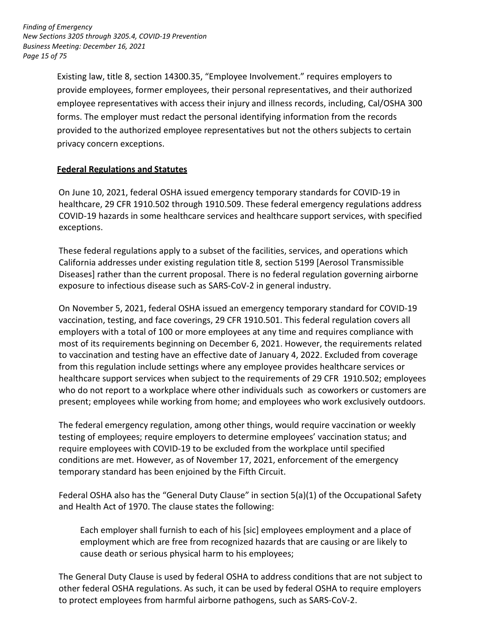*Page 15 of 75 Finding of Emergency New Sections 3205 through 3205.4, COVID-19 Prevention Business Meeting: December 16, 2021* 

> Existing law, title 8, section 14300.35, "Employee Involvement." requires employers to provide employees, former employees, their personal representatives, and their authorized employee representatives with access their injury and illness records, including, Cal/OSHA 300 forms. The employer must redact the personal identifying information from the records provided to the authorized employee representatives but not the others subjects to certain privacy concern exceptions.

#### **Federal Regulations and Statutes**

 On June 10, 2021, federal OSHA issued emergency temporary standards for COVID-19 in healthcare, 29 CFR 1910.502 through 1910.509. These federal emergency regulations address COVID-19 hazards in some healthcare services and healthcare support services, with specified exceptions.

 These federal regulations apply to a subset of the facilities, services, and operations which California addresses under existing regulation title 8, section 5199 [Aerosol Transmissible Diseases] rather than the current proposal. There is no federal regulation governing airborne exposure to infectious disease such as SARS-CoV-2 in general industry.

 On November 5, 2021, federal OSHA issued an emergency temporary standard for COVID-19 vaccination, testing, and face coverings, 29 CFR 1910.501. This federal regulation covers all employers with a total of 100 or more employees at any time and requires compliance with most of its requirements beginning on December 6, 2021. However, the requirements related to vaccination and testing have an effective date of January 4, 2022. Excluded from coverage from this regulation include settings where any employee provides healthcare services or healthcare support services when subject to the requirements of 29 CFR 1910.502; employees present; employees while working from home; and employees who work exclusively outdoors. who do not report to a workplace where other individuals such as coworkers or customers are

 The federal emergency regulation, among other things, would require vaccination or weekly testing of employees; require employers to determine employees' vaccination status; and conditions are met. However, as of November 17, 2021, enforcement of the emergency temporary standard has been enjoined by the Fifth Circuit. require employees with COVID-19 to be excluded from the workplace until specified

 Federal OSHA also has the "General Duty Clause" in section 5(a)(1) of the Occupational Safety and Health Act of 1970. The clause states the following:

 employment which are free from recognized hazards that are causing or are likely to Each employer shall furnish to each of his [sic] employees employment and a place of cause death or serious physical harm to his employees;

 The General Duty Clause is used by federal OSHA to address conditions that are not subject to other federal OSHA regulations. As such, it can be used by federal OSHA to require employers to protect employees from harmful airborne pathogens, such as SARS-CoV-2.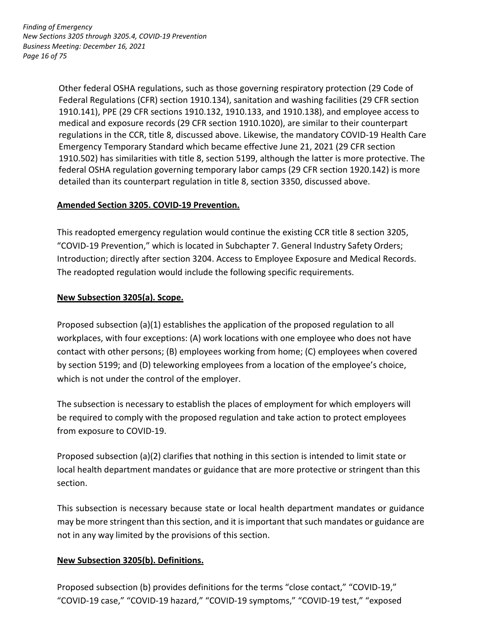*Page 16 of 75 Finding of Emergency New Sections 3205 through 3205.4, COVID-19 Prevention Business Meeting: December 16, 2021* 

> Other federal OSHA regulations, such as those governing respiratory protection (29 Code of 1910.141), PPE (29 CFR sections 1910.132, 1910.133, and 1910.138), and employee access to Emergency Temporary Standard which became effective June 21, 2021 (29 CFR section 1910.502) has similarities with title 8, section 5199, although the latter is more protective. The federal OSHA regulation governing temporary labor camps (29 CFR section 1920.142) is more detailed than its counterpart regulation in title 8, section 3350, discussed above. Federal Regulations (CFR) section 1910.134), sanitation and washing facilities (29 CFR section medical and exposure records (29 CFR section 1910.1020), are similar to their counterpart regulations in the CCR, title 8, discussed above. Likewise, the mandatory COVID-19 Health Care

# **Amended Section 3205. COVID-19 Prevention.**

 "COVID-19 Prevention," which is located in Subchapter 7. General Industry Safety Orders; The readopted regulation would include the following specific requirements. This readopted emergency regulation would continue the existing CCR title 8 section 3205, Introduction; directly after section 3204. Access to Employee Exposure and Medical Records.

# **New Subsection 3205(a). Scope.**

 Proposed subsection (a)(1) establishes the application of the proposed regulation to all workplaces, with four exceptions: (A) work locations with one employee who does not have contact with other persons; (B) employees working from home; (C) employees when covered by section 5199; and (D) teleworking employees from a location of the employee's choice, which is not under the control of the employer.

 The subsection is necessary to establish the places of employment for which employers will from exposure to COVID-19. be required to comply with the proposed regulation and take action to protect employees

 Proposed subsection (a)(2) clarifies that nothing in this section is intended to limit state or local health department mandates or guidance that are more protective or stringent than this section.

 This subsection is necessary because state or local health department mandates or guidance may be more stringent than this section, and it is important that such mandates or guidance are not in any way limited by the provisions of this section.

# **New Subsection 3205(b). Definitions.**

 Proposed subsection (b) provides definitions for the terms "close contact," "COVID-19," "COVID-19 case," "COVID-19 hazard," "COVID-19 symptoms," "COVID-19 test," "exposed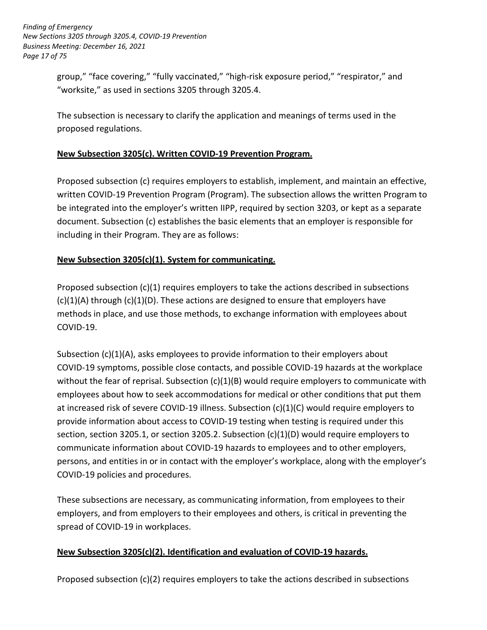*Page 17 of 75 Finding of Emergency New Sections 3205 through 3205.4, COVID-19 Prevention Business Meeting: December 16, 2021* 

> group," "face covering," "fully vaccinated," "high-risk exposure period," "respirator," and "worksite," as used in sections 3205 through 3205.4.

 The subsection is necessary to clarify the application and meanings of terms used in the proposed regulations.

# **New Subsection 3205(c). Written COVID-19 Prevention Program.**

 written COVID-19 Prevention Program (Program). The subsection allows the written Program to be integrated into the employer's written IIPP, required by section 3203, or kept as a separate document. Subsection (c) establishes the basic elements that an employer is responsible for including in their Program. They are as follows: Proposed subsection (c) requires employers to establish, implement, and maintain an effective,

#### **New Subsection 3205(c)(1). System for communicating.**

 Proposed subsection (c)(1) requires employers to take the actions described in subsections (c)(1)(A) through (c)(1)(D). These actions are designed to ensure that employers have methods in place, and use those methods, to exchange information with employees about COVID-19.

 Subsection (c)(1)(A), asks employees to provide information to their employers about without the fear of reprisal. Subsection (c)(1)(B) would require employers to communicate with employees about how to seek accommodations for medical or other conditions that put them provide information about access to COVID-19 testing when testing is required under this section, section 3205.1, or section 3205.2. Subsection (c)(1)(D) would require employers to communicate information about COVID-19 hazards to employees and to other employers, persons, and entities in or in contact with the employer's workplace, along with the employer's COVID-19 symptoms, possible close contacts, and possible COVID-19 hazards at the workplace at increased risk of severe COVID-19 illness. Subsection (c)(1)(C) would require employers to COVID-19 policies and procedures.

 These subsections are necessary, as communicating information, from employees to their employers, and from employers to their employees and others, is critical in preventing the spread of COVID-19 in workplaces.

# **New Subsection 3205(c)(2). Identification and evaluation of COVID-19 hazards.**

Proposed subsection (c)(2) requires employers to take the actions described in subsections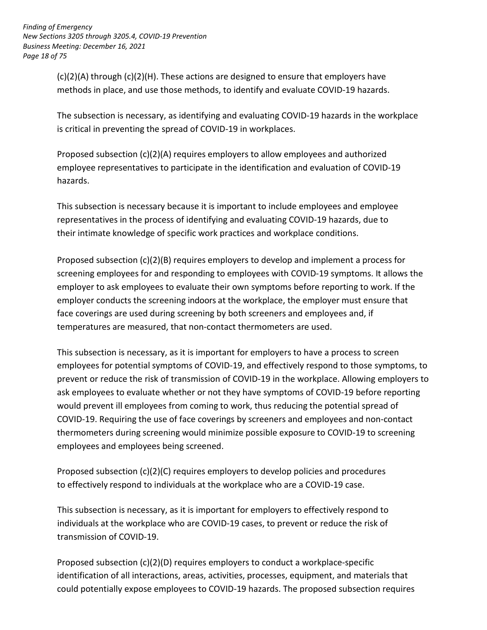*Page 18 of 75 Finding of Emergency New Sections 3205 through 3205.4, COVID-19 Prevention Business Meeting: December 16, 2021* 

> (c)(2)(A) through (c)(2)(H). These actions are designed to ensure that employers have methods in place, and use those methods, to identify and evaluate COVID-19 hazards.

 is critical in preventing the spread of COVID-19 in workplaces. The subsection is necessary, as identifying and evaluating COVID-19 hazards in the workplace

 Proposed subsection (c)(2)(A) requires employers to allow employees and authorized employee representatives to participate in the identification and evaluation of COVID-19 hazards.

 This subsection is necessary because it is important to include employees and employee representatives in the process of identifying and evaluating COVID-19 hazards, due to their intimate knowledge of specific work practices and workplace conditions.

 Proposed subsection (c)(2)(B) requires employers to develop and implement a process for employer to ask employees to evaluate their own symptoms before reporting to work. If the employer conducts the screening indoors at the workplace, the employer must ensure that face coverings are used during screening by both screeners and employees and, if temperatures are measured, that non-contact thermometers are used. screening employees for and responding to employees with COVID-19 symptoms. It allows the

 employees for potential symptoms of COVID-19, and effectively respond to those symptoms, to prevent or reduce the risk of transmission of COVID-19 in the workplace. Allowing employers to would prevent ill employees from coming to work, thus reducing the potential spread of COVID-19. Requiring the use of face coverings by screeners and employees and non-contact thermometers during screening would minimize possible exposure to COVID-19 to screening employees and employees being screened. This subsection is necessary, as it is important for employers to have a process to screen ask employees to evaluate whether or not they have symptoms of COVID-19 before reporting

 Proposed subsection (c)(2)(C) requires employers to develop policies and procedures to effectively respond to individuals at the workplace who are a COVID-19 case.

 This subsection is necessary, as it is important for employers to effectively respond to individuals at the workplace who are COVID-19 cases, to prevent or reduce the risk of transmission of COVID-19.

 identification of all interactions, areas, activities, processes, equipment, and materials that could potentially expose employees to COVID-19 hazards. The proposed subsection requires Proposed subsection (c)(2)(D) requires employers to conduct a workplace-specific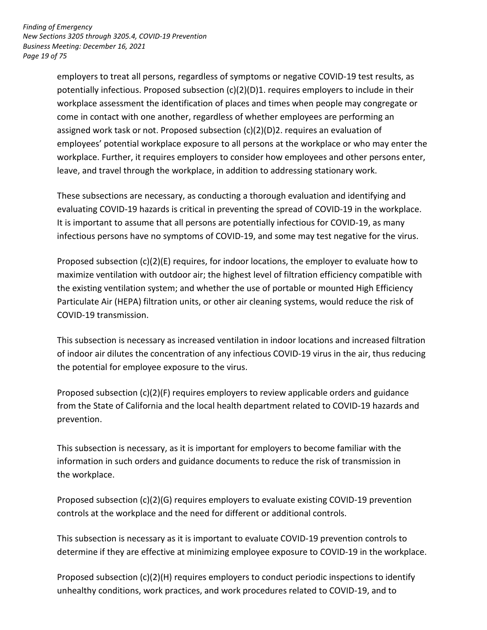*Page 19 of 75 Finding of Emergency New Sections 3205 through 3205.4, COVID-19 Prevention Business Meeting: December 16, 2021* 

> come in contact with one another, regardless of whether employees are performing an assigned work task or not. Proposed subsection (c)(2)(D)2. requires an evaluation of employees' potential workplace exposure to all persons at the workplace or who may enter the workplace. Further, it requires employers to consider how employees and other persons enter, leave, and travel through the workplace, in addition to addressing stationary work. employers to treat all persons, regardless of symptoms or negative COVID-19 test results, as potentially infectious. Proposed subsection (c)(2)(D)1. requires employers to include in their workplace assessment the identification of places and times when people may congregate or

 infectious persons have no symptoms of COVID-19, and some may test negative for the virus. These subsections are necessary, as conducting a thorough evaluation and identifying and evaluating COVID-19 hazards is critical in preventing the spread of COVID-19 in the workplace. It is important to assume that all persons are potentially infectious for COVID-19, as many

 Proposed subsection (c)(2)(E) requires, for indoor locations, the employer to evaluate how to the existing ventilation system; and whether the use of portable or mounted High Efficiency maximize ventilation with outdoor air; the highest level of filtration efficiency compatible with Particulate Air (HEPA) filtration units, or other air cleaning systems, would reduce the risk of COVID-19 transmission.

 of indoor air dilutes the concentration of any infectious COVID-19 virus in the air, thus reducing the potential for employee exposure to the virus. This subsection is necessary as increased ventilation in indoor locations and increased filtration

 Proposed subsection (c)(2)(F) requires employers to review applicable orders and guidance from the State of California and the local health department related to COVID-19 hazards and prevention.

 information in such orders and guidance documents to reduce the risk of transmission in the workplace. This subsection is necessary, as it is important for employers to become familiar with the

 controls at the workplace and the need for different or additional controls. Proposed subsection (c)(2)(G) requires employers to evaluate existing COVID-19 prevention

 determine if they are effective at minimizing employee exposure to COVID-19 in the workplace. This subsection is necessary as it is important to evaluate COVID-19 prevention controls to

Proposed subsection (c)(2)(H) requires employers to conduct periodic inspections to identify unhealthy conditions, work practices, and work procedures related to COVID-19, and to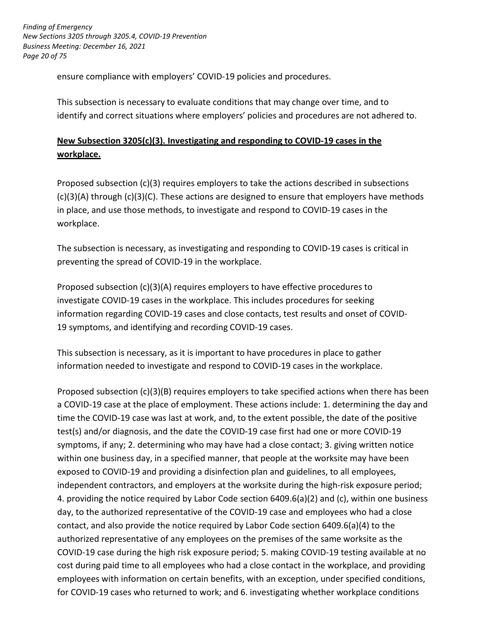*Page 20 of 75 Finding of Emergency New Sections 3205 through 3205.4, COVID-19 Prevention Business Meeting: December 16, 2021* 

ensure compliance with employers' COVID-19 policies and procedures.

 This subsection is necessary to evaluate conditions that may change over time, and to identify and correct situations where employers' policies and procedures are not adhered to.

# **New Subsection 3205(c)(3). Investigating and responding to COVID-19 cases in the workplace.**

 Proposed subsection (c)(3) requires employers to take the actions described in subsections (c)(3)(A) through (c)(3)(C). These actions are designed to ensure that employers have methods in place, and use those methods, to investigate and respond to COVID-19 cases in the workplace.

 The subsection is necessary, as investigating and responding to COVID-19 cases is critical in preventing the spread of COVID-19 in the workplace.

Proposed subsection (c)(3)(A) requires employers to have effective procedures to investigate COVID-19 cases in the workplace. This includes procedures for seeking information regarding COVID-19 cases and close contacts, test results and onset of COVID-19 symptoms, and identifying and recording COVID-19 cases.

 This subsection is necessary, as it is important to have procedures in place to gather information needed to investigate and respond to COVID-19 cases in the workplace.

Proposed subsection (c)(3)(B) requires employers to take specified actions when there has been a COVID-19 case at the place of employment. These actions include: 1. determining the day and time the COVID-19 case was last at work, and, to the extent possible, the date of the positive test(s) and/or diagnosis, and the date the COVID-19 case first had one or more COVID-19 symptoms, if any; 2. determining who may have had a close contact; 3. giving written notice within one business day, in a specified manner, that people at the worksite may have been exposed to COVID-19 and providing a disinfection plan and guidelines, to all employees, independent contractors, and employers at the worksite during the high-risk exposure period; 4. providing the notice required by Labor Code section 6409.6(a)(2) and (c), within one business day, to the authorized representative of the COVID-19 case and employees who had a close contact, and also provide the notice required by Labor Code section 6409.6(a)(4) to the authorized representative of any employees on the premises of the same worksite as the COVID-19 case during the high risk exposure period; 5. making COVID-19 testing available at no cost during paid time to all employees who had a close contact in the workplace, and providing employees with information on certain benefits, with an exception, under specified conditions, for COVID-19 cases who returned to work; and 6. investigating whether workplace conditions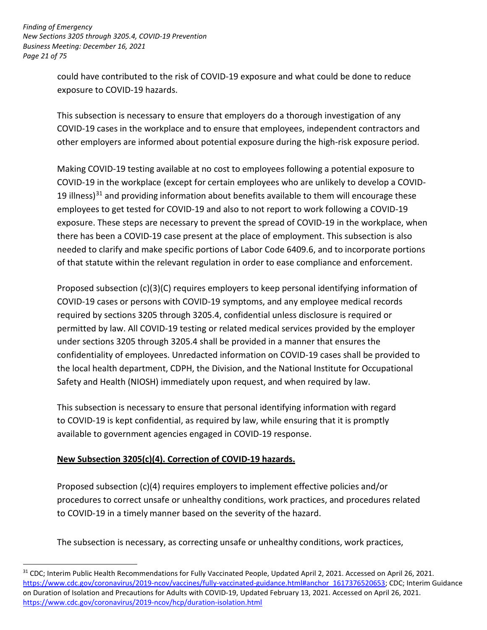*Page 21 of 75 Finding of Emergency New Sections 3205 through 3205.4, COVID-19 Prevention Business Meeting: December 16, 2021* 

> could have contributed to the risk of COVID-19 exposure and what could be done to reduce exposure to COVID-19 hazards.

 This subsection is necessary to ensure that employers do a thorough investigation of any COVID-19 cases in the workplace and to ensure that employees, independent contractors and other employers are informed about potential exposure during the high-risk exposure period.

19 illness) $31$  and providing information about benefits available to them will encourage these employees to get tested for COVID-19 and also to not report to work following a COVID-19 there has been a COVID-19 case present at the place of employment. This subsection is also needed to clarify and make specific portions of Labor Code 6409.6, and to incorporate portions of that statute within the relevant regulation in order to ease compliance and enforcement. Making COVID-19 testing available at no cost to employees following a potential exposure to COVID-19 in the workplace (except for certain employees who are unlikely to develop a COVIDexposure. These steps are necessary to prevent the spread of COVID-19 in the workplace, when

 Proposed subsection (c)(3)(C) requires employers to keep personal identifying information of COVID-19 cases or persons with COVID-19 symptoms, and any employee medical records required by sections 3205 through 3205.4, confidential unless disclosure is required or permitted by law. All COVID-19 testing or related medical services provided by the employer under sections 3205 through 3205.4 shall be provided in a manner that ensures the confidentiality of employees. Unredacted information on COVID-19 cases shall be provided to the local health department, CDPH, the Division, and the National Institute for Occupational Safety and Health (NIOSH) immediately upon request, and when required by law.

 This subsection is necessary to ensure that personal identifying information with regard to COVID-19 is kept confidential, as required by law, while ensuring that it is promptly available to government agencies engaged in COVID-19 response.

# **New Subsection 3205(c)(4). Correction of COVID-19 hazards.**

<u>.</u>

 Proposed subsection (c)(4) requires employers to implement effective policies and/or procedures to correct unsafe or unhealthy conditions, work practices, and procedures related to COVID-19 in a timely manner based on the severity of the hazard.

The subsection is necessary, as correcting unsafe or unhealthy conditions, work practices,

<sup>&</sup>lt;sup>31</sup> CDC; Interim Public Health Recommendations for Fully Vaccinated People, Updated April 2, 2021. Accessed on April 26, 2021. [https://www.cdc.gov/coronavirus/2019-ncov/vaccines/fully-vaccinated-guidance.html#anchor\\_1617376520653;](https://www.cdc.gov/coronavirus/2019-ncov/vaccines/fully-vaccinated-guidance.html#anchor_1617376520653) CDC; Interim Guidance on Duration of Isolation and Precautions for Adults with COVID-19, Updated February 13, 2021. Accessed on April 26, 2021. <https://www.cdc.gov/coronavirus/2019-ncov/hcp/duration-isolation.html>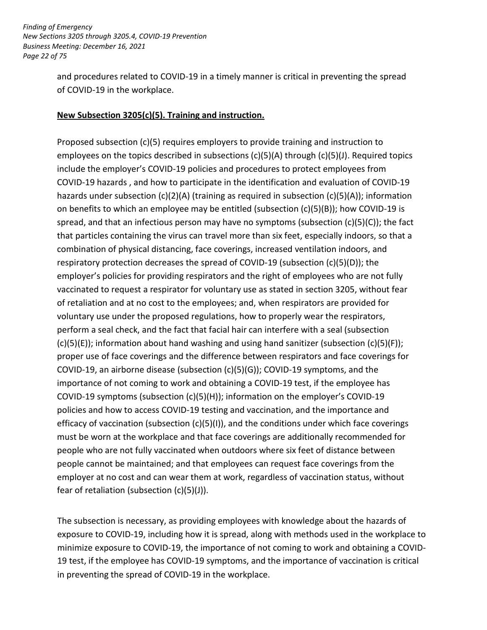*Page 22 of 75 Finding of Emergency New Sections 3205 through 3205.4, COVID-19 Prevention Business Meeting: December 16, 2021* 

> and procedures related to COVID-19 in a timely manner is critical in preventing the spread of COVID-19 in the workplace.

#### **New Subsection 3205(c)(5). Training and instruction.**

 Proposed subsection (c)(5) requires employers to provide training and instruction to employees on the topics described in subsections (c)(5)(A) through (c)(5)(J). Required topics hazards under subsection (c)(2)(A) (training as required in subsection (c)(5)(A)); information on benefits to which an employee may be entitled (subsection (c)(5)(B)); how COVID-19 is that particles containing the virus can travel more than six feet, especially indoors, so that a combination of physical distancing, face coverings, increased ventilation indoors, and respiratory protection decreases the spread of COVID-19 (subsection (c)(5)(D)); the employer's policies for providing respirators and the right of employees who are not fully vaccinated to request a respirator for voluntary use as stated in section 3205, without fear of retaliation and at no cost to the employees; and, when respirators are provided for voluntary use under the proposed regulations, how to properly wear the respirators, perform a seal check, and the fact that facial hair can interfere with a seal (subsection proper use of face coverings and the difference between respirators and face coverings for COVID-19, an airborne disease (subsection (c)(5)(G)); COVID-19 symptoms, and the importance of not coming to work and obtaining a COVID-19 test, if the employee has COVID-19 symptoms (subsection (c)(5)(H)); information on the employer's COVID-19 efficacy of vaccination (subsection (c)(5)(I)), and the conditions under which face coverings people who are not fully vaccinated when outdoors where six feet of distance between people cannot be maintained; and that employees can request face coverings from the employer at no cost and can wear them at work, regardless of vaccination status, without fear of retaliation (subsection (c)(5)(J)). include the employer's COVID-19 policies and procedures to protect employees from COVID-19 hazards , and how to participate in the identification and evaluation of COVID-19 spread, and that an infectious person may have no symptoms (subsection (c)(5)(C)); the fact  $(c)(5)(E)$ ; information about hand washing and using hand sanitizer (subsection  $(c)(5)(F)$ ); policies and how to access COVID-19 testing and vaccination, and the importance and must be worn at the workplace and that face coverings are additionally recommended for

The subsection is necessary, as providing employees with knowledge about the hazards of exposure to COVID-19, including how it is spread, along with methods used in the workplace to minimize exposure to COVID-19, the importance of not coming to work and obtaining a COVID-19 test, if the employee has COVID-19 symptoms, and the importance of vaccination is critical in preventing the spread of COVID-19 in the workplace.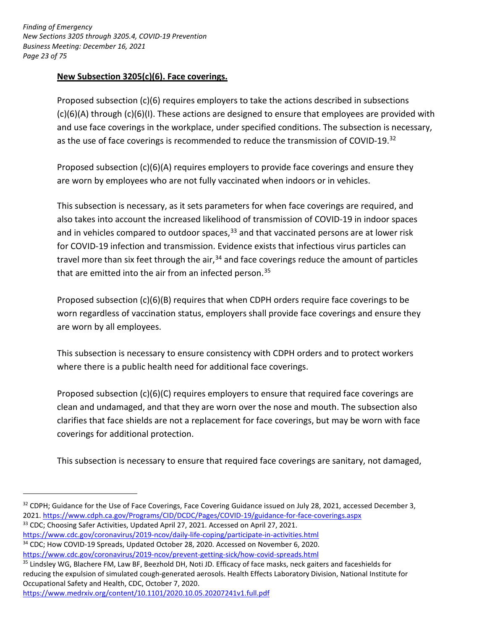*Page 23 of 75 Finding of Emergency New Sections 3205 through 3205.4, COVID-19 Prevention Business Meeting: December 16, 2021* 

#### **New Subsection 3205(c)(6). Face coverings.**

 Proposed subsection (c)(6) requires employers to take the actions described in subsections (c)(6)(A) through (c)(6)(I). These actions are designed to ensure that employees are provided with and use face coverings in the workplace, under specified conditions. The subsection is necessary, as the use of face coverings is recommended to reduce the transmission of COVID-19.<sup>32</sup>

 Proposed subsection (c)(6)(A) requires employers to provide face coverings and ensure they are worn by employees who are not fully vaccinated when indoors or in vehicles.

 This subsection is necessary, as it sets parameters for when face coverings are required, and also takes into account the increased likelihood of transmission of COVID-19 in indoor spaces and in vehicles compared to outdoor spaces,<sup>33</sup> and that vaccinated persons are at lower risk for COVID-19 infection and transmission. Evidence exists that infectious virus particles can travel more than six feet through the air,<sup>34</sup> and face coverings reduce the amount of particles that are emitted into the air from an infected person.<sup>35</sup>

 Proposed subsection (c)(6)(B) requires that when CDPH orders require face coverings to be worn regardless of vaccination status, employers shall provide face coverings and ensure they are worn by all employees.

are worn by all employees.<br>This subsection is necessary to ensure consistency with CDPH orders and to protect workers where there is a public health need for additional face coverings.

 Proposed subsection (c)(6)(C) requires employers to ensure that required face coverings are clean and undamaged, and that they are worn over the nose and mouth. The subsection also clarifies that face shields are not a replacement for face coverings, but may be worn with face coverings for additional protection.

This subsection is necessary to ensure that required face coverings are sanitary, not damaged,

- 
- https://www.cdc.gov/coronavirus/2019-ncov/daily-life-coping/participate-in-activities.html<br><sup>34</sup> CDC; How COVID-19 Spreads, Updated October 28, 2020. Accessed on November 6, 2020.

<https://www.medrxiv.org/content/10.1101/2020.10.05.20207241v1.full.pdf>

<u>.</u>

<sup>&</sup>lt;sup>33</sup> CDC; Choosing Safer Activities, Updated April 27, 2021. Accessed on April 27, 2021.  $32$  CDPH; Guidance for the Use of Face Coverings, Face Covering Guidance issued on July 28, 2021, accessed December 3, 2021. https://www.cdph.ca.gov/Programs/CID/DCDC/Pages/COVID-19/guidance-for-face-coverings.aspx

https://www.cdc.gov/coronavirus/2019-ncov/prevent-getting-sick/how-covid-spreads.html<br><sup>35</sup> Lindsley WG, Blachere FM, Law BF, Beezhold DH, Noti JD. Efficacy of face masks, neck gaiters and faceshields for reducing the expulsion of simulated cough-generated aerosols. Health Effects Laboratory Division, National Institute for Occupational Safety and Health, CDC, October 7, 2020.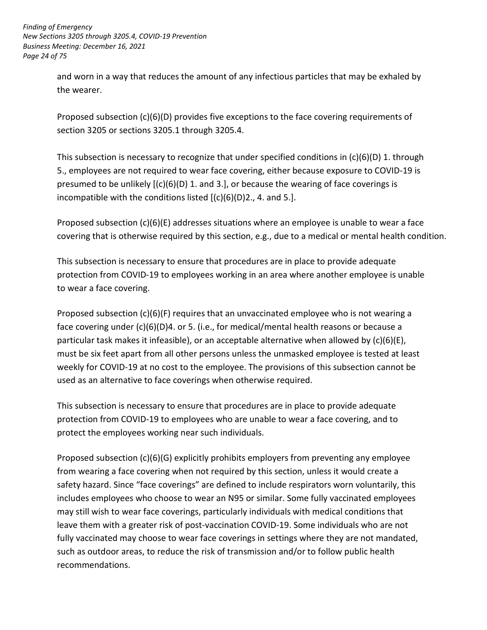*Page 24 of 75 Finding of Emergency New Sections 3205 through 3205.4, COVID-19 Prevention Business Meeting: December 16, 2021* 

> and worn in a way that reduces the amount of any infectious particles that may be exhaled by the wearer.

 section 3205 or sections 3205.1 through 3205.4. Proposed subsection (c)(6)(D) provides five exceptions to the face covering requirements of

 5., employees are not required to wear face covering, either because exposure to COVID-19 is presumed to be unlikely [(c)(6)(D) 1. and 3.], or because the wearing of face coverings is This subsection is necessary to recognize that under specified conditions in (c)(6)(D) 1. through incompatible with the conditions listed  $[(c)(6)(D)2., 4.$  and 5.].

 Proposed subsection (c)(6)(E) addresses situations where an employee is unable to wear a face covering that is otherwise required by this section, e.g., due to a medical or mental health condition.

 This subsection is necessary to ensure that procedures are in place to provide adequate protection from COVID-19 to employees working in an area where another employee is unable to wear a face covering.

 Proposed subsection (c)(6)(F) requires that an unvaccinated employee who is not wearing a particular task makes it infeasible), or an acceptable alternative when allowed by (c)(6)(E), must be six feet apart from all other persons unless the unmasked employee is tested at least weekly for COVID-19 at no cost to the employee. The provisions of this subsection cannot be used as an alternative to face coverings when otherwise required. face covering under (c)(6)(D)4. or 5. (i.e., for medical/mental health reasons or because a

 This subsection is necessary to ensure that procedures are in place to provide adequate protection from COVID-19 to employees who are unable to wear a face covering, and to protect the employees working near such individuals.

 Proposed subsection (c)(6)(G) explicitly prohibits employers from preventing any employee safety hazard. Since "face coverings" are defined to include respirators worn voluntarily, this includes employees who choose to wear an N95 or similar. Some fully vaccinated employees leave them with a greater risk of post-vaccination COVID-19. Some individuals who are not fully vaccinated may choose to wear face coverings in settings where they are not mandated, such as outdoor areas, to reduce the risk of transmission and/or to follow public health from wearing a face covering when not required by this section, unless it would create a may still wish to wear face coverings, particularly individuals with medical conditions that recommendations.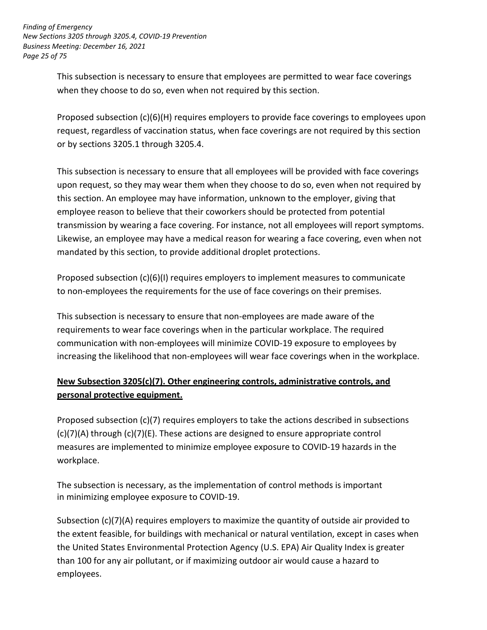*Page 25 of 75 Finding of Emergency New Sections 3205 through 3205.4, COVID-19 Prevention Business Meeting: December 16, 2021* 

> This subsection is necessary to ensure that employees are permitted to wear face coverings when they choose to do so, even when not required by this section.

 Proposed subsection (c)(6)(H) requires employers to provide face coverings to employees upon request, regardless of vaccination status, when face coverings are not required by this section or by sections 3205.1 through 3205.4.

 This subsection is necessary to ensure that all employees will be provided with face coverings upon request, so they may wear them when they choose to do so, even when not required by this section. An employee may have information, unknown to the employer, giving that employee reason to believe that their coworkers should be protected from potential transmission by wearing a face covering. For instance, not all employees will report symptoms. mandated by this section, to provide additional droplet protections. Likewise, an employee may have a medical reason for wearing a face covering, even when not

 Proposed subsection (c)(6)(I) requires employers to implement measures to communicate to non-employees the requirements for the use of face coverings on their premises.

 This subsection is necessary to ensure that non-employees are made aware of the requirements to wear face coverings when in the particular workplace. The required communication with non-employees will minimize COVID-19 exposure to employees by increasing the likelihood that non-employees will wear face coverings when in the workplace.

# **personal protective equipment. New Subsection 3205(c)(7). Other engineering controls, administrative controls, and**

 Proposed subsection (c)(7) requires employers to take the actions described in subsections (c)(7)(A) through (c)(7)(E). These actions are designed to ensure appropriate control measures are implemented to minimize employee exposure to COVID-19 hazards in the workplace.

 in minimizing employee exposure to COVID-19. The subsection is necessary, as the implementation of control methods is important

 Subsection (c)(7)(A) requires employers to maximize the quantity of outside air provided to the extent feasible, for buildings with mechanical or natural ventilation, except in cases when the United States Environmental Protection Agency (U.S. EPA) Air Quality Index is greater than 100 for any air pollutant, or if maximizing outdoor air would cause a hazard to employees.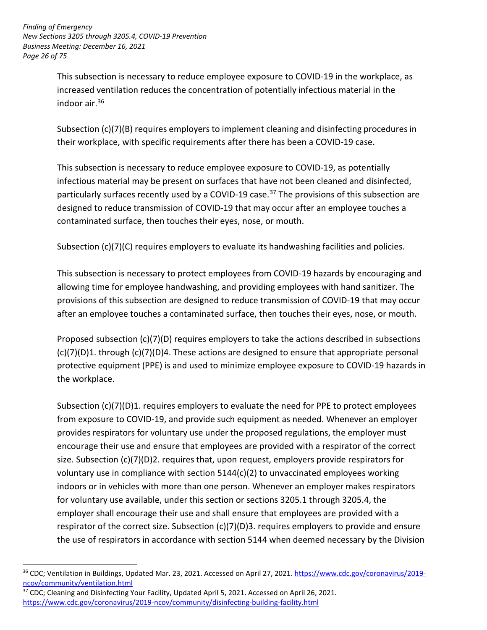*Finding of Emergency New Sections 3205 through 3205.4, COVID-19 Prevention Business Meeting: December 16, 2021 Page 26 of 75*

> This subsection is necessary to reduce employee exposure to COVID-19 in the workplace, as increased ventilation reduces the concentration of potentially infectious material in the indoor air. $36$

Subsection (c)(7)(B) requires employers to implement cleaning and disinfecting procedures in their workplace, with specific requirements after there has been a COVID-19 case.

This subsection is necessary to reduce employee exposure to COVID-19, as potentially infectious material may be present on surfaces that have not been cleaned and disinfected, particularly surfaces recently used by a COVID-19 case.<sup>37</sup> The provisions of this subsection are designed to reduce transmission of COVID-19 that may occur after an employee touches a contaminated surface, then touches their eyes, nose, or mouth.

Subsection (c)(7)(C) requires employers to evaluate its handwashing facilities and policies.

This subsection is necessary to protect employees from COVID-19 hazards by encouraging and allowing time for employee handwashing, and providing employees with hand sanitizer. The provisions of this subsection are designed to reduce transmission of COVID-19 that may occur after an employee touches a contaminated surface, then touches their eyes, nose, or mouth.

Proposed subsection (c)(7)(D) requires employers to take the actions described in subsections  $(c)(7)(D)1.$  through  $(c)(7)(D)4.$  These actions are designed to ensure that appropriate personal protective equipment (PPE) is and used to minimize employee exposure to COVID-19 hazards in the workplace.

Subsection  $(c)(7)(D)1$ . requires employers to evaluate the need for PPE to protect employees from exposure to COVID-19, and provide such equipment as needed. Whenever an employer provides respirators for voluntary use under the proposed regulations, the employer must encourage their use and ensure that employees are provided with a respirator of the correct size. Subsection  $(c)(7)(D)$ 2. requires that, upon request, employers provide respirators for voluntary use in compliance with section 5144(c)(2) to unvaccinated employees working indoors or in vehicles with more than one person. Whenever an employer makes respirators for voluntary use available, under this section or sections 3205.1 through 3205.4, the employer shall encourage their use and shall ensure that employees are provided with a respirator of the correct size. Subsection (c)(7)(D)3. requires employers to provide and ensure the use of respirators in accordance with section 5144 when deemed necessary by the Division

<sup>37</sup> CDC; Cleaning and Disinfecting Your Facility, Updated April 5, 2021. Accessed on April 26, 2021. <https://www.cdc.gov/coronavirus/2019-ncov/community/disinfecting-building-facility.html>

<sup>&</sup>lt;u>.</u> <sup>36</sup> CDC; Ventilation in Buildings, Updated Mar. 23, 2021. Accessed on April 27, 2021. [https://www.cdc.gov/coronavirus/2019](https://www.cdc.gov/coronavirus/2019-ncov/community/ventilation.html) [ncov/community/ventilation.html](https://www.cdc.gov/coronavirus/2019-ncov/community/ventilation.html)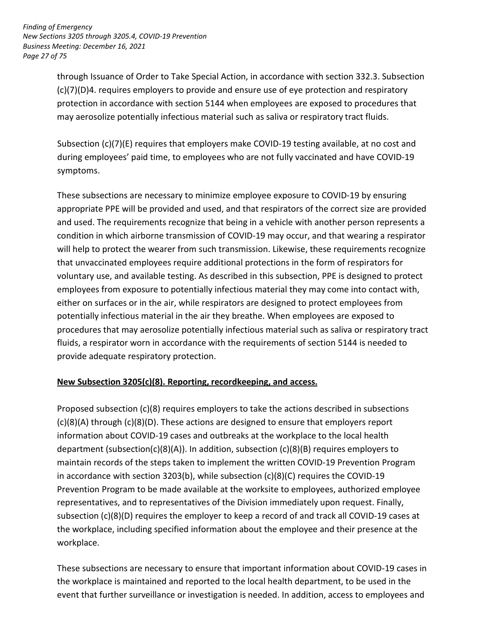*Finding of Emergency New Sections 3205 through 3205.4, COVID-19 Prevention Business Meeting: December 16, 2021 Page 27 of 75*

> through Issuance of Order to Take Special Action, in accordance with section 332.3. Subsection (c)(7)(D)4. requires employers to provide and ensure use of eye protection and respiratory protection in accordance with section 5144 when employees are exposed to procedures that may aerosolize potentially infectious material such as saliva or respiratory tract fluids.

Subsection (c)(7)(E) requires that employers make COVID-19 testing available, at no cost and during employees' paid time, to employees who are not fully vaccinated and have COVID-19 symptoms.

These subsections are necessary to minimize employee exposure to COVID-19 by ensuring appropriate PPE will be provided and used, and that respirators of the correct size are provided and used. The requirements recognize that being in a vehicle with another person represents a condition in which airborne transmission of COVID-19 may occur, and that wearing a respirator will help to protect the wearer from such transmission. Likewise, these requirements recognize that unvaccinated employees require additional protections in the form of respirators for voluntary use, and available testing. As described in this subsection, PPE is designed to protect employees from exposure to potentially infectious material they may come into contact with, either on surfaces or in the air, while respirators are designed to protect employees from potentially infectious material in the air they breathe. When employees are exposed to procedures that may aerosolize potentially infectious material such as saliva or respiratory tract fluids, a respirator worn in accordance with the requirements of section 5144 is needed to provide adequate respiratory protection.

# **New Subsection 3205(c)(8). Reporting, recordkeeping, and access.**

Proposed subsection (c)(8) requires employers to take the actions described in subsections (c)(8)(A) through (c)(8)(D). These actions are designed to ensure that employers report information about COVID-19 cases and outbreaks at the workplace to the local health department (subsection(c)(8)(A)). In addition, subsection (c)(8)(B) requires employers to maintain records of the steps taken to implement the written COVID-19 Prevention Program in accordance with section 3203(b), while subsection  $(c)(8)(C)$  requires the COVID-19 Prevention Program to be made available at the worksite to employees, authorized employee representatives, and to representatives of the Division immediately upon request. Finally, subsection (c)(8)(D) requires the employer to keep a record of and track all COVID-19 cases at the workplace, including specified information about the employee and their presence at the workplace.

These subsections are necessary to ensure that important information about COVID-19 cases in the workplace is maintained and reported to the local health department, to be used in the event that further surveillance or investigation is needed. In addition, access to employees and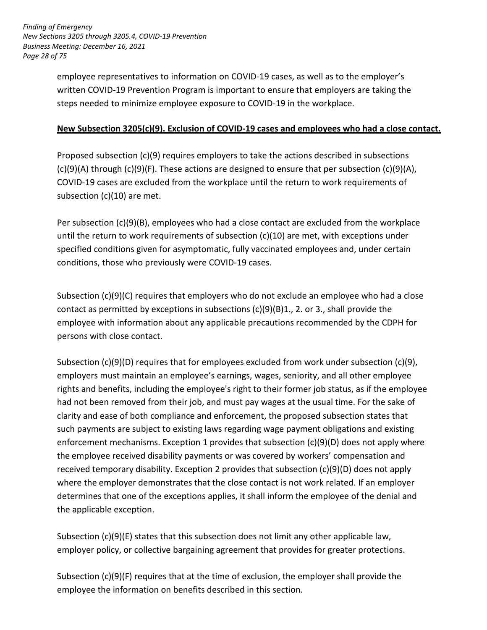*Finding of Emergency New Sections 3205 through 3205.4, COVID-19 Prevention Business Meeting: December 16, 2021 Page 28 of 75*

> employee representatives to information on COVID-19 cases, as well as to the employer's written COVID-19 Prevention Program is important to ensure that employers are taking the steps needed to minimize employee exposure to COVID-19 in the workplace.

### **New Subsection 3205(c)(9). Exclusion of COVID-19 cases and employees who had a close contact.**

Proposed subsection (c)(9) requires employers to take the actions described in subsections  $(c)(9)(A)$  through  $(c)(9)(F)$ . These actions are designed to ensure that per subsection  $(c)(9)(A)$ , COVID-19 cases are excluded from the workplace until the return to work requirements of subsection (c)(10) are met.

Per subsection (c)(9)(B), employees who had a close contact are excluded from the workplace until the return to work requirements of subsection (c)(10) are met, with exceptions under specified conditions given for asymptomatic, fully vaccinated employees and, under certain conditions, those who previously were COVID-19 cases.

Subsection (c)(9)(C) requires that employers who do not exclude an employee who had a close contact as permitted by exceptions in subsections  $(c)(9)(B)1$ ., 2. or 3., shall provide the employee with information about any applicable precautions recommended by the CDPH for persons with close contact.

Subsection (c)(9)(D) requires that for employees excluded from work under subsection (c)(9), employers must maintain an employee's earnings, wages, seniority, and all other employee rights and benefits, including the employee's right to their former job status, as if the employee had not been removed from their job, and must pay wages at the usual time. For the sake of clarity and ease of both compliance and enforcement, the proposed subsection states that such payments are subject to existing laws regarding wage payment obligations and existing enforcement mechanisms. Exception 1 provides that subsection (c)(9)(D) does not apply where the employee received disability payments or was covered by workers' compensation and received temporary disability. Exception 2 provides that subsection (c)(9)(D) does not apply where the employer demonstrates that the close contact is not work related. If an employer determines that one of the exceptions applies, it shall inform the employee of the denial and the applicable exception.

Subsection  $(c)(9)(E)$  states that this subsection does not limit any other applicable law, employer policy, or collective bargaining agreement that provides for greater protections.

Subsection (c)(9)(F) requires that at the time of exclusion, the employer shall provide the employee the information on benefits described in this section.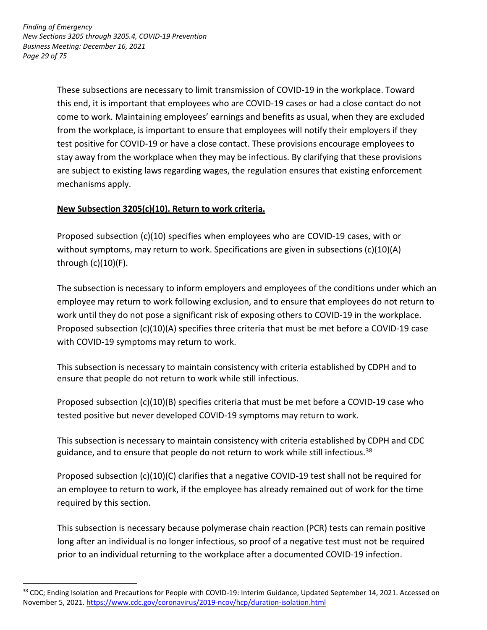<u>.</u>

These subsections are necessary to limit transmission of COVID-19 in the workplace. Toward this end, it is important that employees who are COVID-19 cases or had a close contact do not come to work. Maintaining employees' earnings and benefits as usual, when they are excluded from the workplace, is important to ensure that employees will notify their employers if they test positive for COVID-19 or have a close contact. These provisions encourage employees to stay away from the workplace when they may be infectious. By clarifying that these provisions are subject to existing laws regarding wages, the regulation ensures that existing enforcement mechanisms apply.

# **New Subsection 3205(c)(10). Return to work criteria.**

Proposed subsection (c)(10) specifies when employees who are COVID-19 cases, with or without symptoms, may return to work. Specifications are given in subsections  $(c)(10)(A)$ through (c)(10)(F).

The subsection is necessary to inform employers and employees of the conditions under which an employee may return to work following exclusion, and to ensure that employees do not return to work until they do not pose a significant risk of exposing others to COVID-19 in the workplace. Proposed subsection (c)(10)(A) specifies three criteria that must be met before a COVID-19 case with COVID-19 symptoms may return to work.

This subsection is necessary to maintain consistency with criteria established by CDPH and to ensure that people do not return to work while still infectious.

Proposed subsection (c)(10)(B) specifies criteria that must be met before a COVID-19 case who tested positive but never developed COVID-19 symptoms may return to work.

This subsection is necessary to maintain consistency with criteria established by CDPH and CDC guidance, and to ensure that people do not return to work while still infectious.<sup>38</sup>

Proposed subsection (c)(10)(C) clarifies that a negative COVID-19 test shall not be required for an employee to return to work, if the employee has already remained out of work for the time required by this section.

This subsection is necessary because polymerase chain reaction (PCR) tests can remain positive long after an individual is no longer infectious, so proof of a negative test must not be required prior to an individual returning to the workplace after a documented COVID-19 infection.

<sup>&</sup>lt;sup>38</sup> CDC; Ending Isolation and Precautions for People with COVID-19: Interim Guidance, Updated September 14, 2021. Accessed on November 5, 2021.<https://www.cdc.gov/coronavirus/2019-ncov/hcp/duration-isolation.html>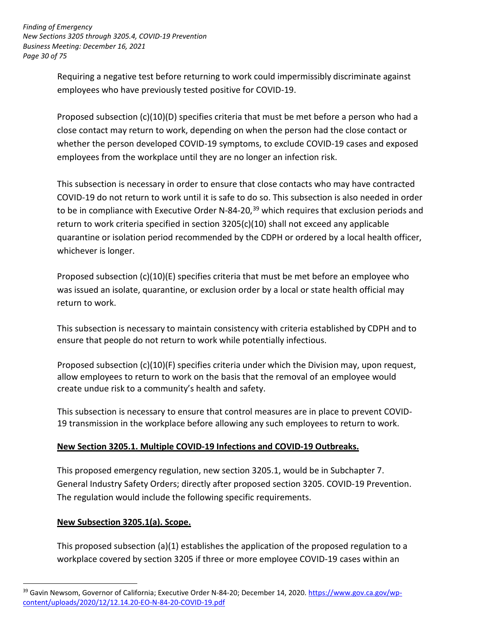*Finding of Emergency New Sections 3205 through 3205.4, COVID-19 Prevention Business Meeting: December 16, 2021 Page 30 of 75*

> Requiring a negative test before returning to work could impermissibly discriminate against employees who have previously tested positive for COVID-19.

Proposed subsection (c)(10)(D) specifies criteria that must be met before a person who had a close contact may return to work, depending on when the person had the close contact or whether the person developed COVID-19 symptoms, to exclude COVID-19 cases and exposed employees from the workplace until they are no longer an infection risk.

This subsection is necessary in order to ensure that close contacts who may have contracted COVID-19 do not return to work until it is safe to do so. This subsection is also needed in order to be in compliance with Executive Order N-84-20,<sup>39</sup> which requires that exclusion periods and return to work criteria specified in section 3205(c)(10) shall not exceed any applicable quarantine or isolation period recommended by the CDPH or ordered by a local health officer, whichever is longer.

Proposed subsection (c)(10)(E) specifies criteria that must be met before an employee who was issued an isolate, quarantine, or exclusion order by a local or state health official may return to work.

This subsection is necessary to maintain consistency with criteria established by CDPH and to ensure that people do not return to work while potentially infectious.

Proposed subsection (c)(10)(F) specifies criteria under which the Division may, upon request, allow employees to return to work on the basis that the removal of an employee would create undue risk to a community's health and safety.

This subsection is necessary to ensure that control measures are in place to prevent COVID-19 transmission in the workplace before allowing any such employees to return to work.

# **New Section 3205.1. Multiple COVID-19 Infections and COVID-19 Outbreaks.**

This proposed emergency regulation, new section 3205.1, would be in Subchapter 7. General Industry Safety Orders; directly after proposed section 3205. COVID-19 Prevention. The regulation would include the following specific requirements.

# **New Subsection 3205.1(a). Scope.**

<u>.</u>

This proposed subsection (a)(1) establishes the application of the proposed regulation to a workplace covered by section 3205 if three or more employee COVID-19 cases within an

<sup>&</sup>lt;sup>39</sup> Gavin Newsom, Governor of California; Executive Order N-84-20; December 14, 2020. [https://www.gov.ca.gov/wp](https://www.gov.ca.gov/wp-content/uploads/2020/12/12.14.20-EO-N-84-20-COVID-19.pdf)[content/uploads/2020/12/12.14.20-EO-N-84-20-COVID-19.pdf](https://www.gov.ca.gov/wp-content/uploads/2020/12/12.14.20-EO-N-84-20-COVID-19.pdf)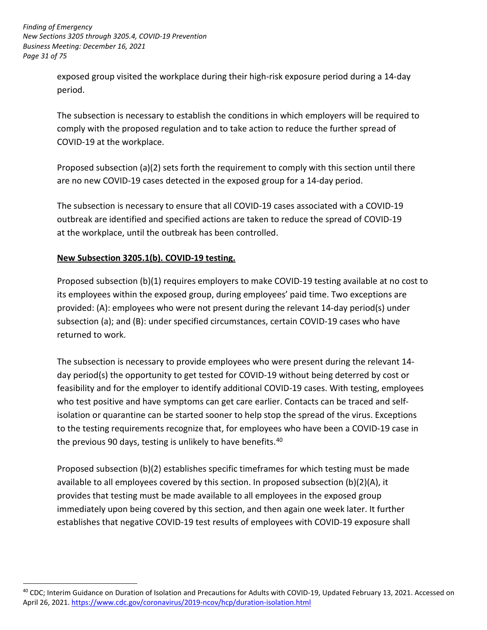*Finding of Emergency New Sections 3205 through 3205.4, COVID-19 Prevention Business Meeting: December 16, 2021 Page 31 of 75*

> exposed group visited the workplace during their high-risk exposure period during a 14-day period.

The subsection is necessary to establish the conditions in which employers will be required to comply with the proposed regulation and to take action to reduce the further spread of COVID-19 at the workplace.

Proposed subsection (a)(2) sets forth the requirement to comply with this section until there are no new COVID-19 cases detected in the exposed group for a 14-day period.

The subsection is necessary to ensure that all COVID-19 cases associated with a COVID-19 outbreak are identified and specified actions are taken to reduce the spread of COVID-19 at the workplace, until the outbreak has been controlled.

# **New Subsection 3205.1(b). COVID-19 testing.**

<u>.</u>

Proposed subsection (b)(1) requires employers to make COVID-19 testing available at no cost to its employees within the exposed group, during employees' paid time. Two exceptions are provided: (A): employees who were not present during the relevant 14-day period(s) under subsection (a); and (B): under specified circumstances, certain COVID-19 cases who have returned to work.

The subsection is necessary to provide employees who were present during the relevant 14 day period(s) the opportunity to get tested for COVID-19 without being deterred by cost or feasibility and for the employer to identify additional COVID-19 cases. With testing, employees who test positive and have symptoms can get care earlier. Contacts can be traced and selfisolation or quarantine can be started sooner to help stop the spread of the virus. Exceptions to the testing requirements recognize that, for employees who have been a COVID-19 case in the previous 90 days, testing is unlikely to have benefits.<sup>40</sup>

Proposed subsection (b)(2) establishes specific timeframes for which testing must be made available to all employees covered by this section. In proposed subsection (b)(2)(A), it provides that testing must be made available to all employees in the exposed group immediately upon being covered by this section, and then again one week later. It further establishes that negative COVID-19 test results of employees with COVID-19 exposure shall

<sup>&</sup>lt;sup>40</sup> CDC; Interim Guidance on Duration of Isolation and Precautions for Adults with COVID-19, Updated February 13, 2021. Accessed on April 26, 2021.<https://www.cdc.gov/coronavirus/2019-ncov/hcp/duration-isolation.html>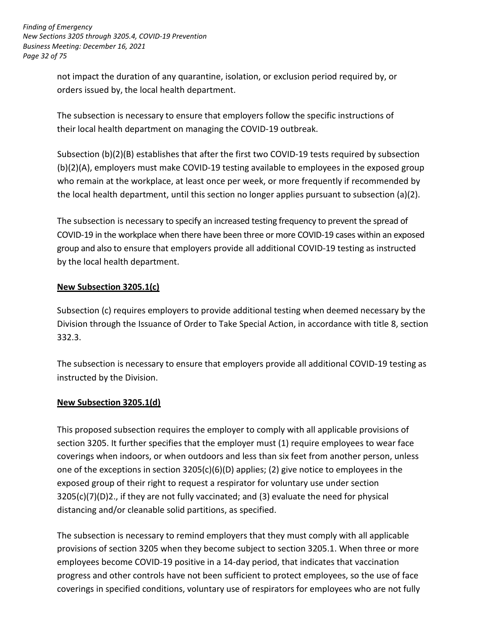*Finding of Emergency New Sections 3205 through 3205.4, COVID-19 Prevention Business Meeting: December 16, 2021 Page 32 of 75*

> not impact the duration of any quarantine, isolation, or exclusion period required by, or orders issued by, the local health department.

> The subsection is necessary to ensure that employers follow the specific instructions of their local health department on managing the COVID-19 outbreak.

Subsection (b)(2)(B) establishes that after the first two COVID-19 tests required by subsection (b)(2)(A), employers must make COVID-19 testing available to employees in the exposed group who remain at the workplace, at least once per week, or more frequently if recommended by the local health department, until this section no longer applies pursuant to subsection (a)(2).

The subsection is necessary to specify an increased testing frequency to prevent the spread of COVID-19 in the workplace when there have been three or more COVID-19 cases within an exposed group and also to ensure that employers provide all additional COVID-19 testing as instructed by the local health department.

#### **New Subsection 3205.1(c)**

Subsection (c) requires employers to provide additional testing when deemed necessary by the Division through the Issuance of Order to Take Special Action, in accordance with title 8, section 332.3.

The subsection is necessary to ensure that employers provide all additional COVID-19 testing as instructed by the Division.

#### **New Subsection 3205.1(d)**

This proposed subsection requires the employer to comply with all applicable provisions of section 3205. It further specifies that the employer must (1) require employees to wear face coverings when indoors, or when outdoors and less than six feet from another person, unless one of the exceptions in section  $3205(c)(6)(D)$  applies; (2) give notice to employees in the exposed group of their right to request a respirator for voluntary use under section 3205(c)(7)(D)2., if they are not fully vaccinated; and (3) evaluate the need for physical distancing and/or cleanable solid partitions, as specified.

The subsection is necessary to remind employers that they must comply with all applicable provisions of section 3205 when they become subject to section 3205.1. When three or more employees become COVID-19 positive in a 14-day period, that indicates that vaccination progress and other controls have not been sufficient to protect employees, so the use of face coverings in specified conditions, voluntary use of respirators for employees who are not fully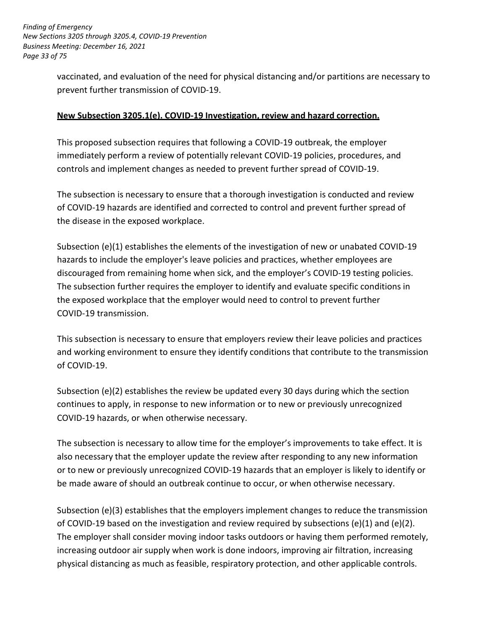*Finding of Emergency New Sections 3205 through 3205.4, COVID-19 Prevention Business Meeting: December 16, 2021 Page 33 of 75*

> vaccinated, and evaluation of the need for physical distancing and/or partitions are necessary to prevent further transmission of COVID-19.

#### **New Subsection 3205.1(e). COVID-19 Investigation, review and hazard correction.**

This proposed subsection requires that following a COVID-19 outbreak, the employer immediately perform a review of potentially relevant COVID-19 policies, procedures, and controls and implement changes as needed to prevent further spread of COVID-19.

The subsection is necessary to ensure that a thorough investigation is conducted and review of COVID-19 hazards are identified and corrected to control and prevent further spread of the disease in the exposed workplace.

Subsection (e)(1) establishes the elements of the investigation of new or unabated COVID-19 hazards to include the employer's leave policies and practices, whether employees are discouraged from remaining home when sick, and the employer's COVID-19 testing policies. The subsection further requires the employer to identify and evaluate specific conditions in the exposed workplace that the employer would need to control to prevent further COVID-19 transmission.

This subsection is necessary to ensure that employers review their leave policies and practices and working environment to ensure they identify conditions that contribute to the transmission of COVID-19.

Subsection (e)(2) establishes the review be updated every 30 days during which the section continues to apply, in response to new information or to new or previously unrecognized COVID-19 hazards, or when otherwise necessary.

The subsection is necessary to allow time for the employer's improvements to take effect. It is also necessary that the employer update the review after responding to any new information or to new or previously unrecognized COVID-19 hazards that an employer is likely to identify or be made aware of should an outbreak continue to occur, or when otherwise necessary.

Subsection (e)(3) establishes that the employers implement changes to reduce the transmission of COVID-19 based on the investigation and review required by subsections (e)(1) and (e)(2). The employer shall consider moving indoor tasks outdoors or having them performed remotely, increasing outdoor air supply when work is done indoors, improving air filtration, increasing physical distancing as much as feasible, respiratory protection, and other applicable controls.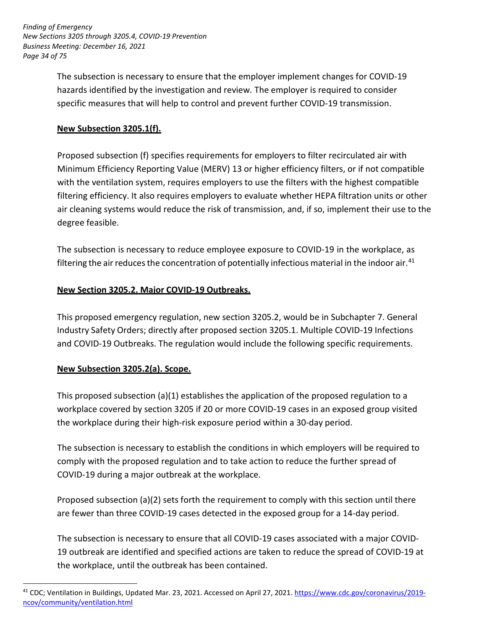*Finding of Emergency New Sections 3205 through 3205.4, COVID-19 Prevention Business Meeting: December 16, 2021 Page 34 of 75*

> The subsection is necessary to ensure that the employer implement changes for COVID-19 hazards identified by the investigation and review. The employer is required to consider specific measures that will help to control and prevent further COVID-19 transmission.

# **New Subsection 3205.1(f).**

Proposed subsection (f) specifies requirements for employers to filter recirculated air with Minimum Efficiency Reporting Value (MERV) 13 or higher efficiency filters, or if not compatible with the ventilation system, requires employers to use the filters with the highest compatible filtering efficiency. It also requires employers to evaluate whether HEPA filtration units or other air cleaning systems would reduce the risk of transmission, and, if so, implement their use to the degree feasible.

The subsection is necessary to reduce employee exposure to COVID-19 in the workplace, as filtering the air reduces the concentration of potentially infectious material in the indoor air.<sup>41</sup>

# **New Section 3205.2. Major COVID-19 Outbreaks.**

This proposed emergency regulation, new section 3205.2, would be in Subchapter 7. General Industry Safety Orders; directly after proposed section 3205.1. Multiple COVID-19 Infections and COVID-19 Outbreaks. The regulation would include the following specific requirements.

# **New Subsection 3205.2(a). Scope.**

<u>.</u>

This proposed subsection (a)(1) establishes the application of the proposed regulation to a workplace covered by section 3205 if 20 or more COVID-19 cases in an exposed group visited the workplace during their high-risk exposure period within a 30-day period.

The subsection is necessary to establish the conditions in which employers will be required to comply with the proposed regulation and to take action to reduce the further spread of COVID- 19 during a major outbreak at the workplace.

Proposed subsection (a)(2) sets forth the requirement to comply with this section until there are fewer than three COVID-19 cases detected in the exposed group for a 14-day period.

The subsection is necessary to ensure that all COVID-19 cases associated with a major COVID-19 outbreak are identified and specified actions are taken to reduce the spread of COVID-19 at the workplace, until the outbreak has been contained.

<sup>&</sup>lt;sup>41</sup> CDC; Ventilation in Buildings, Updated Mar. 23, 2021. Accessed on April 27, 2021. [https://www.cdc.gov/coronavirus/2019](https://www.cdc.gov/coronavirus/2019-ncov/community/ventilation.html) [ncov/community/ventilation.html](https://www.cdc.gov/coronavirus/2019-ncov/community/ventilation.html)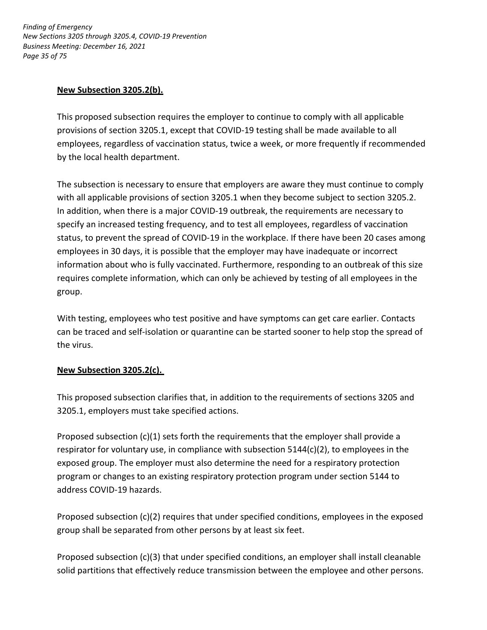*Finding of Emergency New Sections 3205 through 3205.4, COVID-19 Prevention Business Meeting: December 16, 2021 Page 35 of 75*

#### **New Subsection 3205.2(b).**

This proposed subsection requires the employer to continue to comply with all applicable provisions of section 3205.1, except that COVID-19 testing shall be made available to all employees, regardless of vaccination status, twice a week, or more frequently if recommended by the local health department.

The subsection is necessary to ensure that employers are aware they must continue to comply with all applicable provisions of section 3205.1 when they become subject to section 3205.2. In addition, when there is a major COVID-19 outbreak, the requirements are necessary to specify an increased testing frequency, and to test all employees, regardless of vaccination status, to prevent the spread of COVID-19 in the workplace. If there have been 20 cases among employees in 30 days, it is possible that the employer may have inadequate or incorrect information about who is fully vaccinated. Furthermore, responding to an outbreak of this size requires complete information, which can only be achieved by testing of all employees in the group.

With testing, employees who test positive and have symptoms can get care earlier. Contacts can be traced and self-isolation or quarantine can be started sooner to help stop the spread of the virus.

# **New Subsection 3205.2(c).**

This proposed subsection clarifies that, in addition to the requirements of sections 3205 and 3205.1, employers must take specified actions.

Proposed subsection (c)(1) sets forth the requirements that the employer shall provide a respirator for voluntary use, in compliance with subsection 5144(c)(2), to employees in the exposed group. The employer must also determine the need for a respiratory protection program or changes to an existing respiratory protection program under section 5144 to address COVID-19 hazards.

Proposed subsection (c)(2) requires that under specified conditions, employees in the exposed group shall be separated from other persons by at least six feet.

Proposed subsection (c)(3) that under specified conditions, an employer shall install cleanable solid partitions that effectively reduce transmission between the employee and other persons.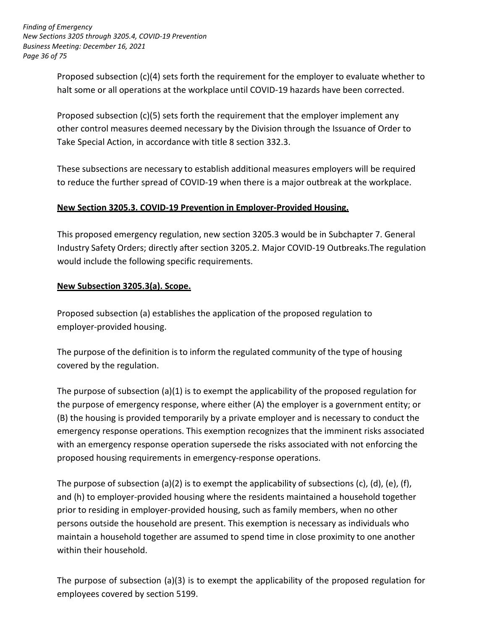*Finding of Emergency New Sections 3205 through 3205.4, COVID-19 Prevention Business Meeting: December 16, 2021 Page 36 of 75*

> Proposed subsection (c)(4) sets forth the requirement for the employer to evaluate whether to halt some or all operations at the workplace until COVID-19 hazards have been corrected.

Proposed subsection (c)(5) sets forth the requirement that the employer implement any other control measures deemed necessary by the Division through the Issuance of Order to Take Special Action, in accordance with title 8 section 332.3.

These subsections are necessary to establish additional measures employers will be required to reduce the further spread of COVID-19 when there is a major outbreak at the workplace.

#### **New Section 3205.3. COVID-19 Prevention in Employer-Provided Housing.**

This proposed emergency regulation, new section 3205.3 would be in Subchapter 7. General Industry Safety Orders; directly after section 3205.2. Major COVID-19 Outbreaks.The regulation would include the following specific requirements.

# **New Subsection 3205.3(a). Scope.**

Proposed subsection (a) establishes the application of the proposed regulation to employer-provided housing.

The purpose of the definition is to inform the regulated community of the type of housing covered by the regulation.

The purpose of subsection  $(a)(1)$  is to exempt the applicability of the proposed regulation for the purpose of emergency response, where either (A) the employer is a government entity; or (B) the housing is provided temporarily by a private employer and is necessary to conduct the emergency response operations. This exemption recognizes that the imminent risks associated with an emergency response operation supersede the risks associated with not enforcing the proposed housing requirements in emergency-response operations.

The purpose of subsection (a)(2) is to exempt the applicability of subsections (c), (d), (e), (f), and (h) to employer-provided housing where the residents maintained a household together prior to residing in employer-provided housing, such as family members, when no other persons outside the household are present. This exemption is necessary as individuals who maintain a household together are assumed to spend time in close proximity to one another within their household.

The purpose of subsection (a)(3) is to exempt the applicability of the proposed regulation for employees covered by section 5199.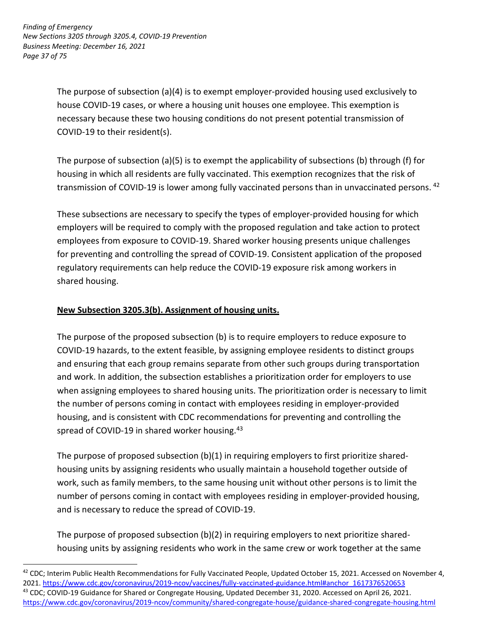*Finding of Emergency New Sections 3205 through 3205.4, COVID-19 Prevention Business Meeting: December 16, 2021 Page 37 of 75*

> The purpose of subsection (a)(4) is to exempt employer-provided housing used exclusively to house COVID-19 cases, or where a housing unit houses one employee. This exemption is necessary because these two housing conditions do not present potential transmission of COVID-19 to their resident(s).

The purpose of subsection (a)(5) is to exempt the applicability of subsections (b) through (f) for housing in which all residents are fully vaccinated. This exemption recognizes that the risk of transmission of COVID-19 is lower among fully vaccinated persons than in unvaccinated persons.  $42$ 

These subsections are necessary to specify the types of employer-provided housing for which employers will be required to comply with the proposed regulation and take action to protect employees from exposure to COVID-19. Shared worker housing presents unique challenges for preventing and controlling the spread of COVID-19. Consistent application of the proposed regulatory requirements can help reduce the COVID-19 exposure risk among workers in shared housing.

## **New Subsection 3205.3(b). Assignment of housing units.**

<u>.</u>

The purpose of the proposed subsection (b) is to require employers to reduce exposure to COVID-19 hazards, to the extent feasible, by assigning employee residents to distinct groups and ensuring that each group remains separate from other such groups during transportation and work. In addition, the subsection establishes a prioritization order for employers to use when assigning employees to shared housing units. The prioritization order is necessary to limit the number of persons coming in contact with employees residing in employer-provided housing, and is consistent with CDC recommendations for preventing and controlling the spread of COVID-19 in shared worker housing.<sup>43</sup>

The purpose of proposed subsection (b)(1) in requiring employers to first prioritize sharedhousing units by assigning residents who usually maintain a household together outside of work, such as family members, to the same housing unit without other persons is to limit the number of persons coming in contact with employees residing in employer-provided housing, and is necessary to reduce the spread of COVID-19.

The purpose of proposed subsection (b)(2) in requiring employers to next prioritize sharedhousing units by assigning residents who work in the same crew or work together at the same

<sup>&</sup>lt;sup>42</sup> CDC; Interim Public Health Recommendations for Fully Vaccinated People, Updated October 15, 2021. Accessed on November 4, 2021. [https://www.cdc.gov/coronavirus/2019-ncov/vaccines/fully-vaccinated-guidance.html#anchor\\_1617376520653](https://www.cdc.gov/coronavirus/2019-ncov/vaccines/fully-vaccinated-guidance.html#anchor_1617376520653) <sup>43</sup> CDC; COVID-19 Guidance for Shared or Congregate Housing, Updated December 31, 2020. Accessed on April 26, 2021.

<https://www.cdc.gov/coronavirus/2019-ncov/community/shared-congregate-house/guidance-shared-congregate-housing.html>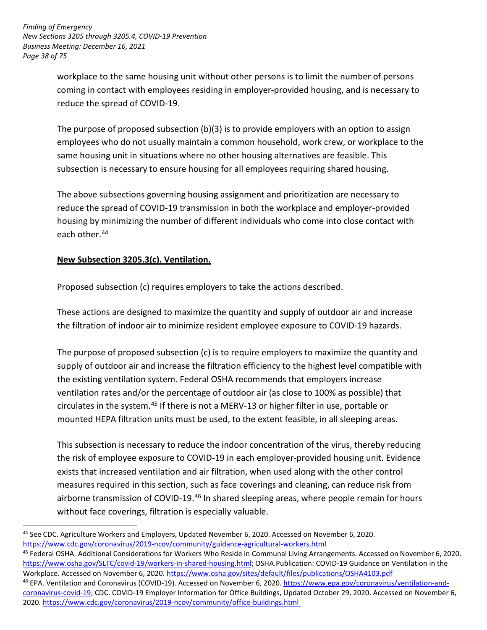*Finding of Emergency New Sections 3205 through 3205.4, COVID-19 Prevention Business Meeting: December 16, 2021 Page 38 of 75*

> workplace to the same housing unit without other persons is to limit the number of persons coming in contact with employees residing in employer-provided housing, and is necessary to reduce the spread of COVID-19.

The purpose of proposed subsection (b)(3) is to provide employers with an option to assign employees who do not usually maintain a common household, work crew, or workplace to the same housing unit in situations where no other housing alternatives are feasible. This subsection is necessary to ensure housing for all employees requiring shared housing.

The above subsections governing housing assignment and prioritization are necessary to reduce the spread of COVID-19 transmission in both the workplace and employer-provided housing by minimizing the number of different individuals who come into close contact with each other.44

## **New Subsection 3205.3(c). Ventilation.**

-

Proposed subsection (c) requires employers to take the actions described.

These actions are designed to maximize the quantity and supply of outdoor air and increase the filtration of indoor air to minimize resident employee exposure to COVID-19 hazards.

The purpose of proposed subsection (c) is to require employers to maximize the quantity and supply of outdoor air and increase the filtration efficiency to the highest level compatible with the existing ventilation system. Federal OSHA recommends that employers increase ventilation rates and/or the percentage of outdoor air (as close to 100% as possible) that circulates in the system.<sup>45</sup> If there is not a MERV-13 or higher filter in use, portable or mounted HEPA filtration units must be used, to the extent feasible, in all sleeping areas.

This subsection is necessary to reduce the indoor concentration of the virus, thereby reducing the risk of employee exposure to COVID-19 in each employer-provided housing unit. Evidence exists that increased ventilation and air filtration, when used along with the other control measures required in this section, such as face coverings and cleaning, can reduce risk from airborne transmission of COVID-19.<sup>46</sup> In shared sleeping areas, where people remain for hours without face coverings, filtration is especially valuable.

<sup>44</sup> See CDC. Agriculture Workers and Employers, Updated November 6, 2020. Accessed on November 6, 2020. <https://www.cdc.gov/coronavirus/2019-ncov/community/guidance-agricultural-workers.html>

<sup>45</sup> Federal OSHA. Additional Considerations for Workers Who Reside in Communal Living Arrangements. Accessed on November 6, 2020. [https://www.osha.gov/SLTC/covid-19/workers-in-shared-housing.html;](https://www.osha.gov/SLTC/covid-19/workers-in-shared-housing.html) OSHA.Publication: COVID-19 Guidance on Ventilation in the Workplace. Accessed on November 6, 2020. <https://www.osha.gov/sites/default/files/publications/OSHA4103.pdf>

<sup>46</sup> EPA. Ventilation and Coronavirus (COVID-19). Accessed on November 6, 2020. [https://www.epa.gov/coronavirus/ventilation-and](https://www.epa.gov/coronavirus/ventilation-and-coronavirus-covid-19)[coronavirus-covid-19;](https://www.epa.gov/coronavirus/ventilation-and-coronavirus-covid-19) CDC. COVID-19 Employer Information for Office Buildings, Updated October 29, 2020. Accessed on November 6, 2020.<https://www.cdc.gov/coronavirus/2019-ncov/community/office-buildings.html>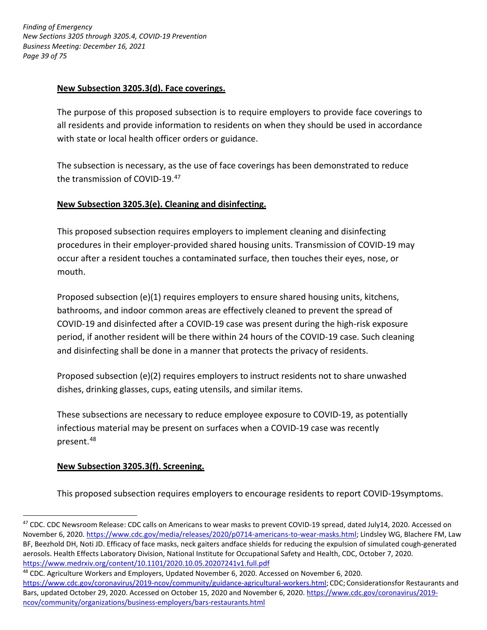*Finding of Emergency New Sections 3205 through 3205.4, COVID-19 Prevention Business Meeting: December 16, 2021 Page 39 of 75*

### **New Subsection 3205.3(d). Face coverings.**

The purpose of this proposed subsection is to require employers to provide face coverings to all residents and provide information to residents on when they should be used in accordance with state or local health officer orders or guidance.

The subsection is necessary, as the use of face coverings has been demonstrated to reduce the transmission of COVID-19.47

### **New Subsection 3205.3(e). Cleaning and disinfecting.**

This proposed subsection requires employers to implement cleaning and disinfecting procedures in their employer-provided shared housing units. Transmission of COVID-19 may occur after a resident touches a contaminated surface, then touches their eyes, nose, or mouth.

Proposed subsection (e)(1) requires employers to ensure shared housing units, kitchens, bathrooms, and indoor common areas are effectively cleaned to prevent the spread of COVID-19 and disinfected after a COVID-19 case was present during the high-risk exposure period, if another resident will be there within 24 hours of the COVID-19 case. Such cleaning and disinfecting shall be done in a manner that protects the privacy of residents.

Proposed subsection (e)(2) requires employers to instruct residents not to share unwashed dishes, drinking glasses, cups, eating utensils, and similar items.

These subsections are necessary to reduce employee exposure to COVID-19, as potentially infectious material may be present on surfaces when a COVID-19 case was recently present. 48

### **New Subsection 3205.3(f). Screening.**

<u>.</u>

This proposed subsection requires employers to encourage residents to report COVID-19symptoms.

- <sup>48</sup> CDC. Agriculture Workers and Employers, Updated November 6, 2020. Accessed on November 6, 2020.
- <https://www.cdc.gov/coronavirus/2019-ncov/community/guidance-agricultural-workers.html>; CDC; Considerationsfor Restaurants and Bars, updated October 29, 2020. Accessed on October 15, 2020 and November 6, 2020. [https://www.cdc.gov/coronavirus/2019](https://www.cdc.gov/coronavirus/2019-ncov/community/organizations/business-employers/bars-restaurants.html) [ncov/community/organizations/business-employers/bars-restaurants.html](https://www.cdc.gov/coronavirus/2019-ncov/community/organizations/business-employers/bars-restaurants.html)

<sup>&</sup>lt;sup>47</sup> CDC. CDC Newsroom Release: CDC calls on Americans to wear masks to prevent COVID-19 spread, dated July14, 2020. Accessed on November 6, 2020. [https://www.cdc.gov/media/releases/2020/p0714-americans-to-wear-masks.html;](https://www.cdc.gov/media/releases/2020/p0714-americans-to-wear-masks.html) Lindsley WG, Blachere FM, Law BF, Beezhold DH, Noti JD. Efficacy of face masks, neck gaiters andface shields for reducing the expulsion of simulated cough-generated aerosols. Health Effects Laboratory Division, National Institute for Occupational Safety and Health, CDC, October 7, 2020. <https://www.medrxiv.org/content/10.1101/2020.10.05.20207241v1.full.pdf>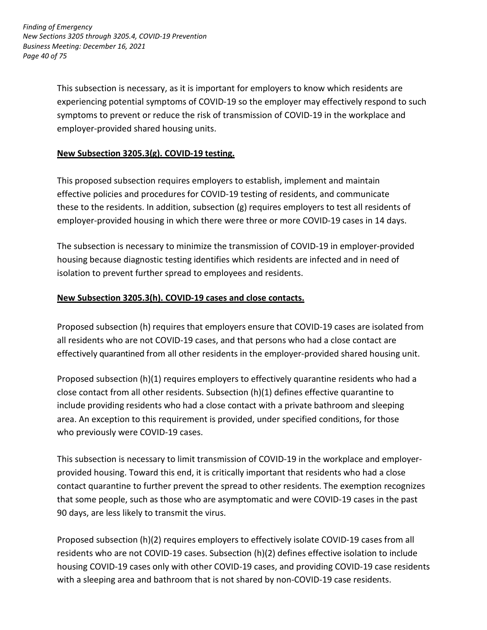*Finding of Emergency New Sections 3205 through 3205.4, COVID-19 Prevention Business Meeting: December 16, 2021 Page 40 of 75*

> This subsection is necessary, as it is important for employers to know which residents are experiencing potential symptoms of COVID-19 so the employer may effectively respond to such symptoms to prevent or reduce the risk of transmission of COVID-19 in the workplace and employer-provided shared housing units.

### **New Subsection 3205.3(g). COVID-19 testing.**

This proposed subsection requires employers to establish, implement and maintain effective policies and procedures for COVID-19 testing of residents, and communicate these to the residents. In addition, subsection (g) requires employers to test all residents of employer-provided housing in which there were three or more COVID-19 cases in 14 days.

The subsection is necessary to minimize the transmission of COVID-19 in employer-provided housing because diagnostic testing identifies which residents are infected and in need of isolation to prevent further spread to employees and residents.

### **New Subsection 3205.3(h). COVID-19 cases and close contacts.**

Proposed subsection (h) requires that employers ensure that COVID-19 cases are isolated from all residents who are not COVID-19 cases, and that persons who had a close contact are effectively quarantined from all other residents in the employer-provided shared housing unit.

Proposed subsection (h)(1) requires employers to effectively quarantine residents who had a close contact from all other residents. Subsection (h)(1) defines effective quarantine to include providing residents who had a close contact with a private bathroom and sleeping area. An exception to this requirement is provided, under specified conditions, for those who previously were COVID-19 cases.

This subsection is necessary to limit transmission of COVID-19 in the workplace and employerprovided housing. Toward this end, it is critically important that residents who had a close contact quarantine to further prevent the spread to other residents. The exemption recognizes that some people, such as those who are asymptomatic and were COVID-19 cases in the past 90 days, are less likely to transmit the virus.

Proposed subsection (h)(2) requires employers to effectively isolate COVID-19 cases from all residents who are not COVID-19 cases. Subsection (h)(2) defines effective isolation to include housing COVID-19 cases only with other COVID-19 cases, and providing COVID-19 case residents with a sleeping area and bathroom that is not shared by non-COVID-19 case residents.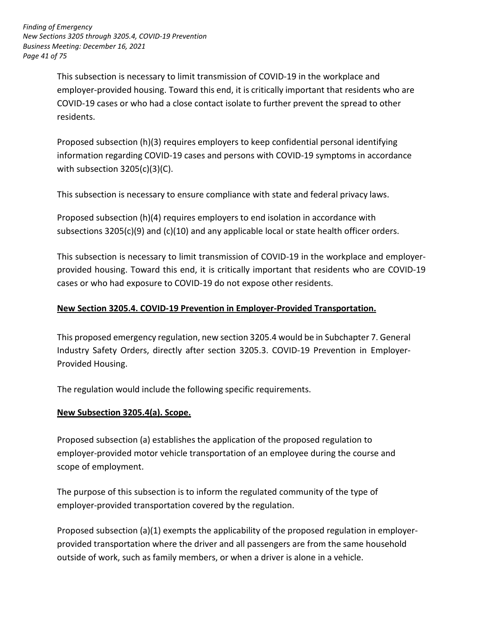*Finding of Emergency New Sections 3205 through 3205.4, COVID-19 Prevention Business Meeting: December 16, 2021 Page 41 of 75*

> This subsection is necessary to limit transmission of COVID-19 in the workplace and employer-provided housing. Toward this end, it is critically important that residents who are COVID-19 cases or who had a close contact isolate to further prevent the spread to other residents.

> Proposed subsection (h)(3) requires employers to keep confidential personal identifying information regarding COVID-19 cases and persons with COVID-19 symptoms in accordance with subsection 3205(c)(3)(C).

This subsection is necessary to ensure compliance with state and federal privacy laws.

Proposed subsection (h)(4) requires employers to end isolation in accordance with subsections 3205(c)(9) and (c)(10) and any applicable local or state health officer orders.

This subsection is necessary to limit transmission of COVID-19 in the workplace and employerprovided housing. Toward this end, it is critically important that residents who are COVID-19 cases or who had exposure to COVID-19 do not expose other residents.

## **New Section 3205.4. COVID-19 Prevention in Employer-Provided Transportation.**

This proposed emergency regulation, new section 3205.4 would be in Subchapter 7. General Industry Safety Orders, directly after section 3205.3. COVID-19 Prevention in Employer-Provided Housing.

The regulation would include the following specific requirements.

## **New Subsection 3205.4(a). Scope.**

Proposed subsection (a) establishes the application of the proposed regulation to employer- provided motor vehicle transportation of an employee during the course and scope of employment.

The purpose of this subsection is to inform the regulated community of the type of employer-provided transportation covered by the regulation.

Proposed subsection (a)(1) exempts the applicability of the proposed regulation in employerprovided transportation where the driver and all passengers are from the same household outside of work, such as family members, or when a driver is alone in a vehicle.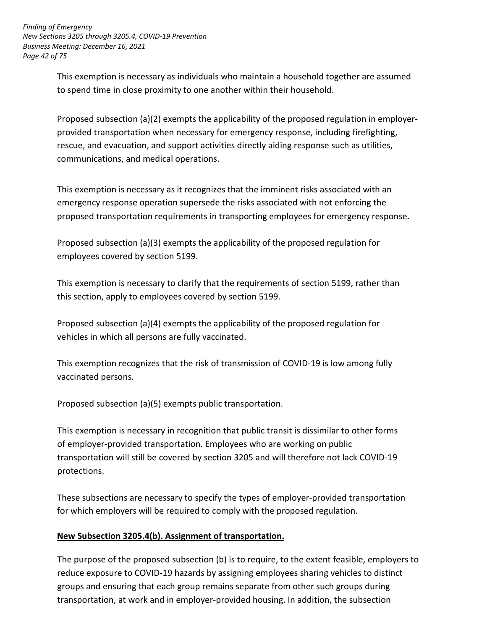*Finding of Emergency New Sections 3205 through 3205.4, COVID-19 Prevention Business Meeting: December 16, 2021 Page 42 of 75*

> This exemption is necessary as individuals who maintain a household together are assumed to spend time in close proximity to one another within their household.

Proposed subsection (a)(2) exempts the applicability of the proposed regulation in employerprovided transportation when necessary for emergency response, including firefighting, rescue, and evacuation, and support activities directly aiding response such as utilities, communications, and medical operations.

This exemption is necessary as it recognizes that the imminent risks associated with an emergency response operation supersede the risks associated with not enforcing the proposed transportation requirements in transporting employees for emergency response.

Proposed subsection (a)(3) exempts the applicability of the proposed regulation for employees covered by section 5199.

This exemption is necessary to clarify that the requirements of section 5199, rather than this section, apply to employees covered by section 5199.

Proposed subsection (a)(4) exempts the applicability of the proposed regulation for vehicles in which all persons are fully vaccinated.

This exemption recognizes that the risk of transmission of COVID-19 is low among fully vaccinated persons.

Proposed subsection (a)(5) exempts public transportation.

This exemption is necessary in recognition that public transit is dissimilar to other forms of employer-provided transportation. Employees who are working on public transportation will still be covered by section 3205 and will therefore not lack COVID-19 protections.

These subsections are necessary to specify the types of employer-provided transportation for which employers will be required to comply with the proposed regulation.

## **New Subsection 3205.4(b). Assignment of transportation.**

The purpose of the proposed subsection (b) is to require, to the extent feasible, employers to reduce exposure to COVID-19 hazards by assigning employees sharing vehicles to distinct groups and ensuring that each group remains separate from other such groups during transportation, at work and in employer-provided housing. In addition, the subsection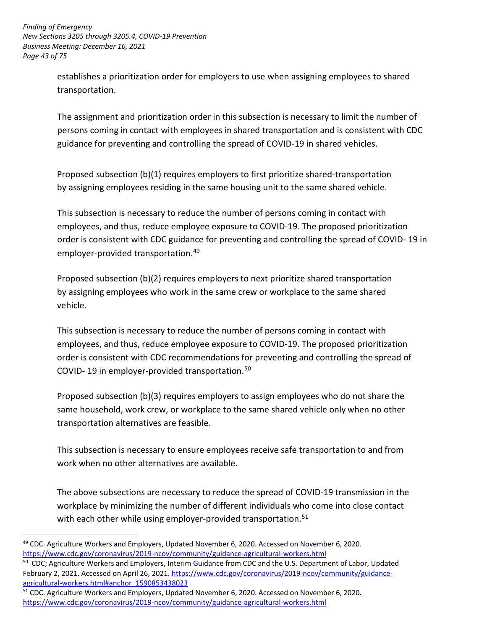*Finding of Emergency New Sections 3205 through 3205.4, COVID-19 Prevention Business Meeting: December 16, 2021 Page 43 of 75*

> establishes a prioritization order for employers to use when assigning employees to shared transportation.

The assignment and prioritization order in this subsection is necessary to limit the number of persons coming in contact with employees in shared transportation and is consistent with CDC guidance for preventing and controlling the spread of COVID-19 in shared vehicles.

Proposed subsection (b)(1) requires employers to first prioritize shared-transportation by assigning employees residing in the same housing unit to the same shared vehicle.

This subsection is necessary to reduce the number of persons coming in contact with employees, and thus, reduce employee exposure to COVID-19. The proposed prioritization order is consistent with CDC guidance for preventing and controlling the spread of COVID- 19 in employer-provided transportation.49

Proposed subsection (b)(2) requires employers to next prioritize shared transportation by assigning employees who work in the same crew or workplace to the same shared vehicle.

This subsection is necessary to reduce the number of persons coming in contact with employees, and thus, reduce employee exposure to COVID-19. The proposed prioritization order is consistent with CDC recommendations for preventing and controlling the spread of COVID- 19 in employer-provided transportation.50

Proposed subsection (b)(3) requires employers to assign employees who do not share the same household, work crew, or workplace to the same shared vehicle only when no other transportation alternatives are feasible.

This subsection is necessary to ensure employees receive safe transportation to and from work when no other alternatives are available.

The above subsections are necessary to reduce the spread of COVID-19 transmission in the workplace by minimizing the number of different individuals who come into close contact with each other while using employer-provided transportation.<sup>51</sup>

<sup>-</sup><sup>49</sup> CDC. Agriculture Workers and Employers, Updated November 6, 2020. Accessed on November 6, 2020. <https://www.cdc.gov/coronavirus/2019-ncov/community/guidance-agricultural-workers.html>

<sup>&</sup>lt;sup>50</sup> CDC; Agriculture Workers and Employers, Interim Guidance from CDC and the U.S. Department of Labor, Updated February 2, 2021. Accessed on April 26, 2021. [https://www.cdc.gov/coronavirus/2019-ncov/community/guidance](https://www.cdc.gov/coronavirus/2019-ncov/community/guidance-agricultural-workers.html#anchor_1590853438023)[agricultural-workers.html#anchor\\_1590853438023](https://www.cdc.gov/coronavirus/2019-ncov/community/guidance-agricultural-workers.html#anchor_1590853438023)

<sup>&</sup>lt;sup>51</sup> CDC. Agriculture Workers and Employers, Updated November 6, 2020. Accessed on November 6, 2020. <https://www.cdc.gov/coronavirus/2019-ncov/community/guidance-agricultural-workers.html>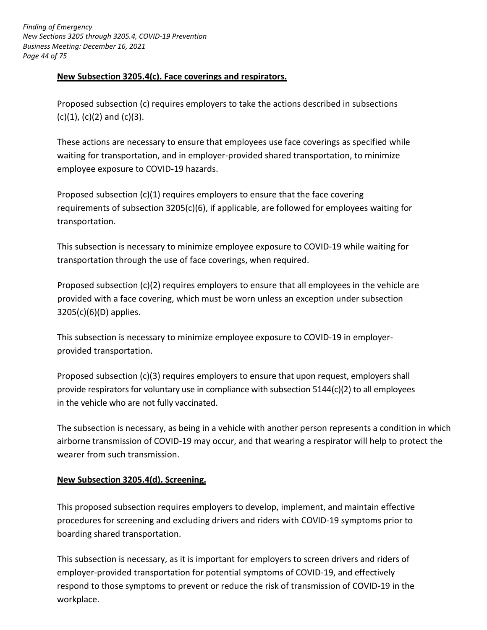*Finding of Emergency New Sections 3205 through 3205.4, COVID-19 Prevention Business Meeting: December 16, 2021 Page 44 of 75*

### **New Subsection 3205.4(c). Face coverings and respirators.**

Proposed subsection (c) requires employers to take the actions described in subsections  $(c)(1)$ ,  $(c)(2)$  and  $(c)(3)$ .

These actions are necessary to ensure that employees use face coverings as specified while waiting for transportation, and in employer-provided shared transportation, to minimize employee exposure to COVID-19 hazards.

Proposed subsection (c)(1) requires employers to ensure that the face covering requirements of subsection 3205(c)(6), if applicable, are followed for employees waiting for transportation.

This subsection is necessary to minimize employee exposure to COVID-19 while waiting for transportation through the use of face coverings, when required.

Proposed subsection (c)(2) requires employers to ensure that all employees in the vehicle are provided with a face covering, which must be worn unless an exception under subsection 3205(c)(6)(D) applies.

This subsection is necessary to minimize employee exposure to COVID-19 in employerprovided transportation.

Proposed subsection (c)(3) requires employers to ensure that upon request, employers shall provide respirators for voluntary use in compliance with subsection 5144(c)(2) to all employees in the vehicle who are not fully vaccinated.

The subsection is necessary, as being in a vehicle with another person represents a condition in which airborne transmission of COVID-19 may occur, and that wearing a respirator will help to protect the wearer from such transmission.

### **New Subsection 3205.4(d). Screening.**

This proposed subsection requires employers to develop, implement, and maintain effective procedures for screening and excluding drivers and riders with COVID-19 symptoms prior to boarding shared transportation.

This subsection is necessary, as it is important for employers to screen drivers and riders of employer-provided transportation for potential symptoms of COVID-19, and effectively respond to those symptoms to prevent or reduce the risk of transmission of COVID-19 in the workplace.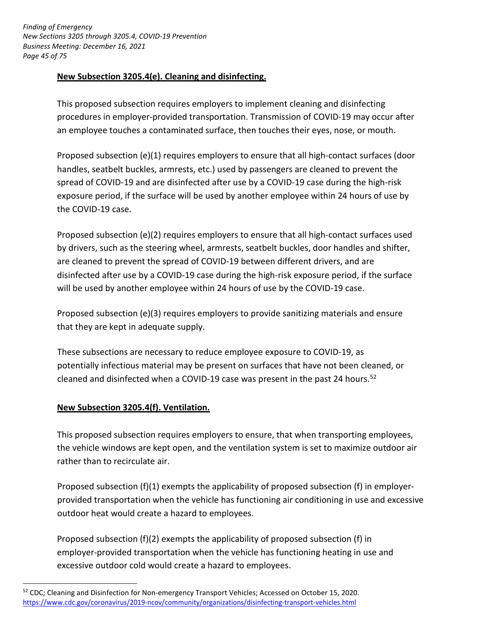*Finding of Emergency New Sections 3205 through 3205.4, COVID-19 Prevention Business Meeting: December 16, 2021 Page 45 of 75*

### **New Subsection 3205.4(e). Cleaning and disinfecting.**

This proposed subsection requires employers to implement cleaning and disinfecting procedures in employer-provided transportation. Transmission of COVID-19 may occur after an employee touches a contaminated surface, then touches their eyes, nose, or mouth.

Proposed subsection (e)(1) requires employers to ensure that all high-contact surfaces (door handles, seatbelt buckles, armrests, etc.) used by passengers are cleaned to prevent the spread of COVID-19 and are disinfected after use by a COVID-19 case during the high-risk exposure period, if the surface will be used by another employee within 24 hours of use by the COVID-19 case.

Proposed subsection (e)(2) requires employers to ensure that all high-contact surfaces used by drivers, such as the steering wheel, armrests, seatbelt buckles, door handles and shifter, are cleaned to prevent the spread of COVID-19 between different drivers, and are disinfected after use by a COVID-19 case during the high-risk exposure period, if the surface will be used by another employee within 24 hours of use by the COVID-19 case.

Proposed subsection (e)(3) requires employers to provide sanitizing materials and ensure that they are kept in adequate supply.

These subsections are necessary to reduce employee exposure to COVID-19, as potentially infectious material may be present on surfaces that have not been cleaned, or cleaned and disinfected when a COVID-19 case was present in the past 24 hours. 52

### **New Subsection 3205.4(f). Ventilation.**

<u>.</u>

This proposed subsection requires employers to ensure, that when transporting employees, the vehicle windows are kept open, and the ventilation system is set to maximize outdoor air rather than to recirculate air.

Proposed subsection (f)(1) exempts the applicability of proposed subsection (f) in employerprovided transportation when the vehicle has functioning air conditioning in use and excessive outdoor heat would create a hazard to employees.

Proposed subsection (f)(2) exempts the applicability of proposed subsection (f) in employer- provided transportation when the vehicle has functioning heating in use and excessive outdoor cold would create a hazard to employees.

<sup>&</sup>lt;sup>52</sup> CDC; Cleaning and Disinfection for Non-emergency Transport Vehicles; Accessed on October 15, 2020. <https://www.cdc.gov/coronavirus/2019-ncov/community/organizations/disinfecting-transport-vehicles.html>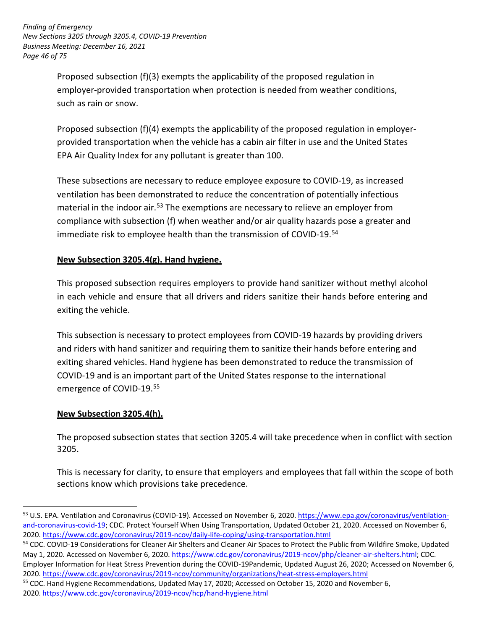*Finding of Emergency New Sections 3205 through 3205.4, COVID-19 Prevention Business Meeting: December 16, 2021 Page 46 of 75*

> Proposed subsection (f)(3) exempts the applicability of the proposed regulation in employer- provided transportation when protection is needed from weather conditions, such as rain or snow.

Proposed subsection (f)(4) exempts the applicability of the proposed regulation in employerprovided transportation when the vehicle has a cabin air filter in use and the United States EPA Air Quality Index for any pollutant is greater than 100.

These subsections are necessary to reduce employee exposure to COVID-19, as increased ventilation has been demonstrated to reduce the concentration of potentially infectious material in the indoor air.<sup>53</sup> The exemptions are necessary to relieve an employer from compliance with subsection (f) when weather and/or air quality hazards pose a greater and immediate risk to employee health than the transmission of COVID-19.54

## **New Subsection 3205.4(g). Hand hygiene.**

This proposed subsection requires employers to provide hand sanitizer without methyl alcohol in each vehicle and ensure that all drivers and riders sanitize their hands before entering and exiting the vehicle.

This subsection is necessary to protect employees from COVID-19 hazards by providing drivers and riders with hand sanitizer and requiring them to sanitize their hands before entering and exiting shared vehicles. Hand hygiene has been demonstrated to reduce the transmission of COVID-19 and is an important part of the United States response to the international emergence of COVID-19.55

## **New Subsection 3205.4(h).**

-

The proposed subsection states that section 3205.4 will take precedence when in conflict with section 3205.

This is necessary for clarity, to ensure that employers and employees that fall within the scope of both sections know which provisions take precedence.

<sup>55</sup> CDC. Hand Hygiene Recommendations, Updated May 17, 2020; Accessed on October 15, 2020 and November 6, 2020. <https://www.cdc.gov/coronavirus/2019-ncov/hcp/hand-hygiene.html>

<sup>53</sup> U.S. EPA. Ventilation and Coronavirus (COVID-19). Accessed on November 6, 2020. [https://www.epa.gov/coronavirus/ventilation](https://www.epa.gov/coronavirus/ventilation-and-coronavirus-covid-19)[and-coronavirus-covid-19](https://www.epa.gov/coronavirus/ventilation-and-coronavirus-covid-19); CDC. Protect Yourself When Using Transportation, Updated October 21, 2020. Accessed on November 6, 2020. [https://www.cdc.gov/coronavirus/2019- ncov/daily-life-coping/using-transportation.html](https://www.cdc.gov/coronavirus/2019-ncov/daily-life-coping/using-transportation.html)

<sup>&</sup>lt;sup>54</sup> CDC. COVID-19 Considerations for Cleaner Air Shelters and Cleaner Air Spaces to Protect the Public from Wildfire Smoke, Updated May 1, 2020. Accessed on November 6, 2020. [https://www.cdc.gov/coronavirus/2019-ncov/php/cleaner-air-shelters.html;](https://www.cdc.gov/coronavirus/2019-ncov/php/cleaner-air-shelters.html) CDC.

Employer Information for Heat Stress Prevention during the COVID-19Pandemic, Updated August 26, 2020; Accessed on November 6, 2020.<https://www.cdc.gov/coronavirus/2019-ncov/community/organizations/heat-stress-employers.html>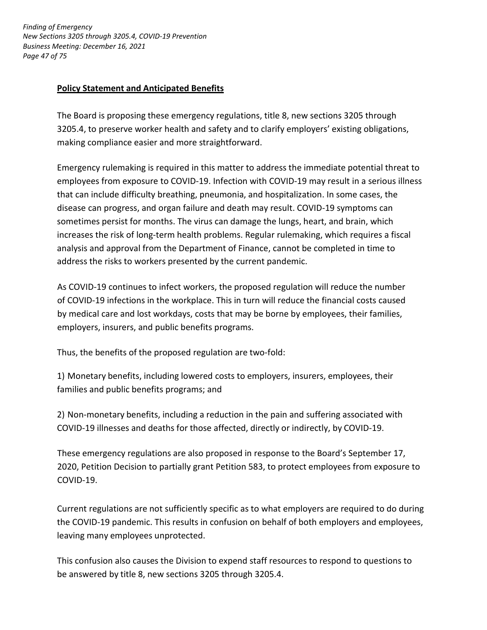*Finding of Emergency New Sections 3205 through 3205.4, COVID-19 Prevention Business Meeting: December 16, 2021 Page 47 of 75*

### **Policy Statement and Anticipated Benefits**

The Board is proposing these emergency regulations, title 8, new sections 3205 through 3205.4, to preserve worker health and safety and to clarify employers' existing obligations, making compliance easier and more straightforward.

Emergency rulemaking is required in this matter to address the immediate potential threat to employees from exposure to COVID-19. Infection with COVID-19 may result in a serious illness that can include difficulty breathing, pneumonia, and hospitalization. In some cases, the disease can progress, and organ failure and death may result. COVID-19 symptoms can sometimes persist for months. The virus can damage the lungs, heart, and brain, which increases the risk of long-term health problems. Regular rulemaking, which requires a fiscal analysis and approval from the Department of Finance, cannot be completed in time to address the risks to workers presented by the current pandemic.

As COVID-19 continues to infect workers, the proposed regulation will reduce the number of COVID-19 infections in the workplace. This in turn will reduce the financial costs caused by medical care and lost workdays, costs that may be borne by employees, their families, employers, insurers, and public benefits programs.

Thus, the benefits of the proposed regulation are two-fold:

1) Monetary benefits, including lowered costs to employers, insurers, employees, their families and public benefits programs; and

2) Non-monetary benefits, including a reduction in the pain and suffering associated with COVID-19 illnesses and deaths for those affected, directly or indirectly, by COVID-19.

These emergency regulations are also proposed in response to the Board's September 17, 2020, Petition Decision to partially grant Petition 583, to protect employees from exposure to COVID-19.

Current regulations are not sufficiently specific as to what employers are required to do during the COVID-19 pandemic. This results in confusion on behalf of both employers and employees, leaving many employees unprotected.

This confusion also causes the Division to expend staff resources to respond to questions to be answered by title 8, new sections 3205 through 3205.4.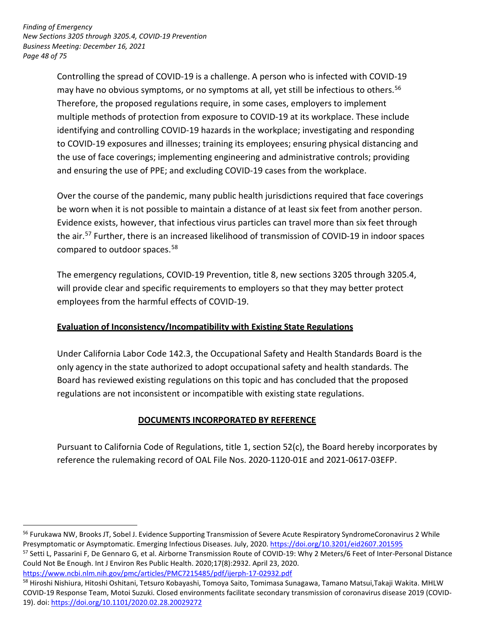*Finding of Emergency New Sections 3205 through 3205.4, COVID-19 Prevention Business Meeting: December 16, 2021 Page 48 of 75*

-

Controlling the spread of COVID-19 is a challenge. A person who is infected with COVID-19 may have no obvious symptoms, or no symptoms at all, yet still be infectious to others. 56 Therefore, the proposed regulations require, in some cases, employers to implement multiple methods of protection from exposure to COVID-19 at its workplace. These include identifying and controlling COVID-19 hazards in the workplace; investigating and responding to COVID-19 exposures and illnesses; training its employees; ensuring physical distancing and the use of face coverings; implementing engineering and administrative controls; providing and ensuring the use of PPE; and excluding COVID-19 cases from the workplace.

Over the course of the pandemic, many public health jurisdictions required that face coverings be worn when it is not possible to maintain a distance of at least six feet from another person. Evidence exists, however, that infectious virus particles can travel more than six feet through the air.<sup>57</sup> Further, there is an increased likelihood of transmission of COVID-19 in indoor spaces compared to outdoor spaces. 58

The emergency regulations, COVID-19 Prevention, title 8, new sections 3205 through 3205.4, will provide clear and specific requirements to employers so that they may better protect employees from the harmful effects of COVID-19.

## **Evaluation of Inconsistency/Incompatibility with Existing State Regulations**

Under California Labor Code 142.3, the Occupational Safety and Health Standards Board is the only agency in the state authorized to adopt occupational safety and health standards. The Board has reviewed existing regulations on this topic and has concluded that the proposed regulations are not inconsistent or incompatible with existing state regulations.

## **DOCUMENTS INCORPORATED BY REFERENCE**

Pursuant to California Code of Regulations, title 1, section 52(c), the Board hereby incorporates by reference the rulemaking record of OAL File Nos. 2020-1120-01E and 2021-0617-03EFP.

<sup>57</sup> Setti L, Passarini F, De Gennaro G, et al. Airborne Transmission Route of COVID-19: Why 2 Meters/6 Feet of Inter-Personal Distance Could Not Be Enough. Int J Environ Res Public Health. 2020;17(8):2932. April 23, 2020. <https://www.ncbi.nlm.nih.gov/pmc/articles/PMC7215485/pdf/ijerph-17-02932.pdf>

58 Hiroshi Nishiura, Hitoshi Oshitani, Tetsuro Kobayashi, Tomoya Saito, Tomimasa Sunagawa, Tamano Matsui,Takaji Wakita. MHLW COVID-19 Response Team, Motoi Suzuki. Closed environments facilitate secondary transmission of coronavirus disease 2019 (COVID-19). doi: <https://doi.org/10.1101/2020.02.28.20029272>

<sup>&</sup>lt;sup>56</sup> Furukawa NW, Brooks JT, Sobel J. Evidence Supporting Transmission of Severe Acute Respiratory SyndromeCoronavirus 2 While Presymptomatic or Asymptomatic. Emerging Infectious Diseases. July, 2020. <https://doi.org/10.3201/eid2607.201595>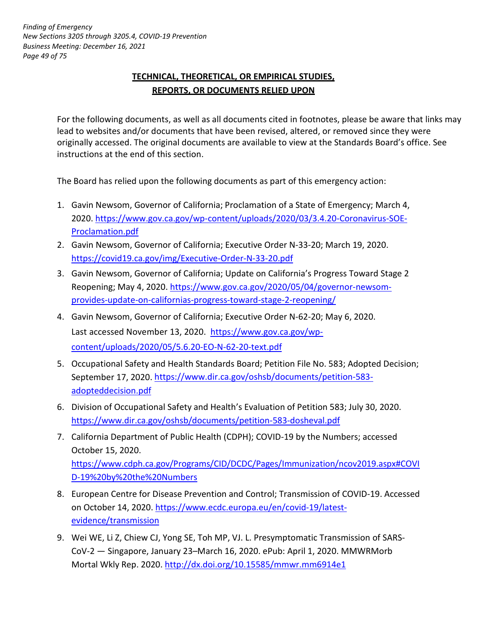# **TECHNICAL, THEORETICAL, OR EMPIRICAL STUDIES, REPORTS, OR DOCUMENTS RELIED UPON**

For the following documents, as well as all documents cited in footnotes, please be aware that links may lead to websites and/or documents that have been revised, altered, or removed since they were originally accessed. The original documents are available to view at the Standards Board's office. See instructions at the end of this section.

The Board has relied upon the following documents as part of this emergency action:

- 1. Gavin Newsom, Governor of California; Proclamation of a State of Emergency; March 4, 2020. [https://www.gov.ca.gov/wp-content/uploads/2020/03/3.4.20-Coronavirus-SOE-](https://www.gov.ca.gov/wp-content/uploads/2020/03/3.4.20-Coronavirus-SOE-Proclamation.pdf)[Proclamation.pdf](https://www.gov.ca.gov/wp-content/uploads/2020/03/3.4.20-Coronavirus-SOE-Proclamation.pdf)
- 2. Gavin Newsom, Governor of California; Executive Order N-33-20; March 19, 2020. <https://covid19.ca.gov/img/Executive-Order-N-33-20.pdf>
- 3. Gavin Newsom, Governor of California; Update on California's Progress Toward Stage 2 Reopening; May 4, 2020. [https://www.gov.ca.gov/2020/05/04/governor-newsom](https://www.gov.ca.gov/2020/05/04/governor-newsom-provides-update-on-californias-progress-toward-stage-2-reopening/)[provides- update-on-californias-progress-toward-stage-2-reopening/](https://www.gov.ca.gov/2020/05/04/governor-newsom-provides-update-on-californias-progress-toward-stage-2-reopening/)
- 4. Gavin Newsom, Governor of California; Executive Order N-62-20; May 6, 2020. Last accessed November 13, 2020. [https://www.gov.ca.gov/wp](https://www.gov.ca.gov/wp-content/uploads/2020/05/5.6.20-EO-N-62-20-text.pdf)[content/uploads/2020/05/5.6.20-EO-N-62-20-text.pdf](https://www.gov.ca.gov/wp-content/uploads/2020/05/5.6.20-EO-N-62-20-text.pdf)
- 5. Occupational Safety and Health Standards Board; Petition File No. 583; Adopted Decision; September 17, 2020. [https://www.dir.ca.gov/oshsb/documents/petition-583](https://www.dir.ca.gov/oshsb/documents/petition-583-adopteddecision.pdf) [adopteddecision.pdf](https://www.dir.ca.gov/oshsb/documents/petition-583-adopteddecision.pdf)
- 6. Division of Occupational Safety and Health's Evaluation of Petition 583; July 30, 2020. <https://www.dir.ca.gov/oshsb/documents/petition-583-dosheval.pdf>
- 7. California Department of Public Health (CDPH); COVID-19 by the Numbers; accessed October 15, 2020. [https://www.cdph.ca.gov/Programs/CID/DCDC/Pages/Immunization/ncov2019.aspx#COVI](https://www.cdph.ca.gov/Programs/CID/DCDC/Pages/Immunization/ncov2019.aspx#COVID-19%20by%20the%20Numbers) D-19%20by%20the%20Numbers
- 8. European Centre for Disease Prevention and Control; Transmission of COVID-19. Accessed on October 14, 2020. [https://www.ecdc.europa.eu/en/covid-19/latest](https://www.ecdc.europa.eu/en/covid-19/latest-evidence/transmission)[evidence/transmission](https://www.ecdc.europa.eu/en/covid-19/latest-evidence/transmission)
- 9. Wei WE, Li Z, Chiew CJ, Yong SE, Toh MP, VJ. L. Presymptomatic Transmission of SARS-CoV-2 — Singapore, January 23–March 16, 2020. ePub: April 1, 2020. MMWRMorb Mortal Wkly Rep. 2020. <http://dx.doi.org/10.15585/mmwr.mm6914e1>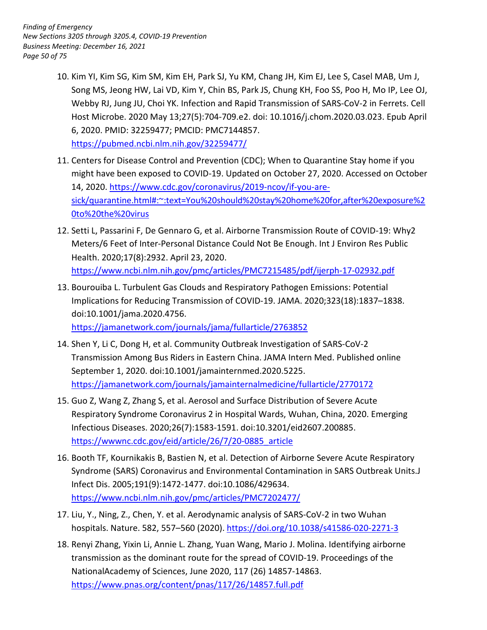- 10. Kim YI, Kim SG, Kim SM, Kim EH, Park SJ, Yu KM, Chang JH, Kim EJ, Lee S, Casel MAB, Um J, Song MS, Jeong HW, Lai VD, Kim Y, Chin BS, Park JS, Chung KH, Foo SS, Poo H, Mo IP, Lee OJ, Webby RJ, Jung JU, Choi YK. Infection and Rapid Transmission of SARS-CoV-2 in Ferrets. Cell Host Microbe. 2020 May 13;27(5):704-709.e2. doi: 10.1016/j.chom.2020.03.023. Epub April 6, 2020. PMID: 32259477; PMCID: PMC7144857. <https://pubmed.ncbi.nlm.nih.gov/32259477/>
- 11. Centers for Disease Control and Prevention (CDC); When to Quarantine Stay home if you might have been exposed to COVID-19. Updated on October 27, 2020. Accessed on October 14, 2020. [https://www.cdc.gov/coronavirus/2019-ncov/if-you-are](https://www.cdc.gov/coronavirus/2019-ncov/if-you-are-sick/quarantine.html#:~:text=You%20should%20stay%20home%20for,after%20exposure%20to%20the%20virus)[sick/quarantine.html#:~:text=You%20should%20stay%20home%20for,after%20exposure%2](https://www.cdc.gov/coronavirus/2019-ncov/if-you-are-sick/quarantine.html#:~:text=You%20should%20stay%20home%20for,after%20exposure%20to%20the%20virus) 0to%20the%20virus
- 12. Setti L, Passarini F, De Gennaro G, et al. Airborne Transmission Route of COVID-19: Why2 Meters/6 Feet of Inter-Personal Distance Could Not Be Enough. Int J Environ Res Public Health. 2020;17(8):2932. April 23, 2020. <https://www.ncbi.nlm.nih.gov/pmc/articles/PMC7215485/pdf/ijerph-17-02932.pdf>
- 13. Bourouiba L. Turbulent Gas Clouds and Respiratory Pathogen Emissions: Potential Implications for Reducing Transmission of COVID-19. JAMA. 2020;323(18):1837–1838. doi:10.1001/jama.2020.4756. <https://jamanetwork.com/journals/jama/fullarticle/2763852>
- 14. Shen Y, Li C, Dong H, et al. Community Outbreak Investigation of SARS-CoV-2 Transmission Among Bus Riders in Eastern China. JAMA Intern Med. Published online September 1, 2020. doi:10.1001/jamainternmed.2020.5225. <https://jamanetwork.com/journals/jamainternalmedicine/fullarticle/2770172>
- 15. Guo Z, Wang Z, Zhang S, et al. Aerosol and Surface Distribution of Severe Acute Respiratory Syndrome Coronavirus 2 in Hospital Wards, Wuhan, China, 2020. Emerging Infectious Diseases. 2020;26(7):1583-1591. doi:10.3201/eid2607.200885. [https://wwwnc.cdc.gov/eid/article/26/7/20-0885\\_article](https://wwwnc.cdc.gov/eid/article/26/7/20-0885_article)
- 16. Booth TF, Kournikakis B, Bastien N, et al. Detection of Airborne Severe Acute Respiratory Syndrome (SARS) Coronavirus and Environmental Contamination in SARS Outbreak Units. J Infect Dis. 2005;191(9):1472-1477. doi:10.1086/429634. <https://www.ncbi.nlm.nih.gov/pmc/articles/PMC7202477/>
- 17. Liu, Y., Ning, Z., Chen, Y. et al. Aerodynamic analysis of SARS-CoV-2 in two Wuhan hospitals. Nature. 582, 557-560 (2020). <https://doi.org/10.1038/s41586-020-2271-3>
- 18. Renyi Zhang, Yixin Li, Annie L. Zhang, Yuan Wang, Mario J. Molina. Identifying airborne transmission as the dominant route for the spread of COVID-19. Proceedings of the NationalAcademy of Sciences, June 2020, 117 (26) 14857-14863. <https://www.pnas.org/content/pnas/117/26/14857.full.pdf>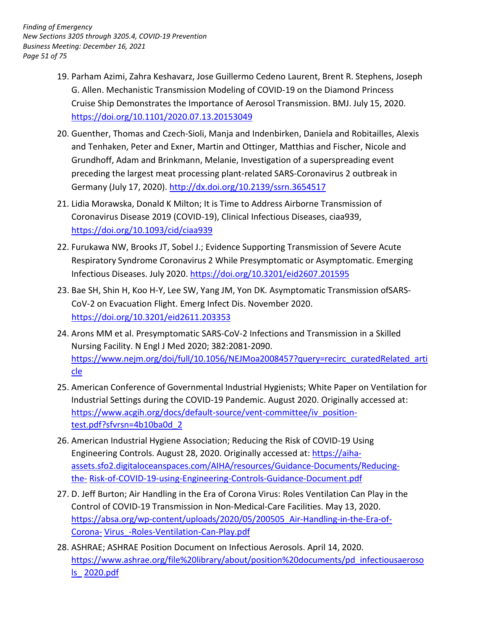- 19. Parham Azimi, Zahra Keshavarz, Jose Guillermo Cedeno Laurent, Brent R. Stephens, Joseph G. Allen. Mechanistic Transmission Modeling of COVID-19 on the Diamond Princess Cruise Ship Demonstrates the Importance of Aerosol Transmission. BMJ. July 15, 2020. <https://doi.org/10.1101/2020.07.13.20153049>
- preceding the largest meat processing plant-related SARS-Coronavirus 2 outbreak in Germany (July 17, 2020). http://dx.doi.org/10.2139/ssrn.3654517 20. Guenther, Thomas and Czech-Sioli, Manja and Indenbirken, Daniela and Robitailles, Alexis and Tenhaken, Peter and Exner, Martin and Ottinger, Matthias and Fischer, Nicole and Grundhoff, Adam and Brinkmann, Melanie, Investigation of a superspreading event
- 21. Lidia Morawska, Donald K Milton; It is Time to Address Airborne Transmission of Coronavirus Disease 2019 (COVID-19), Clinical Infectious Diseases, ciaa939, <https://doi.org/10.1093/cid/ciaa939>
- Respiratory Syndrome Coronavirus 2 While Presymptomatic or Asymptomatic. Emerging Infectious Diseases. July 2020. https://doi.org/10.3201/eid2607.201595 22. Furukawa NW, Brooks JT, Sobel J.; Evidence Supporting Transmission of Severe Acute
- 23. Bae SH, Shin H, Koo H-Y, Lee SW, Yang JM, Yon DK. Asymptomatic Transmission ofSARS- CoV-2 on Evacuation Flight. Emerg Infect Dis. November 2020. <https://doi.org/10.3201/eid2611.203353>
- 24. Arons MM et al. Presymptomatic SARS-CoV-2 Infections and Transmission in a Skilled Nursing Facility. N Engl J Med 2020; 382:2081-2090. [https://www.nejm.org/doi/full/10.1056/NEJMoa2008457?query=recirc\\_curatedRelated\\_arti](https://www.nejm.org/doi/full/10.1056/NEJMoa2008457?query=recirc_curatedRelated_article)  cle
- 25. American Conference of Governmental Industrial Hygienists; White Paper on Ventilation for Industrial Settings during the COVID-19 Pandemic. August 2020. Originally accessed at: [https://www.acgih.org/docs/default-source/vent-committee/iv\\_position](https://www.acgih.org/docs/default-source/vent-committee/iv_position-test.pdf?sfvrsn=4b10ba0d_2)test.pdf?sfvrsn=4b10ba0d\_2
- Engineering Controls. August 28, 2020. Originally accessed at: [https://aiha-](https://aiha-assets.sfo2.digitaloceanspaces.com/AIHA/resources/Guidance-Documents/Reducing-the-Risk-of-COVID-19-using-Engineering-Controls-Guidance-Document.pdf)26. American Industrial Hygiene Association; Reducing the Risk of COVID-19 Using [assets.sfo2.digitaloceanspaces.com/AIHA/resources/Guidance-Documents/Reducing](https://aiha-assets.sfo2.digitaloceanspaces.com/AIHA/resources/Guidance-Documents/Reducing-the-Risk-of-COVID-19-using-Engineering-Controls-Guidance-Document.pdf)the- Risk-of-COVID-19-using-Engineering-Controls-Guidance-Document.pdf
- 27. D. Jeff Burton; Air Handling in the Era of Corona Virus: Roles Ventilation Can Play in the Control of COVID-19 Transmission in Non-Medical-Care Facilities. May 13, 2020. [https://absa.org/wp-content/uploads/2020/05/200505\\_Air-Handling-in-the-Era-of-](https://absa.org/wp-content/uploads/2020/05/200505_Air-Handling-in-the-Era-of-Corona-Virus_-Roles-Ventilation-Can-Play.pdf)Corona- Virus\_-Roles-Ventilation-Can-Play.pdf
- 28. ASHRAE; ASHRAE Position Document on Infectious Aerosols. April 14, 2020. [https://www.ashrae.org/file%20library/about/position%20documents/pd\\_infectiousaeroso](https://www.ashrae.org/file%20library/about/position%20documents/pd_infectiousaerosols_2020.pdf)  ls\_ 2020.pdf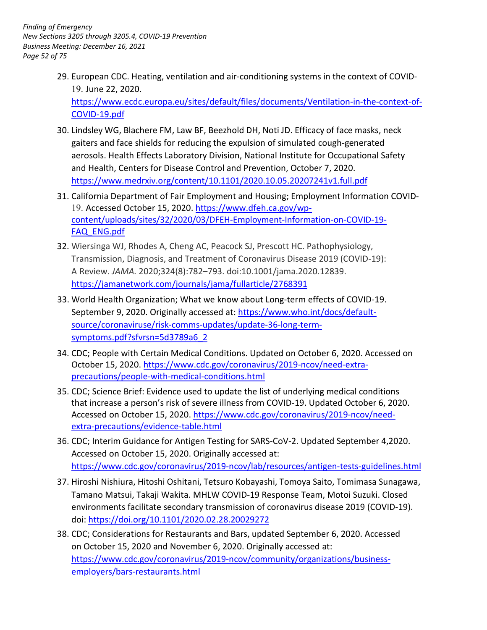29. European CDC. Heating, ventilation and air-conditioning systems in the context of COVID-19. June 22, 2020. [https://www.ecdc.europa.eu/sites/default/files/documents/Ventilation-in-the-context-of-](https://www.ecdc.europa.eu/sites/default/files/documents/Ventilation-in-the-context-of-COVID-19.pdf)

COVID-19.pdf

- 30. Lindsley WG, Blachere FM, Law BF, Beezhold DH, Noti JD. Efficacy of face masks, neck aerosols. Health Effects Laboratory Division, National Institute for Occupational Safety gaiters and face shields for reducing the expulsion of simulated cough-generated and Health, Centers for Disease Control and Prevention, October 7, 2020. <https://www.medrxiv.org/content/10.1101/2020.10.05.20207241v1.full.pdf>
- 31. California Department of Fair Employment and Housing; Employment Information COVID19. Accessed October 15, 2020. [https://www.dfeh.ca.gov/wp](https://www.dfeh.ca.gov/wp-content/uploads/sites/32/2020/03/DFEH-Employment-Information-on-COVID-19-FAQ_ENG.pdf)[content/uploads/sites/32/2020/03/DFEH-Employment-Information-on-COVID-19-](https://www.dfeh.ca.gov/wp-content/uploads/sites/32/2020/03/DFEH-Employment-Information-on-COVID-19-FAQ_ENG.pdf) FAQ\_ENG.pdf
- Transmission, Diagnosis, and Treatment of Coronavirus Disease 2019 (COVID-19): A Review. *JAMA.* 2020;324(8):782–793. doi:10.1001/jama.2020.12839. 32. Wiersinga WJ, Rhodes A, Cheng AC, Peacock SJ, Prescott HC. Pathophysiology, <https://jamanetwork.com/journals/jama/fullarticle/2768391>
- 33. World Health Organization; What we know about Long-term effects of COVID-19. September 9, 2020. Originally accessed at: [https://www.who.int/docs/default](https://www.who.int/docs/default-source/coronaviruse/risk-comms-updates/update-36-long-term-symptoms.pdf?sfvrsn=5d3789a6_2)[source/coronaviruse/risk-comms-updates/update-36-long-term](https://www.who.int/docs/default-source/coronaviruse/risk-comms-updates/update-36-long-term-symptoms.pdf?sfvrsn=5d3789a6_2)symptoms.pdf?sfvrsn=5d3789a6\_2
- 34. CDC; People with Certain Medical Conditions. Updated on October 6, 2020. Accessed on October 15, 2020. [https://www.cdc.gov/coronavirus/2019-ncov/need-extra](https://www.cdc.gov/coronavirus/2019-ncov/need-extra-precautions/people-with-medical-conditions.html)[precautions/people-with-medical-conditions.html](https://www.cdc.gov/coronavirus/2019-ncov/need-extra-precautions/people-with-medical-conditions.html)
- 35. CDC; Science Brief: Evidence used to update the list of underlying medical conditions that increase a person's risk of severe illness from COVID-19. Updated October 6, 2020. Accessed on October 15, 2020. [https://www.cdc.gov/coronavirus/2019-ncov/need](https://www.cdc.gov/coronavirus/2019-ncov/need-extra-precautions/evidence-table.html)[extra-precautions/evidence-table.html](https://www.cdc.gov/coronavirus/2019-ncov/need-extra-precautions/evidence-table.html)
- 36. CDC; Interim Guidance for Antigen Testing for SARS-CoV-2. Updated September 4,2020. Accessed on October 15, 2020. Originally accessed at: <https://www.cdc.gov/coronavirus/2019-ncov/lab/resources/antigen-tests-guidelines.html>
- 37. Hiroshi Nishiura, Hitoshi Oshitani, Tetsuro Kobayashi, Tomoya Saito, Tomimasa Sunagawa, Tamano Matsui, Takaji Wakita. MHLW COVID-19 Response Team, Motoi Suzuki. Closed environments facilitate secondary transmission of coronavirus disease 2019 (COVID-19). doi:<https://doi.org/10.1101/2020.02.28.20029272>
- 38. CDC; Considerations for Restaurants and Bars, updated September 6, 2020. Accessed on October 15, 2020 and November 6, 2020. Originally accessed at: [https://www.cdc.gov/coronavirus/2019-ncov/community/organizations/business](https://www.cdc.gov/coronavirus/2019-ncov/community/organizations/business-employers/bars-restaurants.html)employers/bars-restaurants.html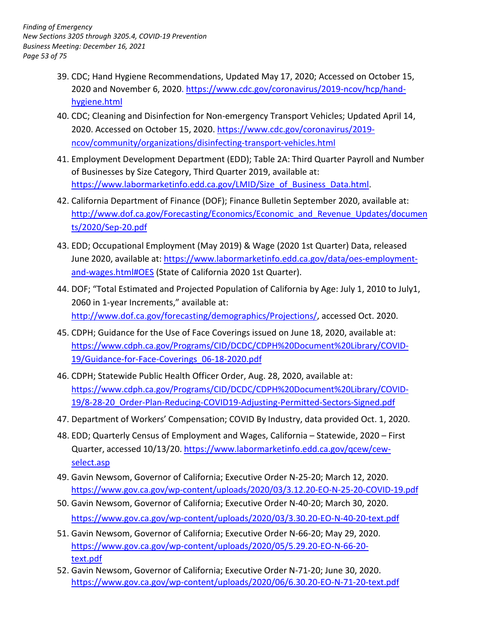- 39. CDC; Hand Hygiene Recommendations, Updated May 17, 2020; Accessed on October 15, 2020 and November 6, 2020. [https://www.cdc.gov/coronavirus/2019-ncov/hcp/hand](https://www.cdc.gov/coronavirus/2019-ncov/hcp/hand-hygiene.html)[hygiene.html](https://www.cdc.gov/coronavirus/2019-ncov/hcp/hand-hygiene.html)
- 40. CDC; Cleaning and Disinfection for Non-emergency Transport Vehicles; Updated April 14, 2020. Accessed on October 15, 2020. [https://www.cdc.gov/coronavirus/2019](https://www.cdc.gov/coronavirus/2019-ncov/community/organizations/disinfecting-transport-vehicles.html) [ncov/community/organizations/disinfecting-transport-vehicles.html](https://www.cdc.gov/coronavirus/2019-ncov/community/organizations/disinfecting-transport-vehicles.html)
- 41. Employment Development Department (EDD); Table 2A: Third Quarter Payroll and Number of Businesses by Size Category, Third Quarter 2019, available at: [https://www.labormarketinfo.edd.ca.gov/LMID/Size\\_of\\_Business\\_Data.html.](https://www.labormarketinfo.edd.ca.gov/LMID/Size_of_Business_Data.html)
- 42. California Department of Finance (DOF); Finance Bulletin September 2020, available at: http://www.dof.ca.gov/Forecasting/Economics/Economic\_and\_Revenue\_Updates/documen ts/2020/Sep-20.pdf
- June 2020, available at: <u>https://www.labormarketinfo.edd.ca.gov/data/oes-employment-</u> 43. EDD; Occupational Employment (May 2019) & Wage (2020 1st Quarter) Data, released [and-wages.html#OES](https://www.labormarketinfo.edd.ca.gov/data/oes-employment-and-wages.html#OES) (State of California 2020 1st Quarter).
- 44. DOF; "Total Estimated and Projected Population of California by Age: July 1, 2010 to July1, 2060 in 1-year Increments," available at: [http://www.dof.ca.gov/forecasting/demographics/Projections/,](http://www.dof.ca.gov/forecasting/demographics/Projections/) accessed Oct. 2020.
- 45. CDPH; Guidance for the Use of Face Coverings issued on June 18, 2020, available at: [https://www.cdph.ca.gov/Programs/CID/DCDC/CDPH%20Document%20Library/COVID-](https://www.cdph.ca.gov/Programs/CID/DCDC/CDPH%20Document%20Library/COVID-19/Guidance-for-Face-Coverings_06-18-2020.pdf)19/Guidance-for-Face-Coverings\_06-18-2020.pdf
- 46. CDPH; Statewide Public Health Officer Order, Aug. 28, 2020, available at: [https://www.cdph.ca.gov/Programs/CID/DCDC/CDPH%20Document%20Library/COVID-](https://www.cdph.ca.gov/Programs/CID/DCDC/CDPH%20Document%20Library/COVID-19/8-28-20_Order-Plan-Reducing-COVID19-Adjusting-Permitted-Sectors-Signed.pdf)19/8-28-20\_Order-Plan-Reducing-COVID19-Adjusting-Permitted-Sectors-Signed.pdf
- 47. Department of Workers' Compensation; COVID By Industry, data provided Oct. 1, 2020.
- 48. EDD; Quarterly Census of Employment and Wages, California Statewide, 2020 First Quarter, accessed 10/13/20. [https://www.labormarketinfo.edd.ca.gov/qcew/cew](https://www.labormarketinfo.edd.ca.gov/qcew/cew-select.asp)[select.asp](https://www.labormarketinfo.edd.ca.gov/qcew/cew-select.asp)
- 49. Gavin Newsom, Governor of California; Executive Order N-25-20; March 12, 2020. <https://www.gov.ca.gov/wp-content/uploads/2020/03/3.12.20-EO-N-25-20-COVID-19.pdf>
- 50. Gavin Newsom, Governor of California; Executive Order N-40-20; March 30, 2020. <https://www.gov.ca.gov/wp-content/uploads/2020/03/3.30.20-EO-N-40-20-text.pdf>
- 51. Gavin Newsom, Governor of California; Executive Order N-66-20; May 29, 2020. [https://www.gov.ca.gov/wp-content/uploads/2020/05/5.29.20-EO-N-66-20](https://www.gov.ca.gov/wp-content/uploads/2020/05/5.29.20-EO-N-66-20-text.pdf) text.pdf
- 52. Gavin Newsom, Governor of California; Executive Order N-71-20; June 30, 2020. <https://www.gov.ca.gov/wp-content/uploads/2020/06/6.30.20-EO-N-71-20-text.pdf>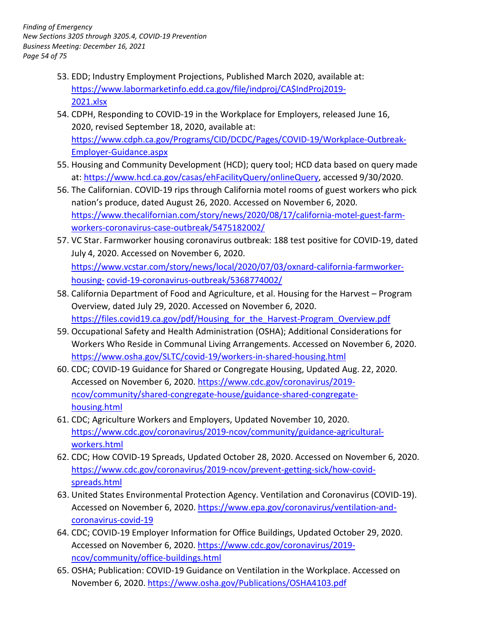- 53. EDD; Industry Employment Projections, Published March 2020, available at: [https://www.labormarketinfo.edd.ca.gov/file/indproj/CA\\$IndProj2019-](https://www.labormarketinfo.edd.ca.gov/file/indproj/CA%24IndProj2019-2021.xlsx) 2021.xlsx
- 54. CDPH, Responding to COVID-19 in the Workplace for Employers, released June 16, 2020, revised September 18, 2020, available at: [https://www.cdph.ca.gov/Programs/CID/DCDC/Pages/COVID-19/Workplace-Outbreak-](https://www.cdph.ca.gov/Programs/CID/DCDC/Pages/COVID-19/Workplace-Outbreak-Employer-Guidance.aspx)Employer-Guidance.aspx
- 55. Housing and Community Development (HCD); query tool; HCD data based on query made at: [https://www.hcd.ca.gov/casas/ehFacilityQuery/onlineQuery,](https://www.hcd.ca.gov/casas/ehFacilityQuery/onlineQuery) accessed 9/30/2020.
- nation's produce, dated August 26, 2020. Accessed on November 6, 2020. 56. The Californian. COVID-19 rips through California motel rooms of guest workers who pick [https://www.thecalifornian.com/story/news/2020/08/17/california-motel-guest-farm](https://www.thecalifornian.com/story/news/2020/08/17/california-motel-guest-farm-workers-coronavirus-case-outbreak/5475182002/)workers-coronavirus-case-outbreak/5475182002/
- 57. VC Star. Farmworker housing coronavirus outbreak: 188 test positive for COVID-19, dated July 4, 2020. Accessed on November 6, 2020. [https://www.vcstar.com/story/news/local/2020/07/03/oxnard-california-farmworker](https://www.vcstar.com/story/news/local/2020/07/03/oxnard-california-farmworker-housing-covid-19-coronavirus-outbreak/5368774002/)housing- covid-19-coronavirus-outbreak/5368774002/
- 58. California Department of Food and Agriculture, et al. Housing for the Harvest Program Overview, dated July 29, 2020. Accessed on November 6, 2020. https://files.covid19.ca.gov/pdf/Housing for the Harvest-Program Overview.pdf
- 59. Occupational Safety and Health Administration (OSHA); Additional Considerations for Workers Who Reside in Communal Living Arrangements. Accessed on November 6, 2020. <https://www.osha.gov/SLTC/covid-19/workers-in-shared-housing.html>
- 60. CDC; COVID-19 Guidance for Shared or Congregate Housing, Updated Aug. 22, 2020. Accessed on November 6, 2020[. https://www.cdc.gov/coronavirus/2019](https://www.cdc.gov/coronavirus/2019-ncov/community/shared-congregate-house/guidance-shared-congregate-housing.html) [ncov/community/shared-congregate-house/guidance-shared-congregate](https://www.cdc.gov/coronavirus/2019-ncov/community/shared-congregate-house/guidance-shared-congregate-housing.html)housing.html
- 61. CDC; Agriculture Workers and Employers, Updated November 10, 2020. [https://www.cdc.gov/coronavirus/2019-ncov/community/guidance-agricultural](https://www.cdc.gov/coronavirus/2019-ncov/community/guidance-agricultural-workers.html)workers.html
- 62. CDC; How COVID-19 Spreads, Updated October 28, 2020. Accessed on November 6, 2020. [https://www.cdc.gov/coronavirus/2019-ncov/prevent-getting-sick/how-covid](https://www.cdc.gov/coronavirus/2019-ncov/prevent-getting-sick/how-covid-spreads.html)spreads.html
- 63. United States Environmental Protection Agency. Ventilation and Coronavirus (COVID-19). Accessed on November 6, 2020. [https://www.epa.gov/coronavirus/ventilation-and](https://www.epa.gov/coronavirus/ventilation-and-coronavirus-covid-19)[coronavirus-covid-19](https://www.epa.gov/coronavirus/ventilation-and-coronavirus-covid-19)
- 64. CDC; COVID-19 Employer Information for Office Buildings, Updated October 29, 2020. Accessed on November 6, 2020[. https://www.cdc.gov/coronavirus/2019](https://www.cdc.gov/coronavirus/2019-ncov/community/office-buildings.html) [ncov/community/office-buildings.html](https://www.cdc.gov/coronavirus/2019-ncov/community/office-buildings.html)
- 65. OSHA; Publication: COVID-19 Guidance on Ventilation in the Workplace. Accessed on November 6, 2020[. https://www.osha.gov/Publications/OSHA4103.pdf](https://www.osha.gov/Publications/OSHA4103.pdf)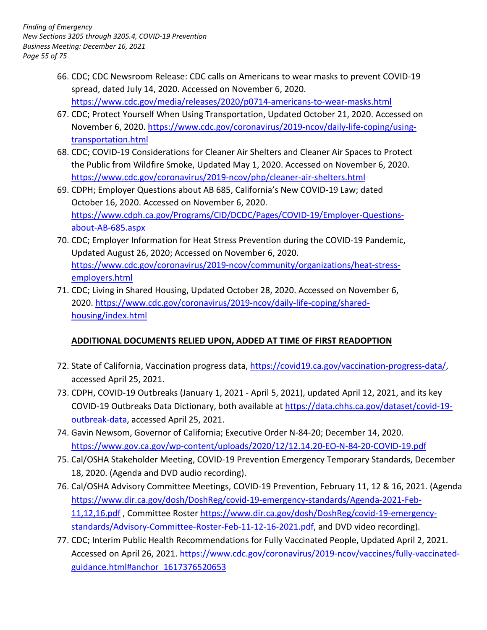- 66. CDC; CDC Newsroom Release: CDC calls on Americans to wear masks to prevent COVID-19 spread, dated July 14, 2020. Accessed on November 6, 2020. <https://www.cdc.gov/media/releases/2020/p0714-americans-to-wear-masks.html>
- 67. CDC; Protect Yourself When Using Transportation, Updated October 21, 2020. Accessed on November 6, 2020. [https://www.cdc.gov/coronavirus/2019-ncov/daily-life-coping/using](https://www.cdc.gov/coronavirus/2019-ncov/daily-life-coping/using-transportation.html)[transportation.html](https://www.cdc.gov/coronavirus/2019-ncov/daily-life-coping/using-transportation.html)
- 68. CDC; COVID-19 Considerations for Cleaner Air Shelters and Cleaner Air Spaces to Protect the Public from Wildfire Smoke, Updated May 1, 2020. Accessed on November 6, 2020. <https://www.cdc.gov/coronavirus/2019-ncov/php/cleaner-air-shelters.html>
- 69. CDPH; Employer Questions about AB 685, California's New COVID-19 Law; dated October 16, 2020. Accessed on November 6, 2020. [https://www.cdph.ca.gov/Programs/CID/DCDC/Pages/COVID-19/Employer-Questions](https://www.cdph.ca.gov/Programs/CID/DCDC/Pages/COVID-19/Employer-Questions-about-AB-685.aspx)about-AB-685.aspx
- 70. CDC; Employer Information for Heat Stress Prevention during the COVID-19 Pandemic, Updated August 26, 2020; Accessed on November 6, 2020. [https://www.cdc.gov/coronavirus/2019-ncov/community/organizations/heat-stress](https://www.cdc.gov/coronavirus/2019-ncov/community/organizations/heat-stress-employers.html)employers.html
- 71. CDC; Living in Shared Housing, Updated October 28, 2020. Accessed on November 6, 2020. [https://www.cdc.gov/coronavirus/2019-ncov/daily-life-coping/shared](https://www.cdc.gov/coronavirus/2019-ncov/daily-life-coping/shared-housing/index.html)[housing/index.html](https://www.cdc.gov/coronavirus/2019-ncov/daily-life-coping/shared-housing/index.html)

# **ADDITIONAL DOCUMENTS RELIED UPON, ADDED AT TIME OF FIRST READOPTION**

- 72. State of California, Vaccination progress data, [https://covid19.ca.gov/vaccination-progress-data/,](https://covid19.ca.gov/vaccination-progress-data/) accessed April 25, 2021.
- COVID-19 Outbreaks Data Dictionary, both available at [https://data.chhs.ca.gov/dataset/covid-19-](https://data.chhs.ca.gov/dataset/covid-19-outbreak-data) 73. CDPH, COVID-19 Outbreaks (January 1, 2021 - April 5, 2021), updated April 12, 2021, and its key [outbreak-data,](https://data.chhs.ca.gov/dataset/covid-19-outbreak-data) accessed April 25, 2021.
- 74. Gavin Newsom, Governor of California; Executive Order N-84-20; December 14, 2020. <https://www.gov.ca.gov/wp-content/uploads/2020/12/12.14.20-EO-N-84-20-COVID-19.pdf>
- 75. Cal/OSHA Stakeholder Meeting, COVID-19 Prevention Emergency Temporary Standards, December 18, 2020. (Agenda and DVD audio recording).
- 76. Cal/OSHA Advisory Committee Meetings, COVID-19 Prevention, February 11, 12 & 16, 2021. (Agenda [11,12,16.pdf](https://www.dir.ca.gov/dosh/DoshReg/covid-19-emergency-standards/Agenda-2021-Feb-11,12,16.pdf) , Committee Roster [https://www.dir.ca.gov/dosh/DoshReg/covid-19-emergency](https://www.dir.ca.gov/dosh/DoshReg/covid-19-emergency-standards/Advisory-Committee-Roster-Feb-11-12-16-2021.pdf)[https://www.dir.ca.gov/dosh/DoshReg/covid-19-emergency-standards/Agenda-2021-Feb](https://www.dir.ca.gov/dosh/DoshReg/covid-19-emergency-standards/Agenda-2021-Feb-11,12,16.pdf)[standards/Advisory-Committee-Roster-Feb-11-12-16-2021.pdf,](https://www.dir.ca.gov/dosh/DoshReg/covid-19-emergency-standards/Advisory-Committee-Roster-Feb-11-12-16-2021.pdf) and DVD video recording).
- 77. CDC; Interim Public Health Recommendations for Fully Vaccinated People, Updated April 2, 2021. guidance.html#anchor 1617376520653 Accessed on April 26, 2021. [https://www.cdc.gov/coronavirus/2019-ncov/vaccines/fully-vaccinated-](https://www.cdc.gov/coronavirus/2019-ncov/vaccines/fully-vaccinated-guidance.html#anchor_1617376520653)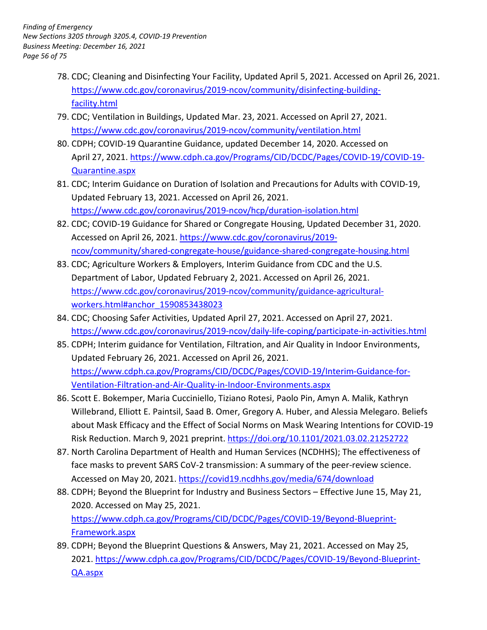- 78. CDC; Cleaning and Disinfecting Your Facility, Updated April 5, 2021. Accessed on April 26, 2021. [https://www.cdc.gov/coronavirus/2019-ncov/community/disinfecting-building](https://www.cdc.gov/coronavirus/2019-ncov/community/disinfecting-building-facility.html)facility.html
- https://www.cdc.gov/coronavirus/2019-ncov/community/ventilation.html 79. CDC; Ventilation in Buildings, Updated Mar. 23, 2021. Accessed on April 27, 2021.
- <https://www.cdc.gov/coronavirus/2019-ncov/community/ventilation.html>80. CDPH; COVID-19 Quarantine Guidance, updated December 14, 2020. Accessed on Quarantine.aspx April 27, 2021. [https://www.cdph.ca.gov/Programs/CID/DCDC/Pages/COVID-19/COVID-19-](https://www.cdph.ca.gov/Programs/CID/DCDC/Pages/COVID-19/COVID-19-Quarantine.aspx)
- 81. CDC; Interim Guidance on Duration of Isolation and Precautions for Adults with COVID-19, Updated February 13, 2021. Accessed on April 26, 2021. <https://www.cdc.gov/coronavirus/2019-ncov/hcp/duration-isolation.html>
- 82. CDC; COVID-19 Guidance for Shared or Congregate Housing, Updated December 31, 2020. Accessed on April 26, 2021. [https://www.cdc.gov/coronavirus/2019](https://www.cdc.gov/coronavirus/2019-ncov/community/shared-congregate-house/guidance-shared-congregate-housing.html) [ncov/community/shared-congregate-house/guidance-shared-congregate-housing.html](https://www.cdc.gov/coronavirus/2019-ncov/community/shared-congregate-house/guidance-shared-congregate-housing.html)
- 83. CDC; Agriculture Workers & Employers, Interim Guidance from CDC and the U.S. Department of Labor, Updated February 2, 2021. Accessed on April 26, 2021. [https://www.cdc.gov/coronavirus/2019-ncov/community/guidance-agricultural](https://www.cdc.gov/coronavirus/2019-ncov/community/guidance-agricultural-workers.html#anchor_1590853438023)workers.html#anchor\_1590853438023
- 84. CDC; Choosing Safer Activities, Updated April 27, 2021. Accessed on April 27, 2021. https://www.cdc.gov/coronavirus/2019-ncov/daily-life-coping/participate-in-activities.html
- <https://www.cdc.gov/coronavirus/2019-ncov/daily-life-coping/participate-in-activities.html>85. CDPH; Interim guidance for Ventilation, Filtration, and Air Quality in Indoor Environments, Updated February 26, 2021. Accessed on April 26, 2021. [https://www.cdph.ca.gov/Programs/CID/DCDC/Pages/COVID-19/Interim-Guidance-for-](https://www.cdph.ca.gov/Programs/CID/DCDC/Pages/COVID-19/Interim-Guidance-for-Ventilation-Filtration-and-Air-Quality-in-Indoor-Environments.aspx)Ventilation-Filtration-and-Air-Quality-in-Indoor-Environments.aspx
- Willebrand, Elliott E. Paintsil, Saad B. Omer, Gregory A. Huber, and Alessia Melegaro. Beliefs Risk Reduction. March 9, 2021 preprint. https://doi.org/10.1101/2021.03.02.21252722 86. Scott E. Bokemper, Maria Cucciniello, Tiziano Rotesi, Paolo Pin, Amyn A. Malik, Kathryn about Mask Efficacy and the Effect of Social Norms on Mask Wearing Intentions for COVID-19
- face masks to prevent SARS CoV-2 transmission: A summary of the peer-review science. 87. North Carolina Department of Health and Human Services (NCDHHS); The effectiveness of Accessed on May 20, 2021[. https://covid19.ncdhhs.gov/media/674/download](https://covid19.ncdhhs.gov/media/674/download)
- 2020. Accessed on May 25, 2021. 88. CDPH; Beyond the Blueprint for Industry and Business Sectors – Effective June 15, May 21, [https://www.cdph.ca.gov/Programs/CID/DCDC/Pages/COVID-19/Beyond-Blueprint-](https://www.cdph.ca.gov/Programs/CID/DCDC/Pages/COVID-19/Beyond-Blueprint-Framework.aspx)Framework.aspx
- 89. CDPH; Beyond the Blueprint Questions & Answers, May 21, 2021. Accessed on May 25, 2021. [https://www.cdph.ca.gov/Programs/CID/DCDC/Pages/COVID-19/Beyond-Blueprint-](https://www.cdph.ca.gov/Programs/CID/DCDC/Pages/COVID-19/Beyond-Blueprint-QA.aspx)[QA.aspx](https://www.cdph.ca.gov/Programs/CID/DCDC/Pages/COVID-19/Beyond-Blueprint-QA.aspx)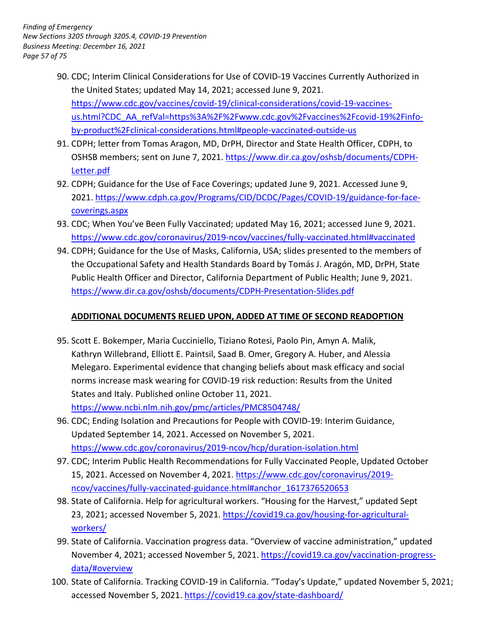- the United States; updated May 14, 2021; accessed June 9, 2021. 90. CDC; Interim Clinical Considerations for Use of COVID-19 Vaccines Currently Authorized in https://www.cdc.gov/vaccines/covid-19/clinical-considerations/covid-19-vaccines[us.html?CDC\\_AA\\_refVal=https%3A%2F%2Fwww.cdc.gov%2Fvaccines%2Fcovid-19%2Finfo](https://www.cdc.gov/vaccines/covid-19/clinical-considerations/covid-19-vaccines-us.html?CDC_AA_refVal=https%3A%2F%2Fwww.cdc.gov%2Fvaccines%2Fcovid-19%2Finfo-by-product%2Fclinical-considerations.html#people-vaccinated-outside-us)by-product%2Fclinical-considerations.html#people-vaccinated-outside-us
- 91. CDPH; letter from Tomas Aragon, MD, DrPH, Director and State Health Officer, CDPH, to OSHSB members; sent on June 7, 2021[. https://www.dir.ca.gov/oshsb/documents/CDPH-](https://www.dir.ca.gov/oshsb/documents/CDPH-Letter.pdf)[Letter.pdf](https://www.dir.ca.gov/oshsb/documents/CDPH-Letter.pdf)
- 92. CDPH; Guidance for the Use of Face Coverings; updated June 9, 2021. Accessed June 9, 2021. [https://www.cdph.ca.gov/Programs/CID/DCDC/Pages/COVID-19/guidance-for-face](https://www.cdph.ca.gov/Programs/CID/DCDC/Pages/COVID-19/guidance-for-face-coverings.aspx)[coverings.aspx](https://www.cdph.ca.gov/Programs/CID/DCDC/Pages/COVID-19/guidance-for-face-coverings.aspx)
- 93. CDC; When You've Been Fully Vaccinated; updated May 16, 2021; accessed June 9, 2021. <https://www.cdc.gov/coronavirus/2019-ncov/vaccines/fully-vaccinated.html#vaccinated>
- 94. CDPH; Guidance for the Use of Masks, California, USA; slides presented to the members of the Occupational Safety and Health Standards Board by Tomás J. Aragón, MD, DrPH, State Public Health Officer and Director, California Department of Public Health; June 9, 2021. <https://www.dir.ca.gov/oshsb/documents/CDPH-Presentation-Slides.pdf>

## **ADDITIONAL DOCUMENTS RELIED UPON, ADDED AT TIME OF SECOND READOPTION**

- 95. Scott E. Bokemper, Maria Cucciniello, Tiziano Rotesi, Paolo Pin, Amyn A. Malik, Kathryn Willebrand, Elliott E. Paintsil, Saad B. Omer, Gregory A. Huber, and Alessia States and Italy. Published online October 11, 2021. Melegaro. Experimental evidence that changing beliefs about mask efficacy and social norms increase mask wearing for COVID-19 risk reduction: Results from the United <https://www.ncbi.nlm.nih.gov/pmc/articles/PMC8504748/>
- 96. CDC; Ending Isolation and Precautions for People with COVID-19: Interim Guidance, Updated September 14, 2021. Accessed on November 5, 2021. <https://www.cdc.gov/coronavirus/2019-ncov/hcp/duration-isolation.html>
- 15, 2021. Accessed on November 4, 2021. [https://www.cdc.gov/coronavirus/2019-](https://www.cdc.gov/coronavirus/2019-ncov/vaccines/fully-vaccinated-guidance.html%23anchor_1617376520653) 97. CDC; Interim Public Health Recommendations for Fully Vaccinated People, Updated October [ncov/vaccines/fully-vaccinated-guidance.html#anchor\\_1617376520653](https://www.cdc.gov/coronavirus/2019-ncov/vaccines/fully-vaccinated-guidance.html%23anchor_1617376520653)
- 98. State of California. Help for agricultural workers. "Housing for the Harvest," updated Sept 23, 2021; accessed November 5, 2021. [https://covid19.ca.gov/housing-for-agricultural](https://covid19.ca.gov/housing-for-agricultural-workers/)[workers/](https://covid19.ca.gov/housing-for-agricultural-workers/)
- 99. State of California. Vaccination progress data. "Overview of vaccine administration," updated November 4, 2021; accessed November 5, 2021. [https://covid19.ca.gov/vaccination-progress](https://covid19.ca.gov/vaccination-progress-data/#overview)[data/#overview](https://covid19.ca.gov/vaccination-progress-data/#overview)
- accessed November 5, 2021. https://covid19.ca.gov/state-dashboard/ 100. State of California. Tracking COVID-19 in California. "Today's Update," updated November 5, 2021;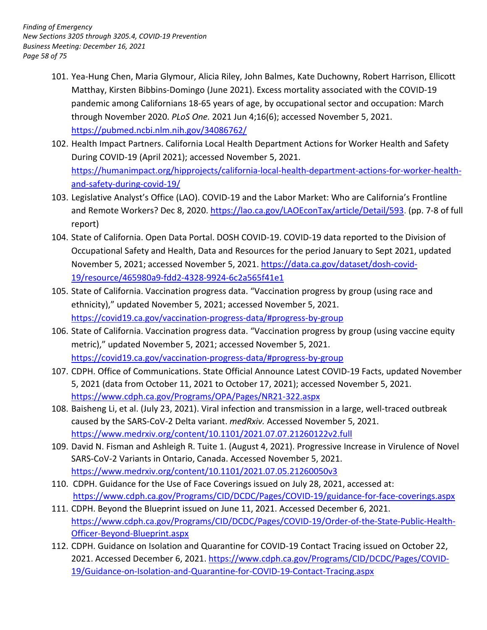- through November 2020. *PLoS One.* 2021 Jun 4;16(6); accessed November 5, 2021. 101. Yea-Hung Chen, Maria Glymour, Alicia Riley, John Balmes, Kate Duchowny, Robert Harrison, Ellicott Matthay, Kirsten Bibbins-Domingo (June 2021). Excess mortality associated with the COVID-19 pandemic among Californians 18-65 years of age, by occupational sector and occupation: March <https://pubmed.ncbi.nlm.nih.gov/34086762/>
- 102. Health Impact Partners. California Local Health Department Actions for Worker Health and Safety During COVID-19 (April 2021); accessed November 5, 2021. [https://humanimpact.org/hipprojects/california-local-health-department-actions-for-worker-health](https://humanimpact.org/hipprojects/california-local-health-department-actions-for-worker-health-and-safety-during-covid-19/)and-safety-during-covid-19/
- 103. Legislative Analyst's Office (LAO). COVID-19 and the Labor Market: Who are California's Frontline and Remote Workers? Dec 8, 2020[. https://lao.ca.gov/LAOEconTax/article/Detail/593.](https://lao.ca.gov/LAOEconTax/article/Detail/593) (pp. 7-8 of full report)
- 104. State of California. Open Data Portal. DOSH COVID-19. COVID-19 data reported to the Division of Occupational Safety and Health, Data and Resources for the period January to Sept 2021, updated November 5, 2021; accessed November 5, 2021. [https://data.ca.gov/dataset/dosh-covid-](https://data.ca.gov/dataset/dosh-covid-19/resource/465980a9-fdd2-4328-9924-6c2a565f41e1)[19/resource/465980a9-fdd2-4328-9924-6c2a565f41e1](https://data.ca.gov/dataset/dosh-covid-19/resource/465980a9-fdd2-4328-9924-6c2a565f41e1)
- ethnicity)," updated November 5, 2021; accessed November 5, 2021. 105. State of California. Vaccination progress data. "Vaccination progress by group (using race and <https://covid19.ca.gov/vaccination-progress-data/#progress-by-group>
- 106. State of California. Vaccination progress data. "Vaccination progress by group (using vaccine equity metric)," updated November 5, 2021; accessed November 5, 2021. <https://covid19.ca.gov/vaccination-progress-data/#progress-by-group>
- 5, 2021 (data from October 11, 2021 to October 17, 2021); accessed November 5, 2021. 107. CDPH. Office of Communications. State Official Announce Latest COVID-19 Facts, updated November <https://www.cdph.ca.gov/Programs/OPA/Pages/NR21-322.aspx>
- 108. Baisheng Li, et al. (July 23, 2021). Viral infection and transmission in a large, well-traced outbreak caused by the SARS-CoV-2 Delta variant. *medRxiv.* Accessed November 5, 2021. <https://www.medrxiv.org/content/10.1101/2021.07.07.21260122v2.full>
- SARS-CoV-2 Variants in Ontario, Canada. Accessed November 5, 2021. 109. David N. Fisman and Ashleigh R. Tuite 1. (August 4, 2021). Progressive Increase in Virulence of Novel <https://www.medrxiv.org/content/10.1101/2021.07.05.21260050v3>
- 110. CDPH. Guidance for the Use of Face Coverings issued on July 28, 2021, accessed at: <https://www.cdph.ca.gov/Programs/CID/DCDC/Pages/COVID-19/guidance-for-face-coverings.aspx>
- 111. CDPH. Beyond the Blueprint issued on June 11, 2021. Accessed December 6, 2021. [https://www.cdph.ca.gov/Programs/CID/DCDC/Pages/COVID-19/Order-of-the-State-Public-Health-](https://www.cdph.ca.gov/Programs/CID/DCDC/Pages/COVID-19/Order-of-the-State-Public-Health-Officer-Beyond-Blueprint.aspx)Officer-Beyond-Blueprint.aspx
- 112. CDPH. Guidance on Isolation and Quarantine for COVID-19 Contact Tracing issued on October 22, 2021. Accessed December 6, 2021. [https://www.cdph.ca.gov/Programs/CID/DCDC/Pages/COVID-](https://www.cdph.ca.gov/Programs/CID/DCDC/Pages/COVID-19/Guidance-on-Isolation-and-Quarantine-for-COVID-19-Contact-Tracing.aspx)[19/Guidance-on-Isolation-and-Quarantine-for-COVID-19-Contact-Tracing.aspx](https://www.cdph.ca.gov/Programs/CID/DCDC/Pages/COVID-19/Guidance-on-Isolation-and-Quarantine-for-COVID-19-Contact-Tracing.aspx)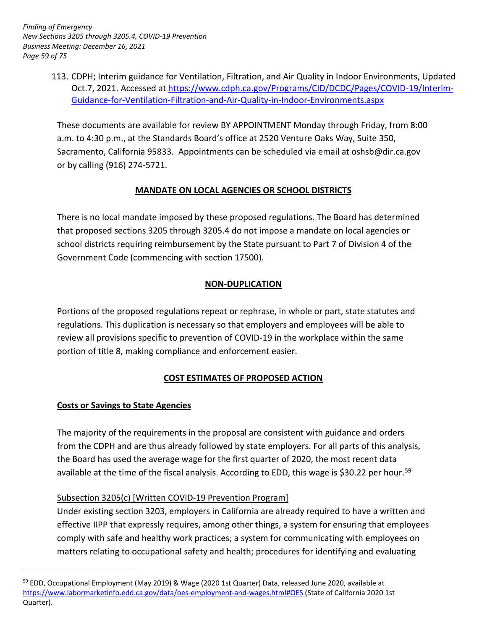113. CDPH; Interim guidance for Ventilation, Filtration, and Air Quality in Indoor Environments, Updated Oct.7, 2021. Accessed at [https://www.cdph.ca.gov/Programs/CID/DCDC/Pages/COVID-19/Interim-](https://www.cdph.ca.gov/Programs/CID/DCDC/Pages/COVID-19/Interim-Guidance-for-Ventilation-Filtration-and-Air-Quality-in-Indoor-Environments.aspx)[Guidance-for-Ventilation-Filtration-and-Air-Quality-in-Indoor-Environments.aspx](https://www.cdph.ca.gov/Programs/CID/DCDC/Pages/COVID-19/Interim-Guidance-for-Ventilation-Filtration-and-Air-Quality-in-Indoor-Environments.aspx) 

 or by calling (916) 274-5721. These documents are available for review BY APPOINTMENT Monday through Friday, from 8:00 a.m. to 4:30 p.m., at the Standards Board's office at 2520 Venture Oaks Way, Suite 350, Sacramento, California 95833. Appointments can be scheduled via email at [oshsb@dir.ca.gov](mailto:oshsb@dir.ca.gov) 

# **MANDATE ON LOCAL AGENCIES OR SCHOOL DISTRICTS**

 There is no local mandate imposed by these proposed regulations. The Board has determined that proposed sections 3205 through 3205.4 do not impose a mandate on local agencies or school districts requiring reimbursement by the State pursuant to Part 7 of Division 4 of the Government Code (commencing with section 17500).

## **NON-DUPLICATION**

 Portions of the proposed regulations repeat or rephrase, in whole or part, state statutes and regulations. This duplication is necessary so that employers and employees will be able to review all provisions specific to prevention of COVID-19 in the workplace within the same portion of title 8, making compliance and enforcement easier.

# **COST ESTIMATES OF PROPOSED ACTION**

## **Costs or Savings to State Agencies**

-

 The majority of the requirements in the proposal are consistent with guidance and orders from the CDPH and are thus already followed by state employers. For all parts of this analysis, the Board has used the average wage for the first quarter of 2020, the most recent data available at the time of the fiscal analysis. According to EDD, this wage is \$30.22 per hour.<sup>59</sup>

## Subsection 3205(c) [Written COVID-19 Prevention Program]

 Under existing section 3203, employers in California are already required to have a written and effective IIPP that expressly requires, among other things, a system for ensuring that employees comply with safe and healthy work practices; a system for communicating with employees on matters relating to occupational safety and health; procedures for identifying and evaluating

<sup>&</sup>lt;sup>59</sup> EDD, Occupational Employment (May 2019) & Wage (2020 1st Quarter) Data, released June 2020, available at [https://www.labormarketinfo.edd.ca.gov/data/oes-employment-and-wages.html#OES \(](https://www.labormarketinfo.edd.ca.gov/data/oes-employment-and-wages.html#OES)State of California 2020 1st Quarter).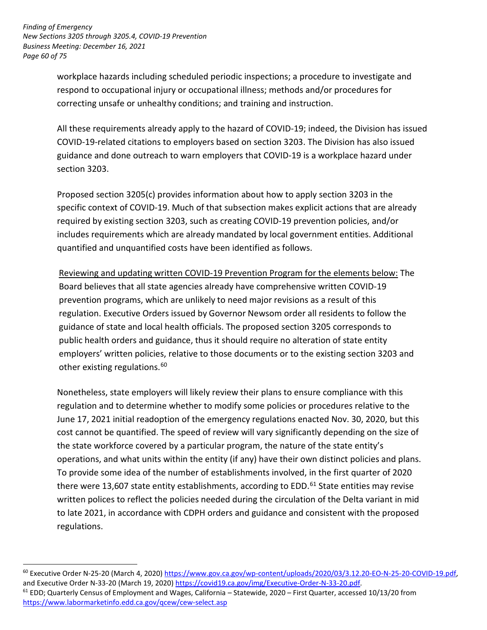workplace hazards including scheduled periodic inspections; a procedure to investigate and respond to occupational injury or occupational illness; methods and/or procedures for correcting unsafe or unhealthy conditions; and training and instruction.

 All these requirements already apply to the hazard of COVID-19; indeed, the Division has issued COVID-19-related citations to employers based on section 3203. The Division has also issued section 3203. guidance and done outreach to warn employers that COVID-19 is a workplace hazard under

 Proposed section 3205(c) provides information about how to apply section 3203 in the specific context of COVID-19. Much of that subsection makes explicit actions that are already required by existing section 3203, such as creating COVID-19 prevention policies, and/or includes requirements which are already mandated by local government entities. Additional quantified and unquantified costs have been identified as follows.

Reviewing and updating written COVID-19 Prevention Program for the elements below: The Board believes that all state agencies already have comprehensive written COVID-19 prevention programs, which are unlikely to need major revisions as a result of this regulation. Executive Orders issued by Governor Newsom order all residents to follow the guidance of state and local health officials. The proposed section 3205 corresponds to public health orders and guidance, thus it should require no alteration of state entity employers' written policies, relative to those documents or to the existing section 3203 and other existing regulations. 60

 Nonetheless, state employers will likely review their plans to ensure compliance with this regulation and to determine whether to modify some policies or procedures relative to the June 17, 2021 initial readoption of the emergency regulations enacted Nov. 30, 2020, but this cost cannot be quantified. The speed of review will vary significantly depending on the size of the state workforce covered by a particular program, the nature of the state entity's operations, and what units within the entity (if any) have their own distinct policies and plans. To provide some idea of the number of establishments involved, in the first quarter of 2020 there were 13,607 state entity establishments, according to EDD.<sup>61</sup> State entities may revise written polices to reflect the policies needed during the circulation of the Delta variant in mid to late 2021, in accordance with CDPH orders and guidance and consistent with the proposed regulations.

and Executive Order N-33-20 (March 19, 2020) <u>https://covid19.ca.gov/img/Executive-Order-N-33-20.pdf</u>.<br><sup>61</sup> EDD; Quarterly Census of Employment and Wages, California – Statewide, 2020 – First Quarter, accessed 10/13/20 fro 60 Executive Order N-25-20 (March 4, 2020) [https://www.gov.ca.gov/wp-content/uploads/2020/03/3.12.20-EO-N-25-20-COVID-19.pdf,](https://www.gov.ca.gov/wp-content/uploads/2020/03/3.12.20-EO-N-25-20-COVID-19.pdf) 

<https://www.labormarketinfo.edd.ca.gov/qcew/cew-select.asp>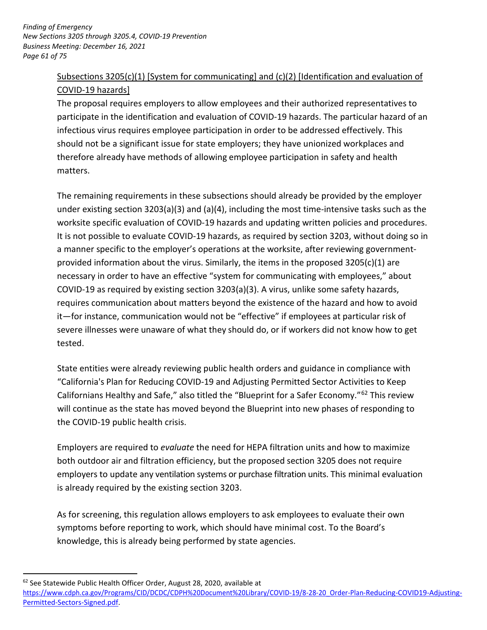# COVID-19 hazards] Subsections 3205(c)(1) [System for communicating] and (c)(2) [Identification and evaluation of

 participate in the identification and evaluation of COVID-19 hazards. The particular hazard of an infectious virus requires employee participation in order to be addressed effectively. This should not be a significant issue for state employers; they have unionized workplaces and therefore already have methods of allowing employee participation in safety and health The proposal requires employers to allow employees and their authorized representatives to matters.

 The remaining requirements in these subsections should already be provided by the employer under existing section 3203(a)(3) and (a)(4), including the most time-intensive tasks such as the worksite specific evaluation of COVID-19 hazards and updating written policies and procedures. It is not possible to evaluate COVID-19 hazards, as required by section 3203, without doing so in a manner specific to the employer's operations at the worksite, after reviewing government- provided information about the virus. Similarly, the items in the proposed 3205(c)(1) are necessary in order to have an effective "system for communicating with employees," about COVID-19 as required by existing section 3203(a)(3). A virus, unlike some safety hazards, requires communication about matters beyond the existence of the hazard and how to avoid it—for instance, communication would not be "effective" if employees at particular risk of severe illnesses were unaware of what they should do, or if workers did not know how to get tested.

 "California's Plan for Reducing COVID-19 and Adjusting Permitted Sector Activities to Keep Californians Healthy and Safe," also titled the "Blueprint for a Safer Economy."<sup>62</sup> This review will continue as the state has moved beyond the Blueprint into new phases of responding to State entities were already reviewing public health orders and guidance in compliance with the COVID-19 public health crisis.

 Employers are required to *evaluate* the need for HEPA filtration units and how to maximize both outdoor air and filtration efficiency, but the proposed section 3205 does not require employers to update any ventilation systems or purchase filtration units. This minimal evaluation is already required by the existing section 3203.

 As for screening, this regulation allows employers to ask employees to evaluate their own symptoms before reporting to work, which should have minimal cost. To the Board's knowledge, this is already being performed by state agencies.

 $62$  See Statewide Public Health Officer Order, August 28, 2020, available at

[https://www.cdph.ca.gov/Programs/CID/DCDC/CDPH%20Document%20Library/COVID-19/8-28-20\\_Order-Plan-Reducing-COVID19-Adjusting-](https://www.cdph.ca.gov/Programs/CID/DCDC/CDPH%20Document%20Library/COVID-19/8-28-20_Order-Plan-Reducing-COVID19-Adjusting-Permitted-Sectors-Signed.pdf)Permitted-Sectors-Signed.pdf.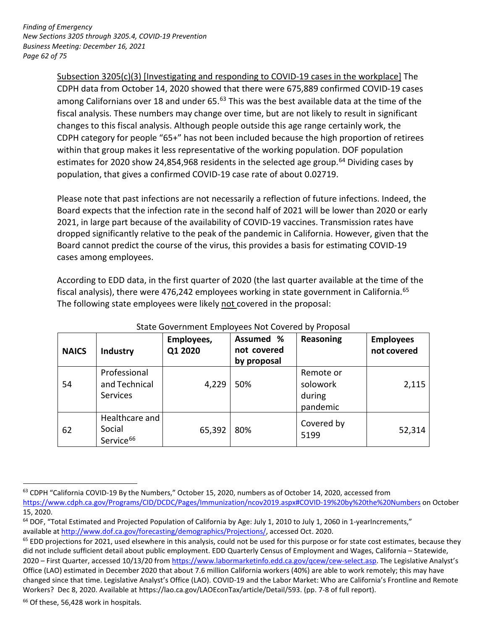*Page 62 of 75 Finding of Emergency New Sections 3205 through 3205.4, COVID-19 Prevention Business Meeting: December 16, 2021* 

> CDPH data from October 14, 2020 showed that there were 675,889 confirmed COVID-19 cases among Californians over 18 and under 65.<sup>63</sup> This was the best available data at the time of the fiscal analysis. These numbers may change over time, but are not likely to result in significant changes to this fiscal analysis. Although people outside this age range certainly work, the CDPH category for people "65+" has not been included because the high proportion of retirees within that group makes it less representative of the working population. DOF population estimates for 2020 show 24,854,968 residents in the selected age group.<sup>64</sup> Dividing cases by population, that gives a confirmed COVID-19 case rate of about 0.02719. Subsection 3205(c)(3) [Investigating and responding to COVID-19 cases in the workplace] The

 Please note that past infections are not necessarily a reflection of future infections. Indeed, the Board expects that the infection rate in the second half of 2021 will be lower than 2020 or early 2021, in large part because of the availability of COVID-19 vaccines. Transmission rates have dropped significantly relative to the peak of the pandemic in California. However, given that the Board cannot predict the course of the virus, this provides a basis for estimating COVID-19 cases among employees.

 According to EDD data, in the first quarter of 2020 (the last quarter available at the time of the fiscal analysis), there were 476,242 employees working in state government in California.<sup>65</sup> The following state employees were likely not covered in the proposal:

| <b>NAICS</b> | Industry                                          | Employees,<br>Q1 2020 | Assumed %<br>not covered<br>by proposal | Reasoning                                   | <b>Employees</b><br>not covered |
|--------------|---------------------------------------------------|-----------------------|-----------------------------------------|---------------------------------------------|---------------------------------|
| 54           | Professional<br>and Technical<br><b>Services</b>  | 4,229                 | 50%                                     | Remote or<br>solowork<br>during<br>pandemic | 2,115                           |
| 62           | Healthcare and<br>Social<br>Service <sup>66</sup> | 65,392                | 80%                                     | Covered by<br>5199                          | 52,314                          |

## State Government Employees Not Covered by Proposal

<span id="page-61-0"></span><sup>66</sup> Of these, 56,428 work in hospitals.

<sup>63</sup> CDPH "California COVID-19 By the Numbers," October 15, 2020, numbers as of October 14, 2020, accessed from

 [https://www.cdph.ca.gov/Programs/CID/DCDC/Pages/Immunization/ncov2019.aspx#COVID-19%20by%20the%20Numbers](https://www.cdph.ca.gov/Programs/CID/DCDC/Pages/Immunization/ncov2019.aspx#COVID-) on October 15, 2020.

<sup>&</sup>lt;sup>64</sup> DOF, "Total Estimated and Projected Population of California by Age: July 1, 2010 to July 1, 2060 in 1-yearIncrements," available at http://www.dof.ca.gov/forecasting/demographics/Projections/, accessed Oct. 2020.

Workers? Dec 8, 2020. Available at https://lao.ca.gov/LAOEconTax/article/Detail/593. (pp. 7-8 of full report).<br><sup>66</sup> Of these, 56,428 work in hospitals.  $65$  EDD projections for 2021, used elsewhere in this analysis, could not be used for this purpose or for state cost estimates, because they did not include sufficient detail about public employment. EDD Quarterly Census of Employment and Wages, California – Statewide, 2020 – First Quarter, accessed 10/13/20 from [https://www.labormarketinfo.edd.ca.gov/qcew/cew-select.asp.](https://www.labormarketinfo.edd.ca.gov/qcew/cew-select.asp) The Legislative Analyst's Office (LAO) estimated in December 2020 that about 7.6 million California workers (40%) are able to work remotely; this may have changed since that time. Legislative Analyst's Office (LAO). COVID-19 and the Labor Market: Who are California's Frontline and Remote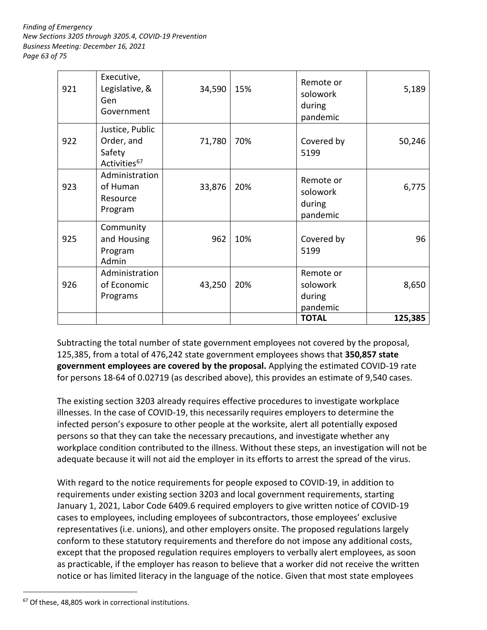*Page 63 of 75 Finding of Emergency New Sections 3205 through 3205.4, COVID-19 Prevention Business Meeting: December 16, 2021* 

| 921 | Executive,<br>Legislative, &<br>Gen<br>Government                   | 34,590 | 15% | Remote or<br>solowork<br>during<br>pandemic | 5,189   |
|-----|---------------------------------------------------------------------|--------|-----|---------------------------------------------|---------|
| 922 | Justice, Public<br>Order, and<br>Safety<br>Activities <sup>67</sup> | 71,780 | 70% | Covered by<br>5199                          | 50,246  |
| 923 | Administration<br>of Human<br>Resource<br>Program                   | 33,876 | 20% | Remote or<br>solowork<br>during<br>pandemic | 6,775   |
| 925 | Community<br>and Housing<br>Program<br>Admin                        | 962    | 10% | Covered by<br>5199                          | 96      |
| 926 | Administration<br>of Economic<br>Programs                           | 43,250 | 20% | Remote or<br>solowork<br>during<br>pandemic | 8,650   |
|     |                                                                     |        |     | <b>TOTAL</b>                                | 125,385 |

 Subtracting the total number of state government employees not covered by the proposal, 125,385, from a total of 476,242 state government employees shows that **350,857 state**  for persons 18-64 of 0.02719 (as described above), this provides an estimate of 9,540 cases. **government employees are covered by the proposal.** Applying the estimated COVID-19 rate

 illnesses. In the case of COVID-19, this necessarily requires employers to determine the persons so that they can take the necessary precautions, and investigate whether any workplace condition contributed to the illness. Without these steps, an investigation will not be adequate because it will not aid the employer in its efforts to arrest the spread of the virus. The existing section 3203 already requires effective procedures to investigate workplace infected person's exposure to other people at the worksite, alert all potentially exposed

 With regard to the notice requirements for people exposed to COVID-19, in addition to requirements under existing section 3203 and local government requirements, starting January 1, 2021, Labor Code 6409.6 required employers to give written notice of COVID-19 cases to employees, including employees of subcontractors, those employees' exclusive representatives (i.e. unions), and other employers onsite. The proposed regulations largely except that the proposed regulation requires employers to verbally alert employees, as soon as practicable, if the employer has reason to believe that a worker did not receive the written notice or has limited literacy in the language of the notice. Given that most state employees conform to these statutory requirements and therefore do not impose any additional costs,

-

<sup>&</sup>lt;sup>67</sup> Of these, 48,805 work in correctional institutions.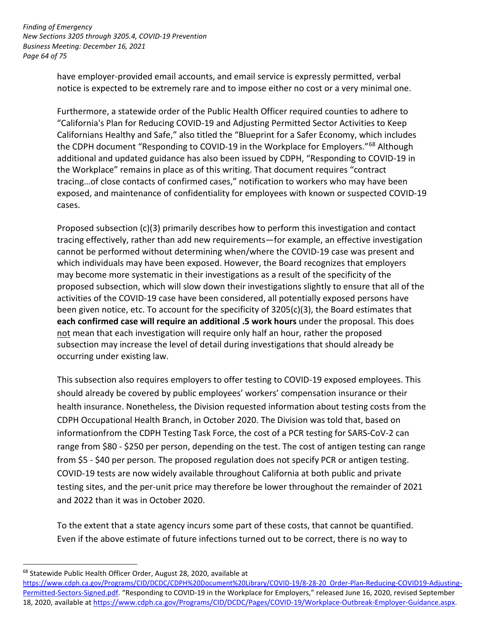notice is expected to be extremely rare and to impose either no cost or a very minimal one. have employer-provided email accounts, and email service is expressly permitted, verbal

 "California's Plan for Reducing COVID-19 and Adjusting Permitted Sector Activities to Keep Californians Healthy and Safe," also titled the "Blueprint for a Safer Economy, which includes exposed, and maintenance of confidentiality for employees with known or suspected COVID-19 Furthermore, a statewide order of the Public Health Officer required counties to adhere to the CDPH document "Responding to COVID-19 in the Workplace for Employers."<sup>68</sup> Although additional and updated guidance has also been issued by CDPH, "Responding to COVID-19 in the Workplace" remains in place as of this writing. That document requires "contract tracing…of close contacts of confirmed cases," notification to workers who may have been cases.

 may become more systematic in their investigations as a result of the specificity of the proposed subsection, which will slow down their investigations slightly to ensure that all of the **each confirmed case will require an additional .5 work hours** under the proposal. This does not mean that each investigation will require only half an hour, rather the proposed occurring under existing law. Proposed subsection (c)(3) primarily describes how to perform this investigation and contact tracing effectively, rather than add new requirements—for example, an effective investigation cannot be performed without determining when/where the COVID-19 case was present and which individuals may have been exposed. However, the Board recognizes that employers activities of the COVID-19 case have been considered, all potentially exposed persons have been given notice, etc. To account for the specificity of 3205(c)(3), the Board estimates that subsection may increase the level of detail during investigations that should already be

 This subsection also requires employers to offer testing to COVID-19 exposed employees. This health insurance. Nonetheless, the Division requested information about testing costs from the CDPH Occupational Health Branch, in October 2020. The Division was told that, based on informationfrom the CDPH Testing Task Force, the cost of a PCR testing for SARS-CoV-2 can range from \$80 - \$250 per person, depending on the test. The cost of antigen testing can range from \$5 - \$40 per person. The proposed regulation does not specify PCR or antigen testing. COVID-19 tests are now widely available throughout California at both public and private testing sites, and the per-unit price may therefore be lower throughout the remainder of 2021 and 2022 than it was in October 2020. should already be covered by public employees' workers' compensation insurance or their

 To the extent that a state agency incurs some part of these costs, that cannot be quantified. Even if the above estimate of future infections turned out to be correct, there is no way to

<sup>&</sup>lt;sup>68</sup> Statewide Public Health Officer Order, August 28, 2020, available at

[https://www.cdph.ca.gov/Programs/CID/DCDC/CDPH%20Document%20Library/COVID-19/8-28-20\\_Order-Plan-Reducing-COVID19-Adjusting-](https://www.cdph.ca.gov/Programs/CID/DCDC/CDPH%20Document%20Library/COVID-19/8-28-20_Order-Plan-Reducing-COVID19-Adjusting-Permitted-Sectors-Signed.pdf)[Permitted-Sectors-Signed.pdf. "](https://www.cdph.ca.gov/Programs/CID/DCDC/CDPH%20Document%20Library/COVID-19/8-28-20_Order-Plan-Reducing-COVID19-Adjusting-Permitted-Sectors-Signed.pdf)Responding to COVID-19 in the Workplace for Employers," released June 16, 2020, revised September 18, 2020, available a[t https://www.cdph.ca.gov/Programs/CID/DCDC/Pages/COVID-19/Workplace-Outbreak-Employer-Guidance.aspx.](https://www.cdph.ca.gov/Programs/CID/DCDC/Pages/COVID-19/Workplace-Outbreak-Employer-Guidance.aspx)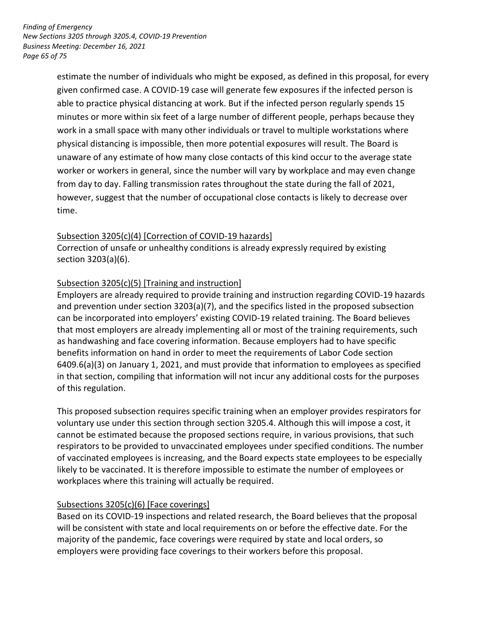*Page 65 of 75 Finding of Emergency New Sections 3205 through 3205.4, COVID-19 Prevention Business Meeting: December 16, 2021* 

> estimate the number of individuals who might be exposed, as defined in this proposal, for every given confirmed case. A COVID-19 case will generate few exposures if the infected person is able to practice physical distancing at work. But if the infected person regularly spends 15 minutes or more within six feet of a large number of different people, perhaps because they physical distancing is impossible, then more potential exposures will result. The Board is unaware of any estimate of how many close contacts of this kind occur to the average state worker or workers in general, since the number will vary by workplace and may even change from day to day. Falling transmission rates throughout the state during the fall of 2021, however, suggest that the number of occupational close contacts is likely to decrease over work in a small space with many other individuals or travel to multiple workstations where time.

### Subsection 3205(c)(4) [Correction of COVID-19 hazards]

 Correction of unsafe or unhealthy conditions is already expressly required by existing section 3203(a)(6).

## Subsection 3205(c)(5) [Training and instruction]

 Employers are already required to provide training and instruction regarding COVID-19 hazards can be incorporated into employers' existing COVID-19 related training. The Board believes as handwashing and face covering information. Because employers had to have specific benefits information on hand in order to meet the requirements of Labor Code section 6409.6(a)(3) on January 1, 2021, and must provide that information to employees as specified in that section, compiling that information will not incur any additional costs for the purposes of this regulation. and prevention under section 3203(a)(7), and the specifics listed in the proposed subsection that most employers are already implementing all or most of the training requirements, such

 This proposed subsection requires specific training when an employer provides respirators for voluntary use under this section through section 3205.4. Although this will impose a cost, it respirators to be provided to unvaccinated employees under specified conditions. The number likely to be vaccinated. It is therefore impossible to estimate the number of employees or cannot be estimated because the proposed sections require, in various provisions, that such of vaccinated employees is increasing, and the Board expects state employees to be especially workplaces where this training will actually be required.

## Subsections 3205(c)(6) [Face coverings]

 Based on its COVID-19 inspections and related research, the Board believes that the proposal will be consistent with state and local requirements on or before the effective date. For the majority of the pandemic, face coverings were required by state and local orders, so employers were providing face coverings to their workers before this proposal.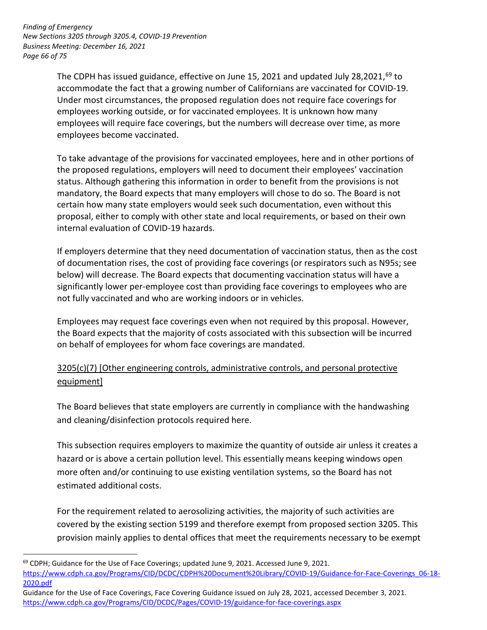*Page 66 of 75 Finding of Emergency New Sections 3205 through 3205.4, COVID-19 Prevention Business Meeting: December 16, 2021* 

<u>.</u>

The CDPH has issued guidance, effective on June 15, 2021 and updated July 28,2021,<sup>69</sup> to Under most circumstances, the proposed regulation does not require face coverings for accommodate the fact that a growing number of Californians are vaccinated for COVID-19. employees working outside, or for vaccinated employees. It is unknown how many employees will require face coverings, but the numbers will decrease over time, as more employees become vaccinated.

 the proposed regulations, employers will need to document their employees' vaccination status. Although gathering this information in order to benefit from the provisions is not mandatory, the Board expects that many employers will chose to do so. The Board is not proposal, either to comply with other state and local requirements, or based on their own To take advantage of the provisions for vaccinated employees, here and in other portions of certain how many state employers would seek such documentation, even without this internal evaluation of COVID-19 hazards.

 If employers determine that they need documentation of vaccination status, then as the cost of documentation rises, the cost of providing face coverings (or respirators such as N95s; see below) will decrease. The Board expects that documenting vaccination status will have a significantly lower per-employee cost than providing face coverings to employees who are not fully vaccinated and who are working indoors or in vehicles.

 the Board expects that the majority of costs associated with this subsection will be incurred Employees may request face coverings even when not required by this proposal. However, on behalf of employees for whom face coverings are mandated.

# 3205(c)(7) [Other engineering controls, administrative controls, and personal protective equipment]

and cleaning/disinfection protocols required here. The Board believes that state employers are currently in compliance with the handwashing

and cleaning/disinfection protocols required here.<br>This subsection requires employers to maximize the quantity of outside air unless it creates a hazard or is above a certain pollution level. This essentially means keeping windows open estimated additional costs. more often and/or continuing to use existing ventilation systems, so the Board has not

 For the requirement related to aerosolizing activities, the majority of such activities are covered by the existing section 5199 and therefore exempt from proposed section 3205. This provision mainly applies to dental offices that meet the requirements necessary to be exempt

 $69$  CDPH; Guidance for the Use of Face Coverings; updated June 9, 2021. Accessed June 9, 2021. 2020.pdf https://www.cdph.ca.gov/Programs/CID/DCDC/CDPH%20Document%20Library/COVID-19/Guidance-for-Face-Coverings\_06-18-

<sup>2020.</sup>pdf<br>Guidance for the Use of Face Coverings, Face Covering Guidance issued on July 28, 2021, accessed December 3, 2021. <https://www.cdph.ca.gov/Programs/CID/DCDC/Pages/COVID-19/guidance-for-face-coverings.aspx>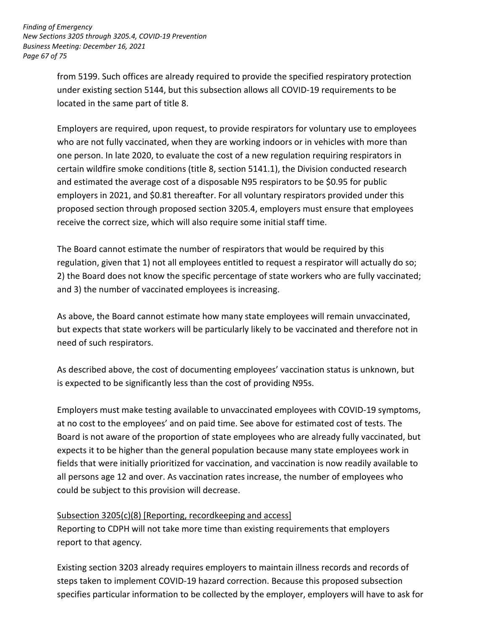from 5199. Such offices are already required to provide the specified respiratory protection located in the same part of title 8. under existing section 5144, but this subsection allows all COVID-19 requirements to be

 Employers are required, upon request, to provide respirators for voluntary use to employees one person. In late 2020, to evaluate the cost of a new regulation requiring respirators in certain wildfire smoke conditions (title 8, section 5141.1), the Division conducted research and estimated the average cost of a disposable N95 respirators to be \$0.95 for public employers in 2021, and \$0.81 thereafter. For all voluntary respirators provided under this receive the correct size, which will also require some initial staff time. who are not fully vaccinated, when they are working indoors or in vehicles with more than proposed section through proposed section 3205.4, employers must ensure that employees

 regulation, given that 1) not all employees entitled to request a respirator will actually do so; 2) the Board does not know the specific percentage of state workers who are fully vaccinated; and 3) the number of vaccinated employees is increasing. The Board cannot estimate the number of respirators that would be required by this

and 3) the number of vaccinated employees is increasing.<br>As above, the Board cannot estimate how many state employees will remain unvaccinated, but expects that state workers will be particularly likely to be vaccinated and therefore not in need of such respirators.

 As described above, the cost of documenting employees' vaccination status is unknown, but is expected to be significantly less than the cost of providing N95s.

 Employers must make testing available to unvaccinated employees with COVID-19 symptoms, at no cost to the employees' and on paid time. See above for estimated cost of tests. The Board is not aware of the proportion of state employees who are already fully vaccinated, but expects it to be higher than the general population because many state employees work in fields that were initially prioritized for vaccination, and vaccination is now readily available to all persons age 12 and over. As vaccination rates increase, the number of employees who could be subject to this provision will decrease.

## Subsection 3205(c)(8) [Reporting, recordkeeping and access]

 Reporting to CDPH will not take more time than existing requirements that employers report to that agency.

 Existing section 3203 already requires employers to maintain illness records and records of steps taken to implement COVID-19 hazard correction. Because this proposed subsection specifies particular information to be collected by the employer, employers will have to ask for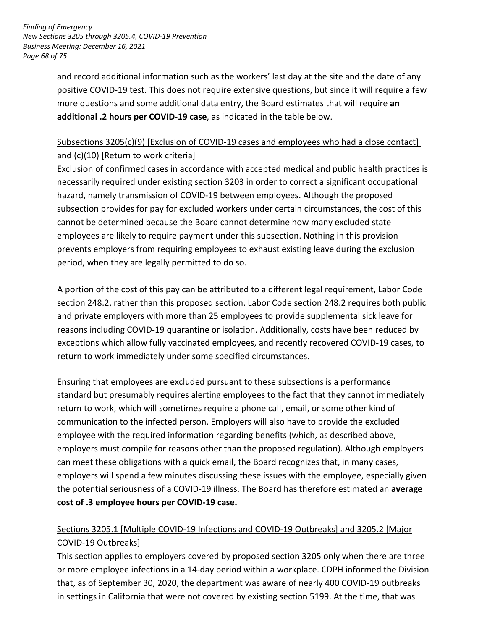*Page 68 of 75 Finding of Emergency New Sections 3205 through 3205.4, COVID-19 Prevention Business Meeting: December 16, 2021* 

> and record additional information such as the workers' last day at the site and the date of any more questions and some additional data entry, the Board estimates that will require **an additional .2 hours per COVID-19 case**, as indicated in the table below. positive COVID-19 test. This does not require extensive questions, but since it will require a few

# and (c)(10) [Return to work criteria] Subsections 3205(c)(9) [Exclusion of COVID-19 cases and employees who had a close contact]

and (c)(10) [Return to work criteria]<br>Exclusion of confirmed cases in accordance with accepted medical and public health practices is hazard, namely transmission of COVID-19 between employees. Although the proposed subsection provides for pay for excluded workers under certain circumstances, the cost of this employees are likely to require payment under this subsection. Nothing in this provision prevents employers from requiring employees to exhaust existing leave during the exclusion period, when they are legally permitted to do so. necessarily required under existing section 3203 in order to correct a significant occupational cannot be determined because the Board cannot determine how many excluded state

 section 248.2, rather than this proposed section. Labor Code section 248.2 requires both public and private employers with more than 25 employees to provide supplemental sick leave for exceptions which allow fully vaccinated employees, and recently recovered COVID-19 cases, to return to work immediately under some specified circumstances. A portion of the cost of this pay can be attributed to a different legal requirement, Labor Code reasons including COVID-19 quarantine or isolation. Additionally, costs have been reduced by

 Ensuring that employees are excluded pursuant to these subsections is a performance standard but presumably requires alerting employees to the fact that they cannot immediately return to work, which will sometimes require a phone call, email, or some other kind of communication to the infected person. Employers will also have to provide the excluded employers must compile for reasons other than the proposed regulation). Although employers can meet these obligations with a quick email, the Board recognizes that, in many cases, the potential seriousness of a COVID-19 illness. The Board has therefore estimated an **average cost of .3 employee hours per COVID-19 case.**  employee with the required information regarding benefits (which, as described above, employers will spend a few minutes discussing these issues with the employee, especially given

# COVID-19 Outbreaks] Sections 3205.1 [Multiple COVID-19 Infections and COVID-19 Outbreaks] and 3205.2 [Major

 This section applies to employers covered by proposed section 3205 only when there are three or more employee infections in a 14-day period within a workplace. CDPH informed the Division that, as of September 30, 2020, the department was aware of nearly 400 COVID-19 outbreaks in settings in California that were not covered by existing section 5199. At the time, that was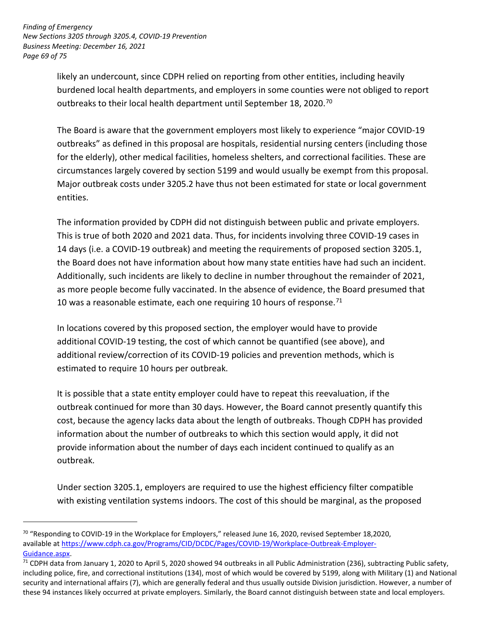burdened local health departments, and employers in some counties were not obliged to report outbreaks to their local health department until September 18, 2020.<sup>70</sup> likely an undercount, since CDPH relied on reporting from other entities, including heavily

 The Board is aware that the government employers most likely to experience "major COVID-19 outbreaks" as defined in this proposal are hospitals, residential nursing centers (including those for the elderly), other medical facilities, homeless shelters, and correctional facilities. These are circumstances largely covered by section 5199 and would usually be exempt from this proposal. Major outbreak costs under 3205.2 have thus not been estimated for state or local government entities.

 the Board does not have information about how many state entities have had such an incident. as more people become fully vaccinated. In the absence of evidence, the Board presumed that 10 was a reasonable estimate, each one requiring 10 hours of response.<sup>71</sup> The information provided by CDPH did not distinguish between public and private employers. This is true of both 2020 and 2021 data. Thus, for incidents involving three COVID-19 cases in 14 days (i.e. a COVID-19 outbreak) and meeting the requirements of proposed section 3205.1, Additionally, such incidents are likely to decline in number throughout the remainder of 2021,

 In locations covered by this proposed section, the employer would have to provide additional COVID-19 testing, the cost of which cannot be quantified (see above), and estimated to require 10 hours per outbreak. additional review/correction of its COVID-19 policies and prevention methods, which is

 outbreak continued for more than 30 days. However, the Board cannot presently quantify this cost, because the agency lacks data about the length of outbreaks. Though CDPH has provided provide information about the number of days each incident continued to qualify as an It is possible that a state entity employer could have to repeat this reevaluation, if the information about the number of outbreaks to which this section would apply, it did not outbreak.

Under section 3205.1, employers are required to use the highest efficiency filter compatible with existing ventilation systems indoors. The cost of this should be marginal, as the proposed

<sup>&</sup>lt;sup>70</sup> "Responding to COVID-19 in the Workplace for Employers," released June 16, 2020, revised September 18,2020, available a[t https://www.cdph.ca.gov/Programs/CID/DCDC/Pages/COVID-19/Workplace-Outbreak-Employer-](https://www.cdph.ca.gov/Programs/CID/DCDC/Pages/COVID-19/Workplace-Outbreak-Employer-Guidance.aspx)

Guidance.aspx.<br><sup>71</sup> CDPH data from January 1, 2020 to April 5, 2020 showed 94 outbreaks in all Public Administration (236), subtracting Public safety, including police, fire, and correctional institutions (134), most of which would be covered by 5199, along with Military (1) and National security and international affairs (7), which are generally federal and thus usually outside Division jurisdiction. However, a number of these 94 instances likely occurred at private employers. Similarly, the Board cannot distinguish between state and local employers.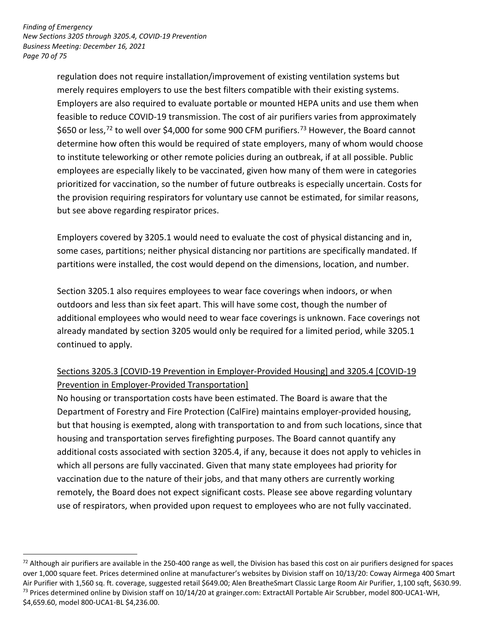<u>.</u>

 regulation does not require installation/improvement of existing ventilation systems but merely requires employers to use the best filters compatible with their existing systems. Employers are also required to evaluate portable or mounted HEPA units and use them when feasible to reduce COVID-19 transmission. The cost of air purifiers varies from approximately \$650 or less,<sup>72</sup> to well over \$4,000 for some 900 CFM purifiers.<sup>73</sup> However, the Board cannot to institute teleworking or other remote policies during an outbreak, if at all possible. Public employees are especially likely to be vaccinated, given how many of them were in categories prioritized for vaccination, so the number of future outbreaks is especially uncertain. Costs for the provision requiring respirators for voluntary use cannot be estimated, for similar reasons, determine how often this would be required of state employers, many of whom would choose but see above regarding respirator prices.

 Employers covered by 3205.1 would need to evaluate the cost of physical distancing and in, some cases, partitions; neither physical distancing nor partitions are specifically mandated. If partitions were installed, the cost would depend on the dimensions, location, and number.

 Section 3205.1 also requires employees to wear face coverings when indoors, or when outdoors and less than six feet apart. This will have some cost, though the number of already mandated by section 3205 would only be required for a limited period, while 3205.1 additional employees who would need to wear face coverings is unknown. Face coverings not continued to apply.

# Prevention in Employer-Provided Transportation] Sections 3205.3 [COVID-19 Prevention in Employer-Provided Housing] and 3205.4 [COVID-19

 No housing or transportation costs have been estimated. The Board is aware that the Department of Forestry and Fire Protection (CalFire) maintains employer-provided housing, but that housing is exempted, along with transportation to and from such locations, since that housing and transportation serves firefighting purposes. The Board cannot quantify any additional costs associated with section 3205.4, if any, because it does not apply to vehicles in which all persons are fully vaccinated. Given that many state employees had priority for vaccination due to the nature of their jobs, and that many others are currently working remotely, the Board does not expect significant costs. Please see above regarding voluntary use of respirators, when provided upon request to employees who are not fully vaccinated.

 over 1,000 square feet. Prices determined online at manufacturer's websites by Division staff on 10/13/20: Coway Airmega 400 Smart Air Purifier with 1,560 sq. ft. coverage, suggested retail \$649.00; Alen BreatheSmart Classic Large Room Air Purifier, 1,100 sqft, \$630.99. <sup>73</sup> Prices determined online by Division staff on 10/14/20 at grainger.com: ExtractAll Portable Air Scrubber, model 800-UCA1-WH,  $72$  Although air purifiers are available in the 250-400 range as well, the Division has based this cost on air purifiers designed for spaces \$4,659.60, model 800-UCA1-BL \$4,236.00.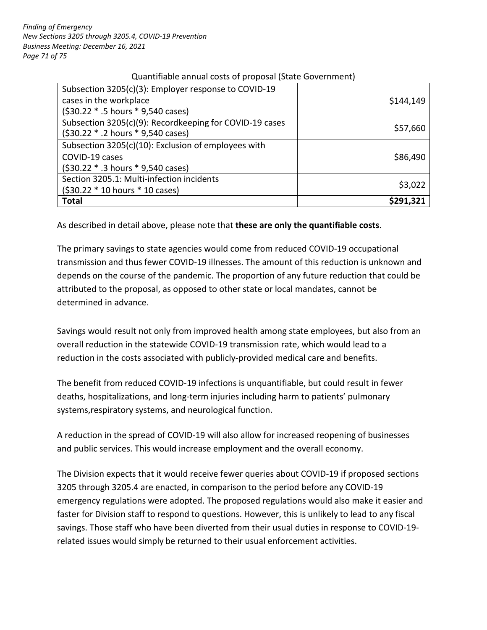### Quantifiable annual costs of proposal (State Government)

| Subsection 3205(c)(3): Employer response to COVID-19    |           |
|---------------------------------------------------------|-----------|
| cases in the workplace                                  | \$144,149 |
| (\$30.22 * .5 hours * 9,540 cases)                      |           |
| Subsection 3205(c)(9): Recordkeeping for COVID-19 cases | \$57,660  |
| (\$30.22 * .2 hours * 9,540 cases)                      |           |
| Subsection 3205(c)(10): Exclusion of employees with     |           |
| COVID-19 cases                                          | \$86,490  |
| (\$30.22 * .3 hours * 9,540 cases)                      |           |
| Section 3205.1: Multi-infection incidents               |           |
| $(530.22 * 10 hours * 10 cases)$                        | \$3,022   |
| <b>Total</b>                                            | S291.321  |

As described in detail above, please note that **these are only the quantifiable costs**.

 transmission and thus fewer COVID-19 illnesses. The amount of this reduction is unknown and depends on the course of the pandemic. The proportion of any future reduction that could be determined in advance. The primary savings to state agencies would come from reduced COVID-19 occupational attributed to the proposal, as opposed to other state or local mandates, cannot be

 Savings would result not only from improved health among state employees, but also from an overall reduction in the statewide COVID-19 transmission rate, which would lead to a reduction in the costs associated with publicly-provided medical care and benefits.

 systems,respiratory systems, and neurological function. The benefit from reduced COVID-19 infections is unquantifiable, but could result in fewer deaths, hospitalizations, and long-term injuries including harm to patients' pulmonary

 A reduction in the spread of COVID-19 will also allow for increased reopening of businesses and public services. This would increase employment and the overall economy.

 The Division expects that it would receive fewer queries about COVID-19 if proposed sections faster for Division staff to respond to questions. However, this is unlikely to lead to any fiscal savings. Those staff who have been diverted from their usual duties in response to COVID-19- related issues would simply be returned to their usual enforcement activities. 3205 through 3205.4 are enacted, in comparison to the period before any COVID-19 emergency regulations were adopted. The proposed regulations would also make it easier and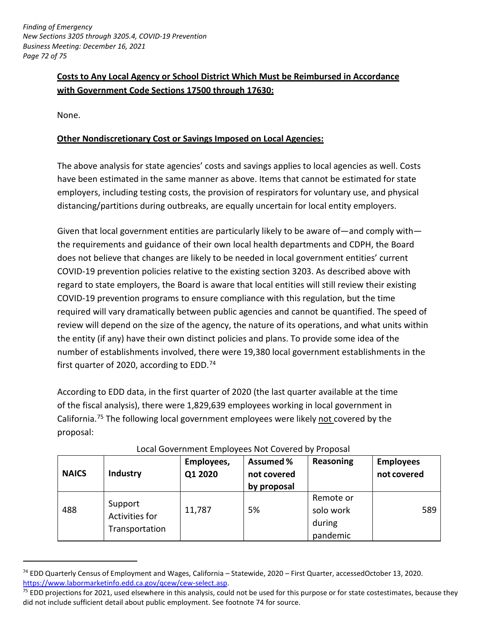# **Costs to Any Local Agency or School District Which Must be Reimbursed in Accordance with Government Code Sections 17500 through 17630:**

None.

<u>.</u>

## **Other Nondiscretionary Cost or Savings Imposed on Local Agencies:**

 The above analysis for state agencies' costs and savings applies to local agencies as well. Costs have been estimated in the same manner as above. Items that cannot be estimated for state employers, including testing costs, the provision of respirators for voluntary use, and physical distancing/partitions during outbreaks, are equally uncertain for local entity employers.

 the requirements and guidance of their own local health departments and CDPH, the Board does not believe that changes are likely to be needed in local government entities' current COVID-19 prevention policies relative to the existing section 3203. As described above with COVID-19 prevention programs to ensure compliance with this regulation, but the time required will vary dramatically between public agencies and cannot be quantified. The speed of review will depend on the size of the agency, the nature of its operations, and what units within the entity (if any) have their own distinct policies and plans. To provide some idea of the number of establishments involved, there were 19,380 local government establishments in the first quarter of 2020, according to EDD.<sup>74</sup> Given that local government entities are particularly likely to be aware of—and comply with regard to state employers, the Board is aware that local entities will still review their existing

 According to EDD data, in the first quarter of 2020 (the last quarter available at the time of the fiscal analysis), there were 1,829,639 employees working in local government in California.<sup>75</sup> The following local government employees were likely not covered by the proposal:

| <b>NAICS</b> | <b>Industry</b>                             | Employees,<br>Q1 2020 | <b>Assumed %</b><br>not covered<br>by proposal | Reasoning                                    | <b>Employees</b><br>not covered |
|--------------|---------------------------------------------|-----------------------|------------------------------------------------|----------------------------------------------|---------------------------------|
| 488          | Support<br>Activities for<br>Transportation | 11,787                | 5%                                             | Remote or<br>solo work<br>during<br>pandemic | 589                             |

### Local Government Employees Not Covered by Proposal

<sup>&</sup>lt;sup>74</sup> EDD Quarterly Census of Employment and Wages, California – Statewide, 2020 – First Quarter, accessedOctober 13, 2020. <u>https://www.labormarketinfo.edd.ca.gov/qcew/cew-select.asp</u>.<br><sup>75</sup> EDD projections for 2021, used elsewhere in this analysis, could not be used for this purpose or for state costestimates, because they

 did not include sufficient detail about public employment. See footnote 74 for source.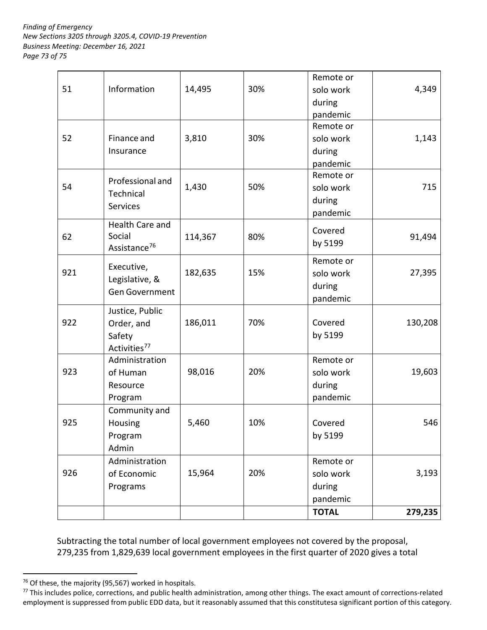*Page 73 of 75 Finding of Emergency New Sections 3205 through 3205.4, COVID-19 Prevention Business Meeting: December 16, 2021* 

|     |                                                                     |         |     | <b>TOTAL</b>                                 | 279,235 |
|-----|---------------------------------------------------------------------|---------|-----|----------------------------------------------|---------|
|     | Programs                                                            |         |     | during<br>pandemic                           |         |
| 926 | Administration<br>of Economic                                       | 15,964  | 20% | Remote or<br>solo work                       | 3,193   |
|     | Program<br>Admin                                                    |         |     | by 5199                                      |         |
| 925 | Community and<br>Housing                                            | 5,460   | 10% | Covered                                      | 546     |
|     | Program                                                             |         |     | pandemic                                     |         |
| 923 | Administration<br>of Human<br>Resource                              | 98,016  | 20% | Remote or<br>solo work<br>during             | 19,603  |
| 922 | Justice, Public<br>Order, and<br>Safety<br>Activities <sup>77</sup> | 186,011 | 70% | Covered<br>by 5199                           | 130,208 |
| 921 | Executive,<br>Legislative, &<br>Gen Government                      | 182,635 | 15% | Remote or<br>solo work<br>during<br>pandemic | 27,395  |
| 62  | Health Care and<br>Social<br>Assistance <sup>76</sup>               | 114,367 | 80% | Covered<br>by 5199                           | 91,494  |
| 54  | Professional and<br>Technical<br><b>Services</b>                    | 1,430   | 50% | Remote or<br>solo work<br>during<br>pandemic | 715     |
| 52  | Finance and<br>Insurance                                            | 3,810   | 30% | Remote or<br>solo work<br>during<br>pandemic | 1,143   |
| 51  | Information                                                         | 14,495  | 30% | Remote or<br>solo work<br>during<br>pandemic | 4,349   |
|     |                                                                     |         |     |                                              |         |

 Subtracting the total number of local government employees not covered by the proposal, 279,235 from 1,829,639 local government employees in the first quarter of 2020 gives a total

<u>.</u>

<sup>&</sup>lt;sup>76</sup> Of these, the majority (95,567) worked in hospitals.<br><sup>77</sup> This includes police, corrections, and public health administration, among other things. The exact amount of corrections-related employment is suppressed from public EDD data, but it reasonably assumed that this constitutesa significant portion of this category.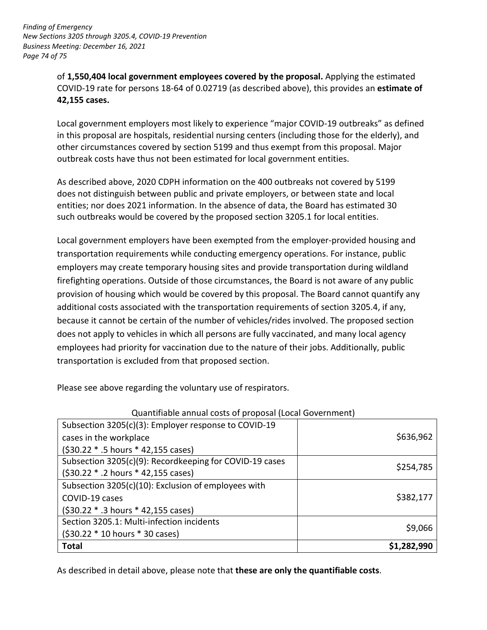of **1,550,404 local government employees covered by the proposal.** Applying the estimated  **42,155 cases.**  COVID-19 rate for persons 18-64 of 0.02719 (as described above), this provides an **estimate of** 

 Local government employers most likely to experience "major COVID-19 outbreaks" as defined in this proposal are hospitals, residential nursing centers (including those for the elderly), and outbreak costs have thus not been estimated for local government entities. other circumstances covered by section 5199 and thus exempt from this proposal. Major

 does not distinguish between public and private employers, or between state and local entities; nor does 2021 information. In the absence of data, the Board has estimated 30 such outbreaks would be covered by the proposed section 3205.1 for local entities. As described above, 2020 CDPH information on the 400 outbreaks not covered by 5199

 employers may create temporary housing sites and provide transportation during wildland firefighting operations. Outside of those circumstances, the Board is not aware of any public provision of housing which would be covered by this proposal. The Board cannot quantify any because it cannot be certain of the number of vehicles/rides involved. The proposed section employees had priority for vaccination due to the nature of their jobs. Additionally, public Local government employers have been exempted from the employer-provided housing and transportation requirements while conducting emergency operations. For instance, public additional costs associated with the transportation requirements of section 3205.4, if any, does not apply to vehicles in which all persons are fully vaccinated, and many local agency transportation is excluded from that proposed section.

Please see above regarding the voluntary use of respirators.

| <b>Total</b>                                             | \$1,282,990 |  |  |  |
|----------------------------------------------------------|-------------|--|--|--|
| (\$30.22 * 10 hours * 30 cases)                          |             |  |  |  |
| Section 3205.1: Multi-infection incidents                | \$9,066     |  |  |  |
| (\$30.22 * .3 hours * 42,155 cases)                      |             |  |  |  |
| COVID-19 cases                                           | \$382,177   |  |  |  |
| Subsection 3205(c)(10): Exclusion of employees with      |             |  |  |  |
| (\$30.22 * .2 hours * 42,155 cases)                      |             |  |  |  |
| Subsection 3205(c)(9): Recordkeeping for COVID-19 cases  | \$254,785   |  |  |  |
| (\$30.22 * .5 hours * 42,155 cases)                      |             |  |  |  |
| cases in the workplace                                   | \$636,962   |  |  |  |
| Subsection 3205(c)(3): Employer response to COVID-19     |             |  |  |  |
| Quantifiable annual costs of proposal (Local Government) |             |  |  |  |

 $\frac{1}{2}$  . The set of the set of the set of the set of the set of the set of the set of the set of the set of the set of the set of the set of the set of the set of the set of the set of the set of the set of the set of Quantifiable annual costs of proposal (Local Government)

As described in detail above, please note that **these are only the quantifiable costs**.